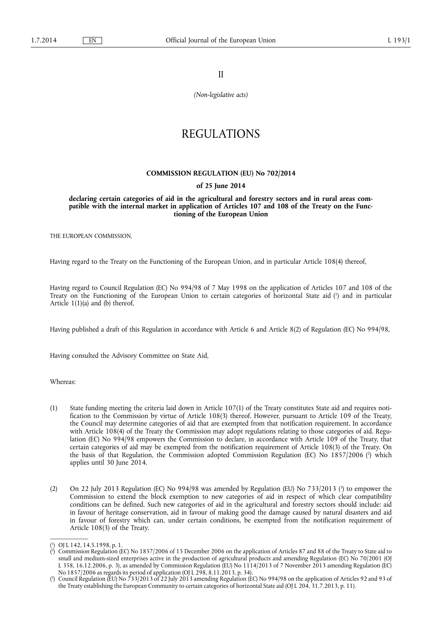II

*(Non-legislative acts)* 

# REGULATIONS

## **COMMISSION REGULATION (EU) No 702/2014**

# **of 25 June 2014**

**declaring certain categories of aid in the agricultural and forestry sectors and in rural areas compatible with the internal market in application of Articles 107 and 108 of the Treaty on the Functioning of the European Union** 

THE EUROPEAN COMMISSION,

Having regard to the Treaty on the Functioning of the European Union, and in particular Article 108(4) thereof,

Having regard to Council Regulation (EC) No 994/98 of 7 May 1998 on the application of Articles 107 and 108 of the Treaty on the Functioning of the European Union to certain categories of horizontal State aid ( 1 ) and in particular Article 1(1)(a) and (b) thereof,

Having published a draft of this Regulation in accordance with Article 6 and Article 8(2) of Regulation (EC) No 994/98,

Having consulted the Advisory Committee on State Aid,

Whereas:

- (1) State funding meeting the criteria laid down in Article 107(1) of the Treaty constitutes State aid and requires notification to the Commission by virtue of Article 108(3) thereof. However, pursuant to Article 109 of the Treaty, the Council may determine categories of aid that are exempted from that notification requirement. In accordance with Article 108(4) of the Treaty the Commission may adopt regulations relating to those categories of aid. Regulation (EC) No 994/98 empowers the Commission to declare, in accordance with Article 109 of the Treaty, that certain categories of aid may be exempted from the notification requirement of Article 108(3) of the Treaty. On the basis of that Regulation, the Commission adopted Commission Regulation (EC) No 1857/2006 (?) which applies until 30 June 2014.
- (2) On 22 July 2013 Regulation (EC) No 994/98 was amended by Regulation (EU) No 733/2013 (<sup>3</sup>) to empower the Commission to extend the block exemption to new categories of aid in respect of which clear compatibility conditions can be defined. Such new categories of aid in the agricultural and forestry sectors should include: aid in favour of heritage conservation, aid in favour of making good the damage caused by natural disasters and aid in favour of forestry which can, under certain conditions, be exempted from the notification requirement of Article 108(3) of the Treaty.

<sup>(</sup> 1 ) OJ L 142, 14.5.1998, p. 1.

<sup>(</sup> 2 ) Commission Regulation (EC) No 1857/2006 of 15 December 2006 on the application of Articles 87 and 88 of the Treaty to State aid to small and medium-sized enterprises active in the production of agricultural products and amending Regulation (EC) No 70/2001 (OJ L 358, 16.12.2006, p. 3), as amended by Commission Regulation (EU) No 1114/2013 of 7 November 2013 amending Regulation (EC) No 1857/2006 as regards its period of application (OJ L 298, 8.11.2013, p. 34).

<sup>(</sup> 3 ) Council Regulation (EU) No 733/2013 of 22 July 2013 amending Regulation (EC) No 994/98 on the application of Articles 92 and 93 of the Treaty establishing the European Community to certain categories of horizontal State aid (OJ L 204, 31.7.2013, p. 11).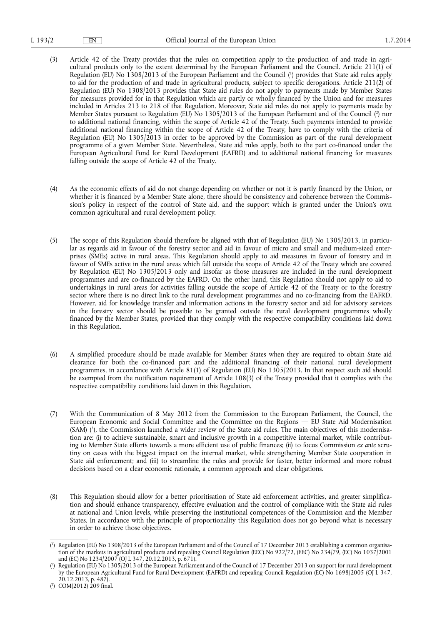(3) Article 42 of the Treaty provides that the rules on competition apply to the production of and trade in agricultural products only to the extent determined by the European Parliament and the Council. Article 211(1) of Regulation (EU) No 1308/2013 of the European Parliament and the Council ( 1 ) provides that State aid rules apply to aid for the production of and trade in agricultural products, subject to specific derogations. Article 211(2) of Regulation (EU) No 1308/2013 provides that State aid rules do not apply to payments made by Member States for measures provided for in that Regulation which are partly or wholly financed by the Union and for measures included in Articles 213 to 218 of that Regulation. Moreover, State aid rules do not apply to payments made by Member States pursuant to Regulation (EU) No 1305/2013 of the European Parliament and of the Council ( 2 ) nor to additional national financing, within the scope of Article 42 of the Treaty. Such payments intended to provide additional national financing within the scope of Article 42 of the Treaty, have to comply with the criteria of Regulation (EU) No 1305/2013 in order to be approved by the Commission as part of the rural development programme of a given Member State. Nevertheless, State aid rules apply, both to the part co-financed under the European Agricultural Fund for Rural Development (EAFRD) and to additional national financing for measures falling outside the scope of Article 42 of the Treaty.

- (4) As the economic effects of aid do not change depending on whether or not it is partly financed by the Union, or whether it is financed by a Member State alone, there should be consistency and coherence between the Commission's policy in respect of the control of State aid, and the support which is granted under the Union's own common agricultural and rural development policy.
- (5) The scope of this Regulation should therefore be aligned with that of Regulation (EU) No 1305/2013, in particular as regards aid in favour of the forestry sector and aid in favour of micro and small and medium-sized enterprises (SMEs) active in rural areas. This Regulation should apply to aid measures in favour of forestry and in favour of SMEs active in the rural areas which fall outside the scope of Article 42 of the Treaty which are covered by Regulation (EU) No 1305/2013 only and insofar as those measures are included in the rural development programmes and are co-financed by the EAFRD. On the other hand, this Regulation should not apply to aid to undertakings in rural areas for activities falling outside the scope of Article 42 of the Treaty or to the forestry sector where there is no direct link to the rural development programmes and no co-financing from the EAFRD. However, aid for knowledge transfer and information actions in the forestry sector and aid for advisory services in the forestry sector should be possible to be granted outside the rural development programmes wholly financed by the Member States, provided that they comply with the respective compatibility conditions laid down in this Regulation.
- (6) A simplified procedure should be made available for Member States when they are required to obtain State aid clearance for both the co-financed part and the additional financing of their national rural development programmes, in accordance with Article 81(1) of Regulation (EU) No 1305/2013. In that respect such aid should be exempted from the notification requirement of Article 108(3) of the Treaty provided that it complies with the respective compatibility conditions laid down in this Regulation.
- (7) With the Communication of 8 May 2012 from the Commission to the European Parliament, the Council, the European Economic and Social Committee and the Committee on the Regions — EU State Aid Modernisation (SAM) ( 3 ), the Commission launched a wider review of the State aid rules. The main objectives of this modernisation are: (i) to achieve sustainable, smart and inclusive growth in a competitive internal market, while contributing to Member State efforts towards a more efficient use of public finances; (ii) to focus Commission *ex ante* scrutiny on cases with the biggest impact on the internal market, while strengthening Member State cooperation in State aid enforcement; and (iii) to streamline the rules and provide for faster, better informed and more robust decisions based on a clear economic rationale, a common approach and clear obligations.
- (8) This Regulation should allow for a better prioritisation of State aid enforcement activities, and greater simplification and should enhance transparency, effective evaluation and the control of compliance with the State aid rules at national and Union levels, while preserving the institutional competences of the Commission and the Member States. In accordance with the principle of proportionality this Regulation does not go beyond what is necessary in order to achieve those objectives.

<sup>(</sup> 1 ) Regulation (EU) No 1308/2013 of the European Parliament and of the Council of 17 December 2013 establishing a common organisation of the markets in agricultural products and repealing Council Regulation (EEC) No 922/72, (EEC) No 234/79, (EC) No 1037/2001 and (EC) No 1234/2007 (OJ L 347, 20.12.2013, p. 671).

<sup>(</sup> 2 ) Regulation (EU) No 1305/2013 of the European Parliament and of the Council of 17 December 2013 on support for rural development by the European Agricultural Fund for Rural Development (EAFRD) and repealing Council Regulation (EC) No 1698/2005 (OJ L 347, 20.12.2013, p. 487).

<sup>(</sup> 3 ) COM(2012) 209 final.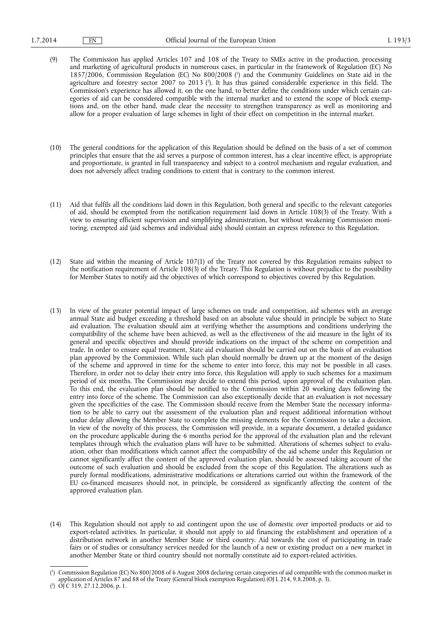- (9) The Commission has applied Articles 107 and 108 of the Treaty to SMEs active in the production, processing and marketing of agricultural products in numerous cases, in particular in the framework of Regulation (EC) No 1857/2006, Commission Regulation (EC) No 800/2008 ( 1 ) and the Community Guidelines on State aid in the agriculture and forestry sector 2007 to 2013 ( 2 ). It has thus gained considerable experience in this field. The Commission's experience has allowed it, on the one hand, to better define the conditions under which certain categories of aid can be considered compatible with the internal market and to extend the scope of block exemptions and, on the other hand, made clear the necessity to strengthen transparency as well as monitoring and allow for a proper evaluation of large schemes in light of their effect on competition in the internal market.
- (10) The general conditions for the application of this Regulation should be defined on the basis of a set of common principles that ensure that the aid serves a purpose of common interest, has a clear incentive effect, is appropriate and proportionate, is granted in full transparency and subject to a control mechanism and regular evaluation, and does not adversely affect trading conditions to extent that is contrary to the common interest.
- (11) Aid that fulfils all the conditions laid down in this Regulation, both general and specific to the relevant categories of aid, should be exempted from the notification requirement laid down in Article 108(3) of the Treaty. With a view to ensuring efficient supervision and simplifying administration, but without weakening Commission monitoring, exempted aid (aid schemes and individual aids) should contain an express reference to this Regulation.
- (12) State aid within the meaning of Article 107(1) of the Treaty not covered by this Regulation remains subject to the notification requirement of Article 108(3) of the Treaty. This Regulation is without prejudice to the possibility for Member States to notify aid the objectives of which correspond to objectives covered by this Regulation.
- (13) In view of the greater potential impact of large schemes on trade and competition, aid schemes with an average annual State aid budget exceeding a threshold based on an absolute value should in principle be subject to State aid evaluation. The evaluation should aim at verifying whether the assumptions and conditions underlying the compatibility of the scheme have been achieved, as well as the effectiveness of the aid measure in the light of its general and specific objectives and should provide indications on the impact of the scheme on competition and trade. In order to ensure equal treatment, State aid evaluation should be carried out on the basis of an evaluation plan approved by the Commission. While such plan should normally be drawn up at the moment of the design of the scheme and approved in time for the scheme to enter into force, this may not be possible in all cases. Therefore, in order not to delay their entry into force, this Regulation will apply to such schemes for a maximum period of six months. The Commission may decide to extend this period, upon approval of the evaluation plan. To this end, the evaluation plan should be notified to the Commission within 20 working days following the entry into force of the scheme. The Commission can also exceptionally decide that an evaluation is not necessary given the specificities of the case. The Commission should receive from the Member State the necessary information to be able to carry out the assessment of the evaluation plan and request additional information without undue delay allowing the Member State to complete the missing elements for the Commission to take a decision. In view of the novelty of this process, the Commission will provide, in a separate document, a detailed guidance on the procedure applicable during the 6 months period for the approval of the evaluation plan and the relevant templates through which the evaluation plans will have to be submitted. Alterations of schemes subject to evaluation, other than modifications which cannot affect the compatibility of the aid scheme under this Regulation or cannot significantly affect the content of the approved evaluation plan, should be assessed taking account of the outcome of such evaluation and should be excluded from the scope of this Regulation. The alterations such as purely formal modifications, administrative modifications or alterations carried out within the framework of the EU co-financed measures should not, in principle, be considered as significantly affecting the content of the approved evaluation plan.
- (14) This Regulation should not apply to aid contingent upon the use of domestic over imported products or aid to export-related activities. In particular, it should not apply to aid financing the establishment and operation of a distribution network in another Member State or third country. Aid towards the cost of participating in trade fairs or of studies or consultancy services needed for the launch of a new or existing product on a new market in another Member State or third country should not normally constitute aid to export-related activities.

<sup>(</sup> 1 ) Commission Regulation (EC) No 800/2008 of 6 August 2008 declaring certain categories of aid compatible with the common market in application of Articles 87 and 88 of the Treaty (General block exemption Regulation) (OJ L 214, 9.8.2008, p. 3).

<sup>(</sup> 2 ) OJ C 319, 27.12.2006, p. 1.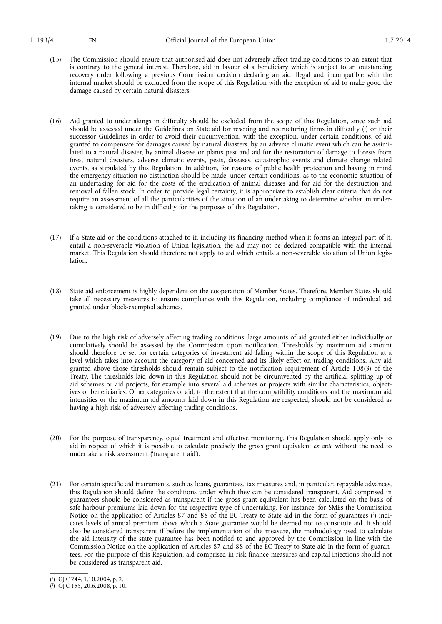- (15) The Commission should ensure that authorised aid does not adversely affect trading conditions to an extent that is contrary to the general interest. Therefore, aid in favour of a beneficiary which is subject to an outstanding recovery order following a previous Commission decision declaring an aid illegal and incompatible with the internal market should be excluded from the scope of this Regulation with the exception of aid to make good the damage caused by certain natural disasters.
- (16) Aid granted to undertakings in difficulty should be excluded from the scope of this Regulation, since such aid should be assessed under the Guidelines on State aid for rescuing and restructuring firms in difficulty ( 1 ) or their successor Guidelines in order to avoid their circumvention, with the exception, under certain conditions, of aid granted to compensate for damages caused by natural disasters, by an adverse climatic event which can be assimilated to a natural disaster, by animal disease or plants pest and aid for the restoration of damage to forests from fires, natural disasters, adverse climatic events, pests, diseases, catastrophic events and climate change related events, as stipulated by this Regulation. In addition, for reasons of public health protection and having in mind the emergency situation no distinction should be made, under certain conditions, as to the economic situation of an undertaking for aid for the costs of the eradication of animal diseases and for aid for the destruction and removal of fallen stock. In order to provide legal certainty, it is appropriate to establish clear criteria that do not require an assessment of all the particularities of the situation of an undertaking to determine whether an undertaking is considered to be in difficulty for the purposes of this Regulation.
- (17) If a State aid or the conditions attached to it, including its financing method when it forms an integral part of it, entail a non-severable violation of Union legislation, the aid may not be declared compatible with the internal market. This Regulation should therefore not apply to aid which entails a non-severable violation of Union legislation.
- (18) State aid enforcement is highly dependent on the cooperation of Member States. Therefore, Member States should take all necessary measures to ensure compliance with this Regulation, including compliance of individual aid granted under block-exempted schemes.
- (19) Due to the high risk of adversely affecting trading conditions, large amounts of aid granted either individually or cumulatively should be assessed by the Commission upon notification. Thresholds by maximum aid amount should therefore be set for certain categories of investment aid falling within the scope of this Regulation at a level which takes into account the category of aid concerned and its likely effect on trading conditions. Any aid granted above those thresholds should remain subject to the notification requirement of Article 108(3) of the Treaty. The thresholds laid down in this Regulation should not be circumvented by the artificial splitting up of aid schemes or aid projects, for example into several aid schemes or projects with similar characteristics, objectives or beneficiaries. Other categories of aid, to the extent that the compatibility conditions and the maximum aid intensities or the maximum aid amounts laid down in this Regulation are respected, should not be considered as having a high risk of adversely affecting trading conditions.
- (20) For the purpose of transparency, equal treatment and effective monitoring, this Regulation should apply only to aid in respect of which it is possible to calculate precisely the gross grant equivalent *ex ante* without the need to undertake a risk assessment ('transparent aid').
- (21) For certain specific aid instruments, such as loans, guarantees, tax measures and, in particular, repayable advances, this Regulation should define the conditions under which they can be considered transparent. Aid comprised in guarantees should be considered as transparent if the gross grant equivalent has been calculated on the basis of safe-harbour premiums laid down for the respective type of undertaking. For instance, for SMEs the Commission Notice on the application of Articles 87 and 88 of the EC Treaty to State aid in the form of guarantees ( 2 ) indicates levels of annual premium above which a State guarantee would be deemed not to constitute aid. It should also be considered transparent if before the implementation of the measure, the methodology used to calculate the aid intensity of the state guarantee has been notified to and approved by the Commission in line with the Commission Notice on the application of Articles 87 and 88 of the EC Treaty to State aid in the form of guarantees. For the purpose of this Regulation, aid comprised in risk finance measures and capital injections should not be considered as transparent aid.

<sup>(</sup> 1 ) OJ C 244, 1.10.2004, p. 2.

<sup>(</sup> 2 ) OJ C 155, 20.6.2008, p. 10.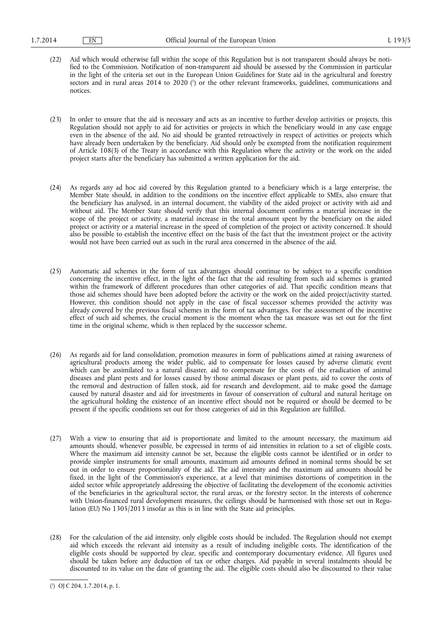- (22) Aid which would otherwise fall within the scope of this Regulation but is not transparent should always be notified to the Commission. Notification of non-transparent aid should be assessed by the Commission in particular in the light of the criteria set out in the European Union Guidelines for State aid in the agricultural and forestry sectors and in rural areas 2014 to 2020 ( 1 ) or the other relevant frameworks, guidelines, communications and notices.
- (23) In order to ensure that the aid is necessary and acts as an incentive to further develop activities or projects, this Regulation should not apply to aid for activities or projects in which the beneficiary would in any case engage even in the absence of the aid. No aid should be granted retroactively in respect of activities or projects which have already been undertaken by the beneficiary. Aid should only be exempted from the notification requirement of Article 108(3) of the Treaty in accordance with this Regulation where the activity or the work on the aided project starts after the beneficiary has submitted a written application for the aid.
- (24) As regards any ad hoc aid covered by this Regulation granted to a beneficiary which is a large enterprise, the Member State should, in addition to the conditions on the incentive effect applicable to SMEs, also ensure that the beneficiary has analysed, in an internal document, the viability of the aided project or activity with aid and without aid. The Member State should verify that this internal document confirms a material increase in the scope of the project or activity, a material increase in the total amount spent by the beneficiary on the aided project or activity or a material increase in the speed of completion of the project or activity concerned. It should also be possible to establish the incentive effect on the basis of the fact that the investment project or the activity would not have been carried out as such in the rural area concerned in the absence of the aid.
- (25) Automatic aid schemes in the form of tax advantages should continue to be subject to a specific condition concerning the incentive effect, in the light of the fact that the aid resulting from such aid schemes is granted within the framework of different procedures than other categories of aid. That specific condition means that those aid schemes should have been adopted before the activity or the work on the aided project/activity started. However, this condition should not apply in the case of fiscal successor schemes provided the activity was already covered by the previous fiscal schemes in the form of tax advantages. For the assessment of the incentive effect of such aid schemes, the crucial moment is the moment when the tax measure was set out for the first time in the original scheme, which is then replaced by the successor scheme.
- (26) As regards aid for land consolidation, promotion measures in form of publications aimed at raising awareness of agricultural products among the wider public, aid to compensate for losses caused by adverse climatic event which can be assimilated to a natural disaster, aid to compensate for the costs of the eradication of animal diseases and plant pests and for losses caused by those animal diseases or plant pests, aid to cover the costs of the removal and destruction of fallen stock, aid for research and development, aid to make good the damage caused by natural disaster and aid for investments in favour of conservation of cultural and natural heritage on the agricultural holding the existence of an incentive effect should not be required or should be deemed to be present if the specific conditions set out for those categories of aid in this Regulation are fulfilled.
- (27) With a view to ensuring that aid is proportionate and limited to the amount necessary, the maximum aid amounts should, whenever possible, be expressed in terms of aid intensities in relation to a set of eligible costs. Where the maximum aid intensity cannot be set, because the eligible costs cannot be identified or in order to provide simpler instruments for small amounts, maximum aid amounts defined in nominal terms should be set out in order to ensure proportionality of the aid. The aid intensity and the maximum aid amounts should be fixed, in the light of the Commission's experience, at a level that minimises distortions of competition in the aided sector while appropriately addressing the objective of facilitating the development of the economic activities of the beneficiaries in the agricultural sector, the rural areas, or the forestry sector. In the interests of coherence with Union-financed rural development measures, the ceilings should be harmonised with those set out in Regulation (EU) No 1305/2013 insofar as this is in line with the State aid principles.
- (28) For the calculation of the aid intensity, only eligible costs should be included. The Regulation should not exempt aid which exceeds the relevant aid intensity as a result of including ineligible costs. The identification of the eligible costs should be supported by clear, specific and contemporary documentary evidence. All figures used should be taken before any deduction of tax or other charges. Aid payable in several instalments should be discounted to its value on the date of granting the aid. The eligible costs should also be discounted to their value

<sup>(</sup> 1 ) OJ C 204, 1.7.2014, p. 1.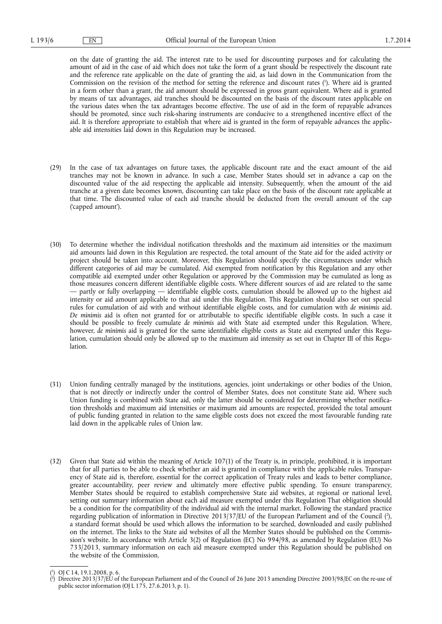on the date of granting the aid. The interest rate to be used for discounting purposes and for calculating the amount of aid in the case of aid which does not take the form of a grant should be respectively the discount rate and the reference rate applicable on the date of granting the aid, as laid down in the Communication from the Commission on the revision of the method for setting the reference and discount rates ( 1 ). Where aid is granted in a form other than a grant, the aid amount should be expressed in gross grant equivalent. Where aid is granted by means of tax advantages, aid tranches should be discounted on the basis of the discount rates applicable on the various dates when the tax advantages become effective. The use of aid in the form of repayable advances should be promoted, since such risk-sharing instruments are conducive to a strengthened incentive effect of the aid. It is therefore appropriate to establish that where aid is granted in the form of repayable advances the applicable aid intensities laid down in this Regulation may be increased.

- (29) In the case of tax advantages on future taxes, the applicable discount rate and the exact amount of the aid tranches may not be known in advance. In such a case, Member States should set in advance a cap on the discounted value of the aid respecting the applicable aid intensity. Subsequently, when the amount of the aid tranche at a given date becomes known, discounting can take place on the basis of the discount rate applicable at that time. The discounted value of each aid tranche should be deducted from the overall amount of the cap ('capped amount').
- (30) To determine whether the individual notification thresholds and the maximum aid intensities or the maximum aid amounts laid down in this Regulation are respected, the total amount of the State aid for the aided activity or project should be taken into account. Moreover, this Regulation should specify the circumstances under which different categories of aid may be cumulated. Aid exempted from notification by this Regulation and any other compatible aid exempted under other Regulation or approved by the Commission may be cumulated as long as those measures concern different identifiable eligible costs. Where different sources of aid are related to the same — partly or fully overlapping — identifiable eligible costs, cumulation should be allowed up to the highest aid intensity or aid amount applicable to that aid under this Regulation. This Regulation should also set out special rules for cumulation of aid with and without identifiable eligible costs, and for cumulation with *de minimis* aid. *De minimis* aid is often not granted for or attributable to specific identifiable eligible costs. In such a case it should be possible to freely cumulate *de minimis* aid with State aid exempted under this Regulation. Where, however, *de minimis* aid is granted for the same identifiable eligible costs as State aid exempted under this Regulation, cumulation should only be allowed up to the maximum aid intensity as set out in Chapter III of this Regulation.
- (31) Union funding centrally managed by the institutions, agencies, joint undertakings or other bodies of the Union, that is not directly or indirectly under the control of Member States, does not constitute State aid. Where such Union funding is combined with State aid, only the latter should be considered for determining whether notification thresholds and maximum aid intensities or maximum aid amounts are respected, provided the total amount of public funding granted in relation to the same eligible costs does not exceed the most favourable funding rate laid down in the applicable rules of Union law.
- (32) Given that State aid within the meaning of Article 107(1) of the Treaty is, in principle, prohibited, it is important that for all parties to be able to check whether an aid is granted in compliance with the applicable rules. Transparency of State aid is, therefore, essential for the correct application of Treaty rules and leads to better compliance, greater accountability, peer review and ultimately more effective public spending. To ensure transparency, Member States should be required to establish comprehensive State aid websites, at regional or national level, setting out summary information about each aid measure exempted under this Regulation That obligation should be a condition for the compatibility of the individual aid with the internal market. Following the standard practice regarding publication of information in Directive 2013/37/EU of the European Parliament and of the Council (?), a standard format should be used which allows the information to be searched, downloaded and easily published on the internet. The links to the State aid websites of all the Member States should be published on the Commission's website. In accordance with Article 3(2) of Regulation (EC) No 994/98, as amended by Regulation (EU) No 733/2013, summary information on each aid measure exempted under this Regulation should be published on the website of the Commission.

<sup>(</sup> 1 ) OJ C 14, 19.1.2008, p. 6.

<sup>(</sup> 2 ) Directive 2013/37/EU of the European Parliament and of the Council of 26 June 2013 amending Directive 2003/98/EC on the re-use of public sector information (OJ L 175, 27.6.2013, p. 1).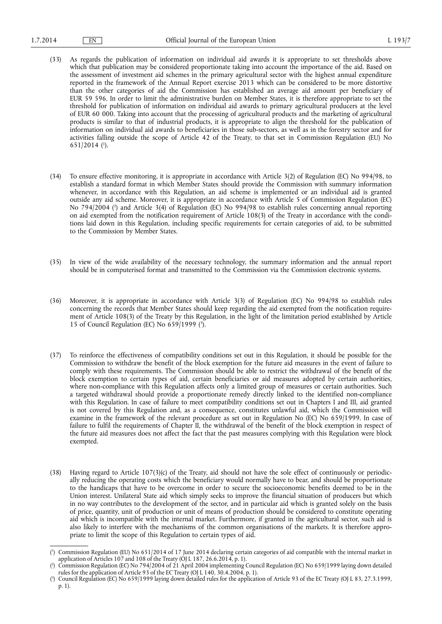- (33) As regards the publication of information on individual aid awards it is appropriate to set thresholds above which that publication may be considered proportionate taking into account the importance of the aid. Based on the assessment of investment aid schemes in the primary agricultural sector with the highest annual expenditure reported in the framework of the Annual Report exercise 2013 which can be considered to be more distortive than the other categories of aid the Commission has established an average aid amount per beneficiary of EUR 59 596. In order to limit the administrative burden on Member States, it is therefore appropriate to set the threshold for publication of information on individual aid awards to primary agricultural producers at the level of EUR 60 000. Taking into account that the processing of agricultural products and the marketing of agricultural products is similar to that of industrial products, it is appropriate to align the threshold for the publication of information on individual aid awards to beneficiaries in those sub-sectors, as well as in the forestry sector and for activities falling outside the scope of Article 42 of the Treaty, to that set in Commission Regulation (EU) No 651/2014 ( 1 ).
- (34) To ensure effective monitoring, it is appropriate in accordance with Article 3(2) of Regulation (EC) No 994/98, to establish a standard format in which Member States should provide the Commission with summary information whenever, in accordance with this Regulation, an aid scheme is implemented or an individual aid is granted outside any aid scheme. Moreover, it is appropriate in accordance with Article 5 of Commission Regulation (EC) No 794/2004 ( 2 ) and Article 3(4) of Regulation (EC) No 994/98 to establish rules concerning annual reporting on aid exempted from the notification requirement of Article 108(3) of the Treaty in accordance with the conditions laid down in this Regulation, including specific requirements for certain categories of aid, to be submitted to the Commission by Member States.
- (35) In view of the wide availability of the necessary technology, the summary information and the annual report should be in computerised format and transmitted to the Commission via the Commission electronic systems.
- (36) Moreover, it is appropriate in accordance with Article 3(3) of Regulation (EC) No 994/98 to establish rules concerning the records that Member States should keep regarding the aid exempted from the notification requirement of Article 108(3) of the Treaty by this Regulation, in the light of the limitation period established by Article 15 of Council Regulation (EC) No 659/1999 ( 3 ).
- (37) To reinforce the effectiveness of compatibility conditions set out in this Regulation, it should be possible for the Commission to withdraw the benefit of the block exemption for the future aid measures in the event of failure to comply with these requirements. The Commission should be able to restrict the withdrawal of the benefit of the block exemption to certain types of aid, certain beneficiaries or aid measures adopted by certain authorities, where non-compliance with this Regulation affects only a limited group of measures or certain authorities. Such a targeted withdrawal should provide a proportionate remedy directly linked to the identified non-compliance with this Regulation. In case of failure to meet compatibility conditions set out in Chapters I and III, aid granted is not covered by this Regulation and, as a consequence, constitutes unlawful aid, which the Commission will examine in the framework of the relevant procedure as set out in Regulation No (EC) No 659/1999. In case of failure to fulfil the requirements of Chapter II, the withdrawal of the benefit of the block exemption in respect of the future aid measures does not affect the fact that the past measures complying with this Regulation were block exempted.
- (38) Having regard to Article 107(3)(c) of the Treaty, aid should not have the sole effect of continuously or periodically reducing the operating costs which the beneficiary would normally have to bear, and should be proportionate to the handicaps that have to be overcome in order to secure the socioeconomic benefits deemed to be in the Union interest. Unilateral State aid which simply seeks to improve the financial situation of producers but which in no way contributes to the development of the sector, and in particular aid which is granted solely on the basis of price, quantity, unit of production or unit of means of production should be considered to constitute operating aid which is incompatible with the internal market. Furthermore, if granted in the agricultural sector, such aid is also likely to interfere with the mechanisms of the common organisations of the markets. It is therefore appropriate to limit the scope of this Regulation to certain types of aid.

<sup>(</sup> 1 ) Commission Regulation (EU) No 651/2014 of 17 June 2014 declaring certain categories of aid compatible with the internal market in application of Articles 107 and 108 of the Treaty (OJ L 187, 26.6.2014, p. 1).

<sup>(</sup> 2 ) Commission Regulation (EC) No 794/2004 of 21 April 2004 implementing Council Regulation (EC) No 659/1999 laying down detailed rules for the application of Article 93 of the EC Treaty (OJ L 140, 30.4.2004, p. 1).

<sup>(</sup> 3 ) Council Regulation (EC) No 659/1999 laying down detailed rules for the application of Article 93 of the EC Treaty (OJ L 83, 27.3.1999, p. 1).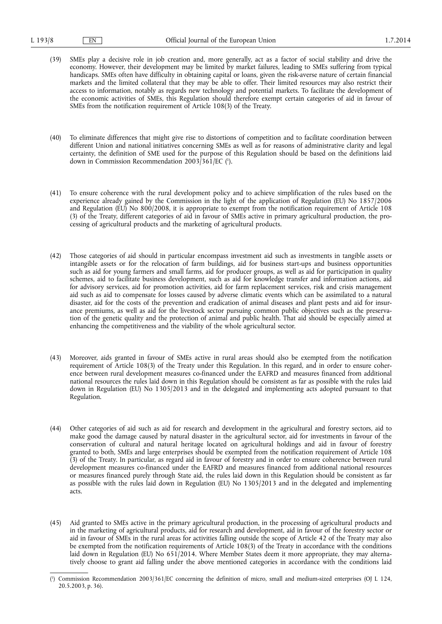- (39) SMEs play a decisive role in job creation and, more generally, act as a factor of social stability and drive the economy. However, their development may be limited by market failures, leading to SMEs suffering from typical handicaps. SMEs often have difficulty in obtaining capital or loans, given the risk-averse nature of certain financial markets and the limited collateral that they may be able to offer. Their limited resources may also restrict their access to information, notably as regards new technology and potential markets. To facilitate the development of the economic activities of SMEs, this Regulation should therefore exempt certain categories of aid in favour of SMEs from the notification requirement of Article 108(3) of the Treaty.
- (40) To eliminate differences that might give rise to distortions of competition and to facilitate coordination between different Union and national initiatives concerning SMEs as well as for reasons of administrative clarity and legal certainty, the definition of SME used for the purpose of this Regulation should be based on the definitions laid down in Commission Recommendation 2003/361/EC ( 1 ).
- (41) To ensure coherence with the rural development policy and to achieve simplification of the rules based on the experience already gained by the Commission in the light of the application of Regulation (EU) No 1857/2006 and Regulation (EU) No 800/2008, it is appropriate to exempt from the notification requirement of Article 108 (3) of the Treaty, different categories of aid in favour of SMEs active in primary agricultural production, the processing of agricultural products and the marketing of agricultural products.
- (42) Those categories of aid should in particular encompass investment aid such as investments in tangible assets or intangible assets or for the relocation of farm buildings, aid for business start-ups and business opportunities such as aid for young farmers and small farms, aid for producer groups, as well as aid for participation in quality schemes, aid to facilitate business development, such as aid for knowledge transfer and information actions, aid for advisory services, aid for promotion activities, aid for farm replacement services, risk and crisis management aid such as aid to compensate for losses caused by adverse climatic events which can be assimilated to a natural disaster, aid for the costs of the prevention and eradication of animal diseases and plant pests and aid for insurance premiums, as well as aid for the livestock sector pursuing common public objectives such as the preservation of the genetic quality and the protection of animal and public health. That aid should be especially aimed at enhancing the competitiveness and the viability of the whole agricultural sector.
- (43) Moreover, aids granted in favour of SMEs active in rural areas should also be exempted from the notification requirement of Article 108(3) of the Treaty under this Regulation. In this regard, and in order to ensure coherence between rural development measures co-financed under the EAFRD and measures financed from additional national resources the rules laid down in this Regulation should be consistent as far as possible with the rules laid down in Regulation (EU) No 1305/2013 and in the delegated and implementing acts adopted pursuant to that Regulation.
- (44) Other categories of aid such as aid for research and development in the agricultural and forestry sectors, aid to make good the damage caused by natural disaster in the agricultural sector, aid for investments in favour of the conservation of cultural and natural heritage located on agricultural holdings and aid in favour of forestry granted to both, SMEs and large enterprises should be exempted from the notification requirement of Article 108 (3) of the Treaty. In particular, as regard aid in favour of forestry and in order to ensure coherence between rural development measures co-financed under the EAFRD and measures financed from additional national resources or measures financed purely through State aid, the rules laid down in this Regulation should be consistent as far as possible with the rules laid down in Regulation (EU) No 1305/2013 and in the delegated and implementing acts.
- (45) Aid granted to SMEs active in the primary agricultural production, in the processing of agricultural products and in the marketing of agricultural products, aid for research and development, aid in favour of the forestry sector or aid in favour of SMEs in the rural areas for activities falling outside the scope of Article 42 of the Treaty may also be exempted from the notification requirements of Article 108(3) of the Treaty in accordance with the conditions laid down in Regulation (EU) No 651/2014. Where Member States deem it more appropriate, they may alternatively choose to grant aid falling under the above mentioned categories in accordance with the conditions laid

<sup>(</sup> 1 ) Commission Recommendation 2003/361/EC concerning the definition of micro, small and medium-sized enterprises (OJ L 124, 20.5.2003, p. 36).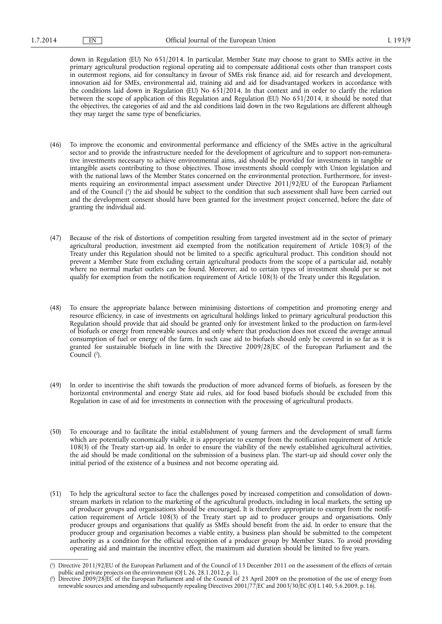down in Regulation (EU) No 651/2014. In particular, Member State may choose to grant to SMEs active in the primary agricultural production regional operating aid to compensate additional costs other than transport costs in outermost regions, aid for consultancy in favour of SMEs risk finance aid, aid for research and development, innovation aid for SMEs, environmental aid, training aid and aid for disadvantaged workers in accordance with the conditions laid down in Regulation (EU) No 651/2014. In that context and in order to clarify the relation between the scope of application of this Regulation and Regulation (EU) No 651/2014, it should be noted that the objectives, the categories of aid and the aid conditions laid down in the two Regulations are different although they may target the same type of beneficiaries.

- (46) To improve the economic and environmental performance and efficiency of the SMEs active in the agricultural sector and to provide the infrastructure needed for the development of agriculture and to support non-remunerative investments necessary to achieve environmental aims, aid should be provided for investments in tangible or intangible assets contributing to those objectives. Those investments should comply with Union legislation and with the national laws of the Member States concerned on the environmental protection. Furthermore, for investments requiring an environmental impact assessment under Directive 2011/92/EU of the European Parliament and of the Council ( 1 ) the aid should be subject to the condition that such assessment shall have been carried out and the development consent should have been granted for the investment project concerned, before the date of granting the individual aid.
- (47) Because of the risk of distortions of competition resulting from targeted investment aid in the sector of primary agricultural production, investment aid exempted from the notification requirement of Article 108(3) of the Treaty under this Regulation should not be limited to a specific agricultural product. This condition should not prevent a Member State from excluding certain agricultural products from the scope of a particular aid, notably where no normal market outlets can be found. Moreover, aid to certain types of investment should per se not qualify for exemption from the notification requirement of Article 108(3) of the Treaty under this Regulation.
- (48) To ensure the appropriate balance between minimising distortions of competition and promoting energy and resource efficiency, in case of investments on agricultural holdings linked to primary agricultural production this Regulation should provide that aid should be granted only for investment linked to the production on farm-level of biofuels or energy from renewable sources and only where that production does not exceed the average annual consumption of fuel or energy of the farm. In such case aid to biofuels should only be covered in so far as it is granted for sustainable biofuels in line with the Directive 2009/28/EC of the European Parliament and the Council ( 2 ).
- (49) In order to incentivise the shift towards the production of more advanced forms of biofuels, as foreseen by the horizontal environmental and energy State aid rules, aid for food based biofuels should be excluded from this Regulation in case of aid for investments in connection with the processing of agricultural products.
- (50) To encourage and to facilitate the initial establishment of young farmers and the development of small farms which are potentially economically viable, it is appropriate to exempt from the notification requirement of Article 108(3) of the Treaty start-up aid. In order to ensure the viability of the newly established agricultural activities, the aid should be made conditional on the submission of a business plan. The start-up aid should cover only the initial period of the existence of a business and not become operating aid.
- (51) To help the agricultural sector to face the challenges posed by increased competition and consolidation of downstream markets in relation to the marketing of the agricultural products, including in local markets, the setting up of producer groups and organisations should be encouraged. It is therefore appropriate to exempt from the notification requirement of Article 108(3) of the Treaty start up aid to producer groups and organisations. Only producer groups and organisations that qualify as SMEs should benefit from the aid. In order to ensure that the producer group and organisation becomes a viable entity, a business plan should be submitted to the competent authority as a condition for the official recognition of a producer group by Member States. To avoid providing operating aid and maintain the incentive effect, the maximum aid duration should be limited to five years.

<sup>(</sup> 1 ) Directive 2011/92/EU of the European Parliament and of the Council of 13 December 2011 on the assessment of the effects of certain public and private projects on the environment (OJ L 26, 28.1.2012, p. 1).

<sup>(</sup> 2 ) Directive 2009/28/EC of the European Parliament and of the Council of 23 April 2009 on the promotion of the use of energy from renewable sources and amending and subsequently repealing Directives 2001/77/EC and 2003/30/EC (OJ L 140, 5.6.2009, p. 16).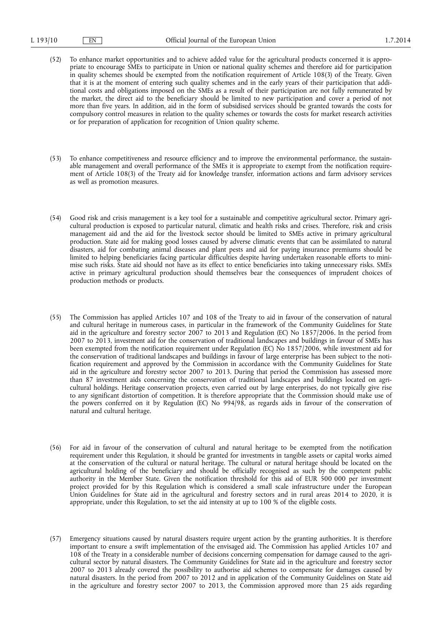- (52) To enhance market opportunities and to achieve added value for the agricultural products concerned it is appropriate to encourage SMEs to participate in Union or national quality schemes and therefore aid for participation in quality schemes should be exempted from the notification requirement of Article 108(3) of the Treaty. Given that it is at the moment of entering such quality schemes and in the early years of their participation that additional costs and obligations imposed on the SMEs as a result of their participation are not fully remunerated by the market, the direct aid to the beneficiary should be limited to new participation and cover a period of not more than five years. In addition, aid in the form of subsidised services should be granted towards the costs for compulsory control measures in relation to the quality schemes or towards the costs for market research activities or for preparation of application for recognition of Union quality scheme.
- (53) To enhance competitiveness and resource efficiency and to improve the environmental performance, the sustainable management and overall performance of the SMEs it is appropriate to exempt from the notification requirement of Article 108(3) of the Treaty aid for knowledge transfer, information actions and farm advisory services as well as promotion measures.
- (54) Good risk and crisis management is a key tool for a sustainable and competitive agricultural sector. Primary agricultural production is exposed to particular natural, climatic and health risks and crises. Therefore, risk and crisis management aid and the aid for the livestock sector should be limited to SMEs active in primary agricultural production. State aid for making good losses caused by adverse climatic events that can be assimilated to natural disasters, aid for combating animal diseases and plant pests and aid for paying insurance premiums should be limited to helping beneficiaries facing particular difficulties despite having undertaken reasonable efforts to minimise such risks. State aid should not have as its effect to entice beneficiaries into taking unnecessary risks. SMEs active in primary agricultural production should themselves bear the consequences of imprudent choices of production methods or products.
- (55) The Commission has applied Articles 107 and 108 of the Treaty to aid in favour of the conservation of natural and cultural heritage in numerous cases, in particular in the framework of the Community Guidelines for State aid in the agriculture and forestry sector 2007 to 2013 and Regulation (EC) No 1857/2006. In the period from 2007 to 2013, investment aid for the conservation of traditional landscapes and buildings in favour of SMEs has been exempted from the notification requirement under Regulation (EC) No 1857/2006, while investment aid for the conservation of traditional landscapes and buildings in favour of large enterprise has been subject to the notification requirement and approved by the Commission in accordance with the Community Guidelines for State aid in the agriculture and forestry sector 2007 to 2013. During that period the Commission has assessed more than 87 investment aids concerning the conservation of traditional landscapes and buildings located on agricultural holdings. Heritage conservation projects, even carried out by large enterprises, do not typically give rise to any significant distortion of competition. It is therefore appropriate that the Commission should make use of the powers conferred on it by Regulation (EC) No 994/98, as regards aids in favour of the conservation of natural and cultural heritage.
- (56) For aid in favour of the conservation of cultural and natural heritage to be exempted from the notification requirement under this Regulation, it should be granted for investments in tangible assets or capital works aimed at the conservation of the cultural or natural heritage. The cultural or natural heritage should be located on the agricultural holding of the beneficiary and should be officially recognised as such by the competent public authority in the Member State. Given the notification threshold for this aid of EUR 500 000 per investment project provided for by this Regulation which is considered a small scale infrastructure under the European Union Guidelines for State aid in the agricultural and forestry sectors and in rural areas 2014 to 2020, it is appropriate, under this Regulation, to set the aid intensity at up to 100 % of the eligible costs.
- (57) Emergency situations caused by natural disasters require urgent action by the granting authorities. It is therefore important to ensure a swift implementation of the envisaged aid. The Commission has applied Articles 107 and 108 of the Treaty in a considerable number of decisions concerning compensation for damage caused to the agricultural sector by natural disasters. The Community Guidelines for State aid in the agriculture and forestry sector 2007 to 2013 already covered the possibility to authorise aid schemes to compensate for damages caused by natural disasters. In the period from 2007 to 2012 and in application of the Community Guidelines on State aid in the agriculture and forestry sector 2007 to 2013, the Commission approved more than 25 aids regarding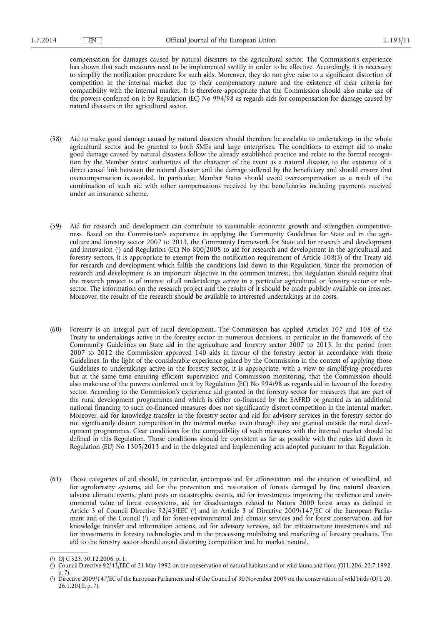compensation for damages caused by natural disasters to the agricultural sector. The Commission's experience has shown that such measures need to be implemented swiftly in order to be effective. Accordingly, it is necessary to simplify the notification procedure for such aids. Moreover, they do not give raise to a significant distortion of competition in the internal market due to their compensatory nature and the existence of clear criteria for compatibility with the internal market. It is therefore appropriate that the Commission should also make use of the powers conferred on it by Regulation (EC) No 994/98 as regards aids for compensation for damage caused by natural disasters in the agricultural sector.

- (58) Aid to make good damage caused by natural disasters should therefore be available to undertakings in the whole agricultural sector and be granted to both SMEs and large enterprises. The conditions to exempt aid to make good damage caused by natural disasters follow the already established practice and relate to the formal recognition by the Member States' authorities of the character of the event as a natural disaster, to the existence of a direct causal link between the natural disaster and the damage suffered by the beneficiary and should ensure that overcompensation is avoided. In particular, Member States should avoid overcompensation as a result of the combination of such aid with other compensations received by the beneficiaries including payments received under an insurance scheme.
- (59) Aid for research and development can contribute to sustainable economic growth and strengthen competitiveness. Based on the Commission's experience in applying the Community Guidelines for State aid in the agriculture and forestry sector 2007 to 2013, the Community Framework for State aid for research and development and innovation (') and Regulation (EC) No 800/2008 to aid for research and development in the agricultural and forestry sectors, it is appropriate to exempt from the notification requirement of Article 108(3) of the Treaty aid for research and development which fulfils the conditions laid down in this Regulation. Since the promotion of research and development is an important objective in the common interest, this Regulation should require that the research project is of interest of all undertakings active in a particular agricultural or forestry sector or subsector. The information on the research project and the results of it should be made publicly available on internet. Moreover, the results of the research should be available to interested undertakings at no costs.
- (60) Forestry is an integral part of rural development. The Commission has applied Articles 107 and 108 of the Treaty to undertakings active in the forestry sector in numerous decisions, in particular in the framework of the Community Guidelines on State aid in the agriculture and forestry sector 2007 to 2013. In the period from 2007 to 2012 the Commission approved 140 aids in favour of the forestry sector in accordance with those Guidelines. In the light of the considerable experience gained by the Commission in the context of applying those Guidelines to undertakings active in the forestry sector, it is appropriate, with a view to simplifying procedures but at the same time ensuring efficient supervision and Commission monitoring, that the Commission should also make use of the powers conferred on it by Regulation (EC) No 994/98 as regards aid in favour of the forestry sector. According to the Commission's experience aid granted in the forestry sector for measures that are part of the rural development programmes and which is either co-financed by the EAFRD or granted as an additional national financing to such co-financed measures does not significantly distort competition in the internal market. Moreover, aid for knowledge transfer in the forestry sector and aid for advisory services in the forestry sector do not significantly distort competition in the internal market even though they are granted outside the rural development programmes. Clear conditions for the compatibility of such measures with the internal market should be defined in this Regulation. Those conditions should be consistent as far as possible with the rules laid down in Regulation (EU) No 1305/2013 and in the delegated and implementing acts adopted pursuant to that Regulation.
- (61) Those categories of aid should, in particular, encompass aid for afforestation and the creation of woodland, aid for agroforestry systems, aid for the prevention and restoration of forests damaged by fire, natural disasters, adverse climatic events, plant pests or catastrophic events, aid for investments improving the resilience and environmental value of forest ecosystems, aid for disadvantages related to Natura 2000 forest areas as defined in Article 3 of Council Directive 92/43/EEC ( 2 ) and in Article 3 of Directive 2009/147/EC of the European Parliament and of the Council ( 3 ), aid for forest-environmental and climate services and for forest conservation, aid for knowledge transfer and information actions, aid for advisory services, aid for infrastructure investments and aid for investments in forestry technologies and in the processing mobilising and marketing of forestry products. The aid to the forestry sector should avoid distorting competition and be market neutral.

<sup>(</sup> 1 ) OJ C 323, 30.12.2006, p. 1.

<sup>(</sup> 2 ) Council Directive 92/43/EEC of 21 May 1992 on the conservation of natural habitats and of wild fauna and flora (OJ L 206, 22.7.1992, p. 7).

<sup>(</sup> 3 ) Directive 2009/147/EC of the European Parliament and of the Council of 30 November 2009 on the conservation of wild birds (OJ L 20, 26.1.2010, p. 7).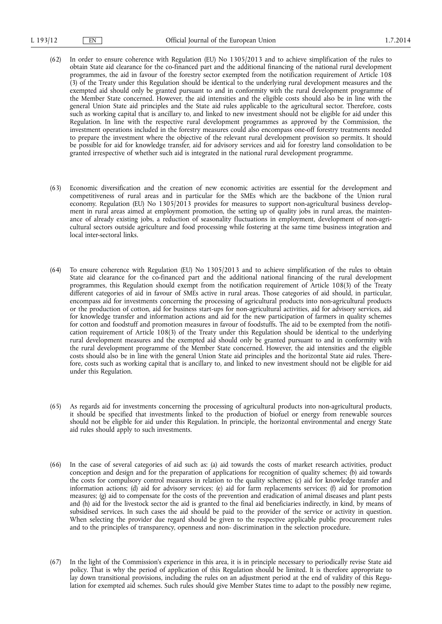- (62) In order to ensure coherence with Regulation (EU) No 1305/2013 and to achieve simplification of the rules to obtain State aid clearance for the co-financed part and the additional financing of the national rural development programmes, the aid in favour of the forestry sector exempted from the notification requirement of Article 108 (3) of the Treaty under this Regulation should be identical to the underlying rural development measures and the exempted aid should only be granted pursuant to and in conformity with the rural development programme of the Member State concerned. However, the aid intensities and the eligible costs should also be in line with the general Union State aid principles and the State aid rules applicable to the agricultural sector. Therefore, costs such as working capital that is ancillary to, and linked to new investment should not be eligible for aid under this Regulation. In line with the respective rural development programmes as approved by the Commission, the investment operations included in the forestry measures could also encompass one-off forestry treatments needed to prepare the investment where the objective of the relevant rural development provision so permits. It should be possible for aid for knowledge transfer, aid for advisory services and aid for forestry land consolidation to be granted irrespective of whether such aid is integrated in the national rural development programme.
- (63) Economic diversification and the creation of new economic activities are essential for the development and competitiveness of rural areas and in particular for the SMEs which are the backbone of the Union rural economy. Regulation (EU) No 1305/2013 provides for measures to support non-agricultural business development in rural areas aimed at employment promotion, the setting up of quality jobs in rural areas, the maintenance of already existing jobs, a reduction of seasonality fluctuations in employment, development of non-agricultural sectors outside agriculture and food processing while fostering at the same time business integration and local inter-sectoral links.
- (64) To ensure coherence with Regulation (EU) No 1305/2013 and to achieve simplification of the rules to obtain State aid clearance for the co-financed part and the additional national financing of the rural development programmes, this Regulation should exempt from the notification requirement of Article 108(3) of the Treaty different categories of aid in favour of SMEs active in rural areas. Those categories of aid should, in particular, encompass aid for investments concerning the processing of agricultural products into non-agricultural products or the production of cotton, aid for business start-ups for non-agricultural activities, aid for advisory services, aid for knowledge transfer and information actions and aid for the new participation of farmers in quality schemes for cotton and foodstuff and promotion measures in favour of foodstuffs. The aid to be exempted from the notification requirement of Article 108(3) of the Treaty under this Regulation should be identical to the underlying rural development measures and the exempted aid should only be granted pursuant to and in conformity with the rural development programme of the Member State concerned. However, the aid intensities and the eligible costs should also be in line with the general Union State aid principles and the horizontal State aid rules. Therefore, costs such as working capital that is ancillary to, and linked to new investment should not be eligible for aid under this Regulation.
- (65) As regards aid for investments concerning the processing of agricultural products into non-agricultural products, it should be specified that investments linked to the production of biofuel or energy from renewable sources should not be eligible for aid under this Regulation. In principle, the horizontal environmental and energy State aid rules should apply to such investments.
- (66) In the case of several categories of aid such as: (a) aid towards the costs of market research activities, product conception and design and for the preparation of applications for recognition of quality schemes; (b) aid towards the costs for compulsory control measures in relation to the quality schemes; (c) aid for knowledge transfer and information actions; (d) aid for advisory services; (e) aid for farm replacements services; (f) aid for promotion measures; (g) aid to compensate for the costs of the prevention and eradication of animal diseases and plant pests and (h) aid for the livestock sector the aid is granted to the final aid beneficiaries indirectly, in kind, by means of subsidised services. In such cases the aid should be paid to the provider of the service or activity in question. When selecting the provider due regard should be given to the respective applicable public procurement rules and to the principles of transparency, openness and non- discrimination in the selection procedure.
- (67) In the light of the Commission's experience in this area, it is in principle necessary to periodically revise State aid policy. That is why the period of application of this Regulation should be limited. It is therefore appropriate to lay down transitional provisions, including the rules on an adjustment period at the end of validity of this Regulation for exempted aid schemes. Such rules should give Member States time to adapt to the possibly new regime,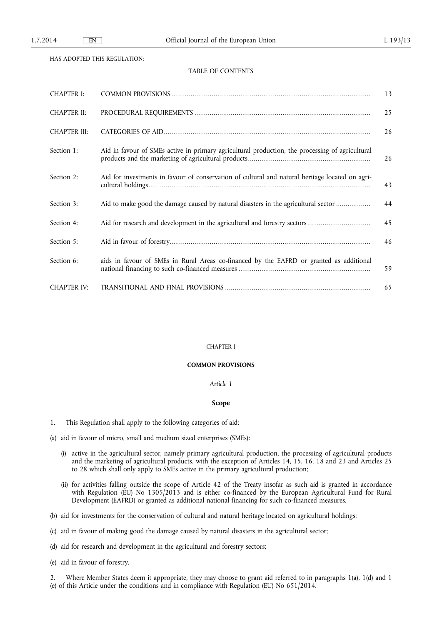HAS ADOPTED THIS REGULATION:

# TABLE OF CONTENTS

| <b>CHAPTER I:</b>   |                                                                                                 | 13 |
|---------------------|-------------------------------------------------------------------------------------------------|----|
| <b>CHAPTER II:</b>  |                                                                                                 | 25 |
| <b>CHAPTER III:</b> |                                                                                                 | 26 |
| Section 1:          | Aid in favour of SMEs active in primary agricultural production, the processing of agricultural | 26 |
| Section 2:          | Aid for investments in favour of conservation of cultural and natural heritage located on agri- | 43 |
| Section 3:          | Aid to make good the damage caused by natural disasters in the agricultural sector              | 44 |
| Section 4:          |                                                                                                 | 45 |
| Section 5:          |                                                                                                 | 46 |
| Section 6:          | aids in favour of SMEs in Rural Areas co-financed by the EAFRD or granted as additional         | 59 |
| <b>CHAPTER IV:</b>  |                                                                                                 | 65 |

## CHAPTER I

## **COMMON PROVISIONS**

## *Article 1*

## **Scope**

- 1. This Regulation shall apply to the following categories of aid:
- (a) aid in favour of micro, small and medium sized enterprises (SMEs):
	- (i) active in the agricultural sector, namely primary agricultural production, the processing of agricultural products and the marketing of agricultural products, with the exception of Articles 14, 15, 16, 18 and 23 and Articles 25 to 28 which shall only apply to SMEs active in the primary agricultural production;
	- (ii) for activities falling outside the scope of Article 42 of the Treaty insofar as such aid is granted in accordance with Regulation (EU) No 1305/2013 and is either co-financed by the European Agricultural Fund for Rural Development (EAFRD) or granted as additional national financing for such co-financed measures.
- (b) aid for investments for the conservation of cultural and natural heritage located on agricultural holdings;
- (c) aid in favour of making good the damage caused by natural disasters in the agricultural sector;
- (d) aid for research and development in the agricultural and forestry sectors;
- (e) aid in favour of forestry.

2. Where Member States deem it appropriate, they may choose to grant aid referred to in paragraphs 1(a), 1(d) and 1 (e) of this Article under the conditions and in compliance with Regulation (EU) No 651/2014.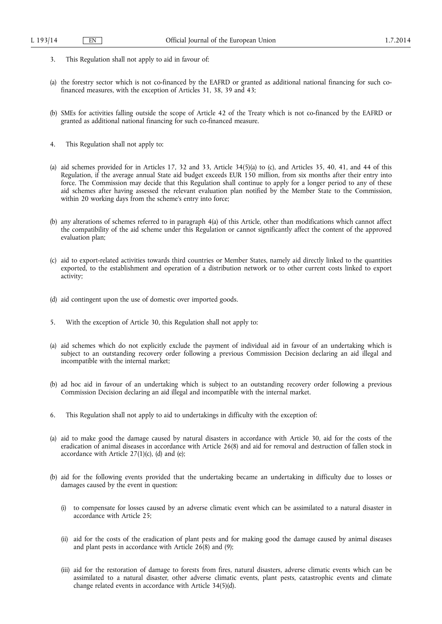- 3. This Regulation shall not apply to aid in favour of:
- (a) the forestry sector which is not co-financed by the EAFRD or granted as additional national financing for such cofinanced measures, with the exception of Articles 31, 38, 39 and 43;
- (b) SMEs for activities falling outside the scope of Article 42 of the Treaty which is not co-financed by the EAFRD or granted as additional national financing for such co-financed measure.
- 4. This Regulation shall not apply to:
- (a) aid schemes provided for in Articles 17, 32 and 33, Article  $34(5)(a)$  to (c), and Articles 35, 40, 41, and 44 of this Regulation, if the average annual State aid budget exceeds EUR 150 million, from six months after their entry into force. The Commission may decide that this Regulation shall continue to apply for a longer period to any of these aid schemes after having assessed the relevant evaluation plan notified by the Member State to the Commission, within 20 working days from the scheme's entry into force;
- (b) any alterations of schemes referred to in paragraph 4(a) of this Article, other than modifications which cannot affect the compatibility of the aid scheme under this Regulation or cannot significantly affect the content of the approved evaluation plan;
- (c) aid to export-related activities towards third countries or Member States, namely aid directly linked to the quantities exported, to the establishment and operation of a distribution network or to other current costs linked to export activity;
- (d) aid contingent upon the use of domestic over imported goods.
- 5. With the exception of Article 30, this Regulation shall not apply to:
- (a) aid schemes which do not explicitly exclude the payment of individual aid in favour of an undertaking which is subject to an outstanding recovery order following a previous Commission Decision declaring an aid illegal and incompatible with the internal market;
- (b) ad hoc aid in favour of an undertaking which is subject to an outstanding recovery order following a previous Commission Decision declaring an aid illegal and incompatible with the internal market.
- 6. This Regulation shall not apply to aid to undertakings in difficulty with the exception of:
- (a) aid to make good the damage caused by natural disasters in accordance with Article 30, aid for the costs of the eradication of animal diseases in accordance with Article 26(8) and aid for removal and destruction of fallen stock in accordance with Article  $27(1)(c)$ , (d) and (e);
- (b) aid for the following events provided that the undertaking became an undertaking in difficulty due to losses or damages caused by the event in question:
	- (i) to compensate for losses caused by an adverse climatic event which can be assimilated to a natural disaster in accordance with Article 25;
	- (ii) aid for the costs of the eradication of plant pests and for making good the damage caused by animal diseases and plant pests in accordance with Article  $26(8)$  and (9);
	- (iii) aid for the restoration of damage to forests from fires, natural disasters, adverse climatic events which can be assimilated to a natural disaster, other adverse climatic events, plant pests, catastrophic events and climate change related events in accordance with Article 34(5)(d).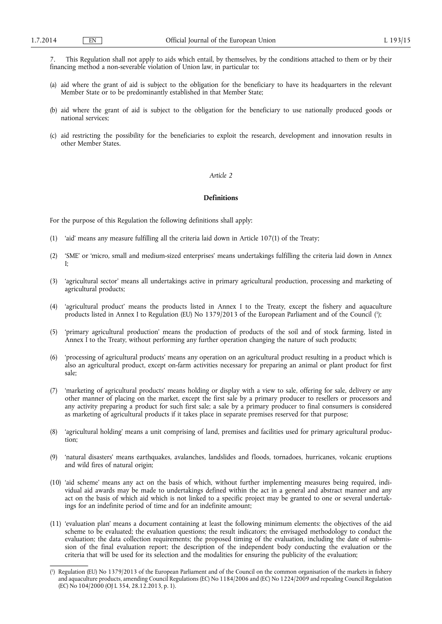7. This Regulation shall not apply to aids which entail, by themselves, by the conditions attached to them or by their financing method a non-severable violation of Union law, in particular to:

- (a) aid where the grant of aid is subject to the obligation for the beneficiary to have its headquarters in the relevant Member State or to be predominantly established in that Member State;
- (b) aid where the grant of aid is subject to the obligation for the beneficiary to use nationally produced goods or national services;
- (c) aid restricting the possibility for the beneficiaries to exploit the research, development and innovation results in other Member States.

# *Article 2*

## **Definitions**

For the purpose of this Regulation the following definitions shall apply:

- (1) 'aid' means any measure fulfilling all the criteria laid down in Article 107(1) of the Treaty;
- (2) 'SME' or 'micro, small and medium-sized enterprises' means undertakings fulfilling the criteria laid down in Annex I;
- (3) 'agricultural sector' means all undertakings active in primary agricultural production, processing and marketing of agricultural products;
- (4) 'agricultural product' means the products listed in Annex I to the Treaty, except the fishery and aquaculture products listed in Annex I to Regulation (EU) No 1379/2013 of the European Parliament and of the Council ( 1 );
- (5) 'primary agricultural production' means the production of products of the soil and of stock farming, listed in Annex I to the Treaty, without performing any further operation changing the nature of such products;
- (6) 'processing of agricultural products' means any operation on an agricultural product resulting in a product which is also an agricultural product, except on-farm activities necessary for preparing an animal or plant product for first sale;
- (7) 'marketing of agricultural products' means holding or display with a view to sale, offering for sale, delivery or any other manner of placing on the market, except the first sale by a primary producer to resellers or processors and any activity preparing a product for such first sale; a sale by a primary producer to final consumers is considered as marketing of agricultural products if it takes place in separate premises reserved for that purpose;
- (8) 'agricultural holding' means a unit comprising of land, premises and facilities used for primary agricultural production;
- (9) 'natural disasters' means earthquakes, avalanches, landslides and floods, tornadoes, hurricanes, volcanic eruptions and wild fires of natural origin;
- (10) 'aid scheme' means any act on the basis of which, without further implementing measures being required, individual aid awards may be made to undertakings defined within the act in a general and abstract manner and any act on the basis of which aid which is not linked to a specific project may be granted to one or several undertakings for an indefinite period of time and for an indefinite amount;
- (11) 'evaluation plan' means a document containing at least the following minimum elements: the objectives of the aid scheme to be evaluated; the evaluation questions; the result indicators; the envisaged methodology to conduct the evaluation; the data collection requirements; the proposed timing of the evaluation, including the date of submission of the final evaluation report; the description of the independent body conducting the evaluation or the criteria that will be used for its selection and the modalities for ensuring the publicity of the evaluation;

<sup>(</sup> 1 ) Regulation (EU) No 1379/2013 of the European Parliament and of the Council on the common organisation of the markets in fishery and aquaculture products, amending Council Regulations (EC) No 1184/2006 and (EC) No 1224/2009 and repealing Council Regulation (EC) No 104/2000 (OJ L 354, 28.12.2013, p. 1).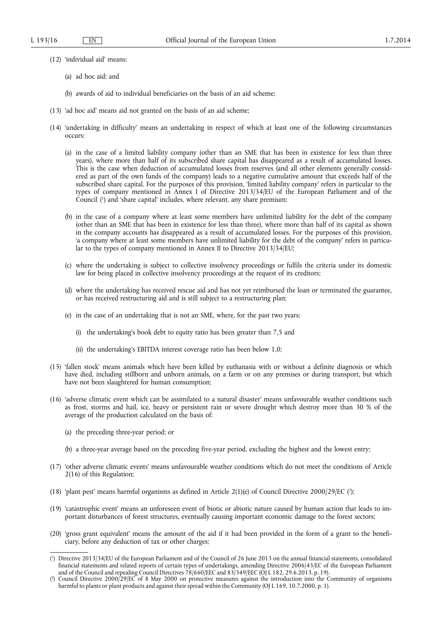- (12) 'individual aid' means:
	- (a) ad hoc aid; and
	- (b) awards of aid to individual beneficiaries on the basis of an aid scheme;
- (13) 'ad hoc aid' means aid not granted on the basis of an aid scheme;
- (14) 'undertaking in difficulty' means an undertaking in respect of which at least one of the following circumstances occurs:
	- (a) in the case of a limited liability company (other than an SME that has been in existence for less than three years), where more than half of its subscribed share capital has disappeared as a result of accumulated losses. This is the case when deduction of accumulated losses from reserves (and all other elements generally considered as part of the own funds of the company) leads to a negative cumulative amount that exceeds half of the subscribed share capital. For the purposes of this provision, 'limited liability company' refers in particular to the types of company mentioned in Annex I of Directive 2013/34/EU of the European Parliament and of the Council ( 1 ) and 'share capital' includes, where relevant, any share premium;
	- (b) in the case of a company where at least some members have unlimited liability for the debt of the company (other than an SME that has been in existence for less than three), where more than half of its capital as shown in the company accounts has disappeared as a result of accumulated losses. For the purposes of this provision, 'a company where at least some members have unlimited liability for the debt of the company' refers in particular to the types of company mentioned in Annex II to Directive 2013/34/EU;
	- (c) where the undertaking is subject to collective insolvency proceedings or fulfils the criteria under its domestic law for being placed in collective insolvency proceedings at the request of its creditors;
	- (d) where the undertaking has received rescue aid and has not yet reimbursed the loan or terminated the guarantee, or has received restructuring aid and is still subject to a restructuring plan;
	- (e) in the case of an undertaking that is not an SME, where, for the past two years:
		- (i) the undertaking's book debt to equity ratio has been greater than 7,5 and
		- (ii) the undertaking's EBITDA interest coverage ratio has been below 1,0;
- (15) 'fallen stock' means animals which have been killed by euthanasia with or without a definite diagnosis or which have died, including stillborn and unborn animals, on a farm or on any premises or during transport, but which have not been slaughtered for human consumption;
- (16) 'adverse climatic event which can be assimilated to a natural disaster' means unfavourable weather conditions such as frost, storms and hail, ice, heavy or persistent rain or severe drought which destroy more than 30 % of the average of the production calculated on the basis of:
	- (a) the preceding three-year period; or
	- (b) a three-year average based on the preceding five-year period, excluding the highest and the lowest entry;
- (17) 'other adverse climatic events' means unfavourable weather conditions which do not meet the conditions of Article 2(16) of this Regulation;
- (18) 'plant pest' means harmful organisms as defined in Article  $2(1)(e)$  of Council Directive 2000/29/EC (?);
- (19) 'catastrophic event' means an unforeseen event of biotic or abiotic nature caused by human action that leads to important disturbances of forest structures, eventually causing important economic damage to the forest sectors;
- (20) 'gross grant equivalent' means the amount of the aid if it had been provided in the form of a grant to the beneficiary, before any deduction of tax or other charges;

<sup>(</sup> 1 ) Directive 2013/34/EU of the European Parliament and of the Council of 26 June 2013 on the annual financial statements, consolidated financial statements and related reports of certain types of undertakings, amending Directive 2006/43/EC of the European Parliament and of the Council and repealing Council Directives 78/660/EEC and 83/349/EEC (OJ L 182, 29.6.2013, p. 19).

<sup>(</sup> 2 ) Council Directive 2000/29/EC of 8 May 2000 on protective measures against the introduction into the Community of organisms harmful to plants or plant products and against their spread within the Community (OJ L 169, 10.7.2000, p. 1).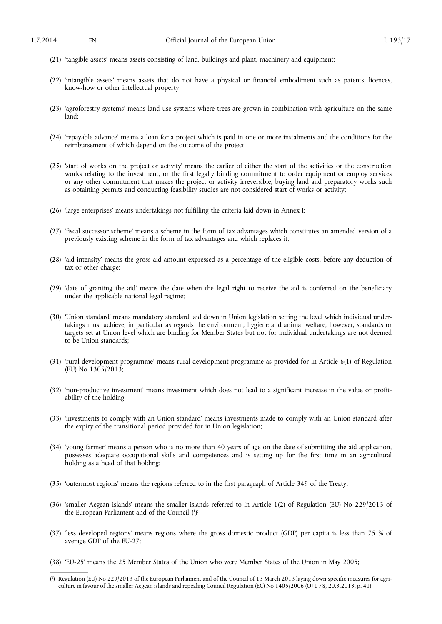- (21) 'tangible assets' means assets consisting of land, buildings and plant, machinery and equipment;
- (22) 'intangible assets' means assets that do not have a physical or financial embodiment such as patents, licences, know-how or other intellectual property;
- (23) 'agroforestry systems' means land use systems where trees are grown in combination with agriculture on the same land;
- (24) 'repayable advance' means a loan for a project which is paid in one or more instalments and the conditions for the reimbursement of which depend on the outcome of the project;
- (25) 'start of works on the project or activity' means the earlier of either the start of the activities or the construction works relating to the investment, or the first legally binding commitment to order equipment or employ services or any other commitment that makes the project or activity irreversible; buying land and preparatory works such as obtaining permits and conducting feasibility studies are not considered start of works or activity;
- (26) 'large enterprises' means undertakings not fulfilling the criteria laid down in Annex I;
- (27) 'fiscal successor scheme' means a scheme in the form of tax advantages which constitutes an amended version of a previously existing scheme in the form of tax advantages and which replaces it;
- (28) 'aid intensity' means the gross aid amount expressed as a percentage of the eligible costs, before any deduction of tax or other charge;
- (29) 'date of granting the aid' means the date when the legal right to receive the aid is conferred on the beneficiary under the applicable national legal regime;
- (30) 'Union standard' means mandatory standard laid down in Union legislation setting the level which individual undertakings must achieve, in particular as regards the environment, hygiene and animal welfare; however, standards or targets set at Union level which are binding for Member States but not for individual undertakings are not deemed to be Union standards;
- (31) 'rural development programme' means rural development programme as provided for in Article 6(1) of Regulation (EU) No 1305/2013;
- (32) 'non-productive investment' means investment which does not lead to a significant increase in the value or profitability of the holding;
- (33) 'investments to comply with an Union standard' means investments made to comply with an Union standard after the expiry of the transitional period provided for in Union legislation;
- (34) 'young farmer' means a person who is no more than 40 years of age on the date of submitting the aid application, possesses adequate occupational skills and competences and is setting up for the first time in an agricultural holding as a head of that holding;
- (35) 'outermost regions' means the regions referred to in the first paragraph of Article 349 of the Treaty;
- (36) 'smaller Aegean islands' means the smaller islands referred to in Article 1(2) of Regulation (EU) No 229/2013 of the European Parliament and of the Council ( 1 ) ;
- (37) 'less developed regions' means regions where the gross domestic product (GDP) per capita is less than 75 % of average GDP of the EU-27;
- (38) 'EU-25' means the 25 Member States of the Union who were Member States of the Union in May 2005;

<sup>(</sup> 1 ) Regulation (EU) No 229/2013 of the European Parliament and of the Council of 13 March 2013 laying down specific measures for agriculture in favour of the smaller Aegean islands and repealing Council Regulation (EC) No 1405/2006 (OJ L 78, 20.3.2013, p. 41).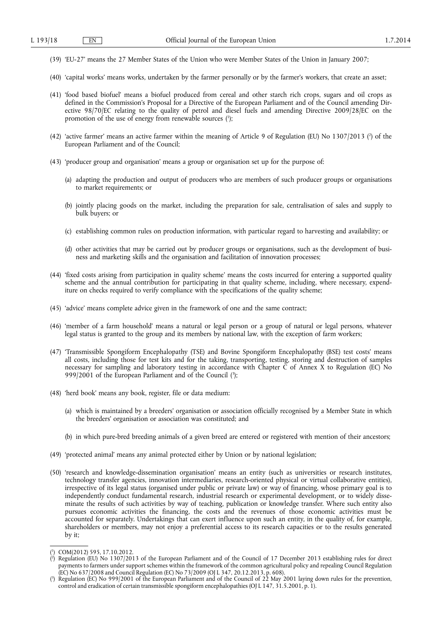- (39) 'EU-27' means the 27 Member States of the Union who were Member States of the Union in January 2007;
- (40) 'capital works' means works, undertaken by the farmer personally or by the farmer's workers, that create an asset;
- (41) 'food based biofuel' means a biofuel produced from cereal and other starch rich crops, sugars and oil crops as defined in the Commission's Proposal for a Directive of the European Parliament and of the Council amending Directive 98/70/EC relating to the quality of petrol and diesel fuels and amending Directive 2009/28/EC on the promotion of the use of energy from renewable sources ( 1 );
- (42) 'active farmer' means an active farmer within the meaning of Article 9 of Regulation (EU) No  $1307/2013$  ( $^2$ ) of the European Parliament and of the Council;
- (43) 'producer group and organisation' means a group or organisation set up for the purpose of:
	- (a) adapting the production and output of producers who are members of such producer groups or organisations to market requirements; or
	- (b) jointly placing goods on the market, including the preparation for sale, centralisation of sales and supply to bulk buyers; or
	- (c) establishing common rules on production information, with particular regard to harvesting and availability; or
	- (d) other activities that may be carried out by producer groups or organisations, such as the development of business and marketing skills and the organisation and facilitation of innovation processes;
- (44) 'fixed costs arising from participation in quality scheme' means the costs incurred for entering a supported quality scheme and the annual contribution for participating in that quality scheme, including, where necessary, expenditure on checks required to verify compliance with the specifications of the quality scheme;
- (45) 'advice' means complete advice given in the framework of one and the same contract;
- (46) 'member of a farm household' means a natural or legal person or a group of natural or legal persons, whatever legal status is granted to the group and its members by national law, with the exception of farm workers;
- (47) 'Transmissible Spongiform Encephalopathy (TSE) and Bovine Spongiform Encephalopathy (BSE) test costs' means all costs, including those for test kits and for the taking, transporting, testing, storing and destruction of samples necessary for sampling and laboratory testing in accordance with Chapter C of Annex X to Regulation (EC) No 999/2001 of the European Parliament and of the Council  $(3)$ ;
- (48) 'herd book' means any book, register, file or data medium:
	- (a) which is maintained by a breeders' organisation or association officially recognised by a Member State in which the breeders' organisation or association was constituted; and
	- (b) in which pure-bred breeding animals of a given breed are entered or registered with mention of their ancestors;
- (49) 'protected animal' means any animal protected either by Union or by national legislation;
- (50) 'research and knowledge-dissemination organisation' means an entity (such as universities or research institutes, technology transfer agencies, innovation intermediaries, research-oriented physical or virtual collaborative entities), irrespective of its legal status (organised under public or private law) or way of financing, whose primary goal is to independently conduct fundamental research, industrial research or experimental development, or to widely disseminate the results of such activities by way of teaching, publication or knowledge transfer. Where such entity also pursues economic activities the financing, the costs and the revenues of those economic activities must be accounted for separately. Undertakings that can exert influence upon such an entity, in the quality of, for example, shareholders or members, may not enjoy a preferential access to its research capacities or to the results generated by it;

<sup>(</sup> 1 ) COM(2012) 595, 17.10.2012.

<sup>(</sup> 2 ) Regulation (EU) No 1307/2013 of the European Parliament and of the Council of 17 December 2013 establishing rules for direct payments to farmers under support schemes within the framework of the common agricultural policy and repealing Council Regulation (EC) No 637/2008 and Council Regulation (EC) No 73/2009 (OJ L 347, 20.12.2013, p. 608).

<sup>(</sup> 3 ) Regulation (EC) No 999/2001 of the European Parliament and of the Council of 22 May 2001 laying down rules for the prevention, control and eradication of certain transmissible spongiform encephalopathies (OJ L 147, 31.5.2001, p. 1).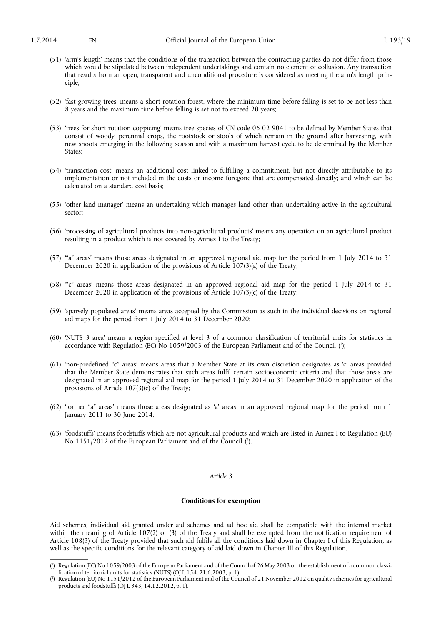- (51) 'arm's length' means that the conditions of the transaction between the contracting parties do not differ from those which would be stipulated between independent undertakings and contain no element of collusion. Any transaction that results from an open, transparent and unconditional procedure is considered as meeting the arm's length principle;
- (52) 'fast growing trees' means a short rotation forest, where the minimum time before felling is set to be not less than 8 years and the maximum time before felling is set not to exceed 20 years;
- (53) 'trees for short rotation coppicing' means tree species of CN code 06 02 9041 to be defined by Member States that consist of woody, perennial crops, the rootstock or stools of which remain in the ground after harvesting, with new shoots emerging in the following season and with a maximum harvest cycle to be determined by the Member States;
- (54) 'transaction cost' means an additional cost linked to fulfilling a commitment, but not directly attributable to its implementation or not included in the costs or income foregone that are compensated directly; and which can be calculated on a standard cost basis;
- (55) 'other land manager' means an undertaking which manages land other than undertaking active in the agricultural sector;
- (56) 'processing of agricultural products into non-agricultural products' means any operation on an agricultural product resulting in a product which is not covered by Annex I to the Treaty;
- (57) '"a" areas' means those areas designated in an approved regional aid map for the period from 1 July 2014 to 31 December 2020 in application of the provisions of Article 107(3)(a) of the Treaty;
- (58) '"c" areas' means those areas designated in an approved regional aid map for the period 1 July 2014 to 31 December 2020 in application of the provisions of Article 107(3)(c) of the Treaty;
- (59) 'sparsely populated areas' means areas accepted by the Commission as such in the individual decisions on regional aid maps for the period from 1 July 2014 to 31 December 2020;
- (60) 'NUTS 3 area' means a region specified at level 3 of a common classification of territorial units for statistics in accordance with Regulation (EC) No 1059/2003 of the European Parliament and of the Council ( 1 );
- (61) 'non-predefined "c" areas' means areas that a Member State at its own discretion designates as 'c' areas provided that the Member State demonstrates that such areas fulfil certain socioeconomic criteria and that those areas are designated in an approved regional aid map for the period 1 July 2014 to 31 December 2020 in application of the provisions of Article 107(3)(c) of the Treaty;
- (62) 'former "a" areas' means those areas designated as 'a' areas in an approved regional map for the period from 1 January 2011 to 30 June 2014;
- (63) 'foodstuffs' means foodstuffs which are not agricultural products and which are listed in Annex I to Regulation (EU) No 1151/2012 of the European Parliament and of the Council ( 2 ).

## **Conditions for exemption**

Aid schemes, individual aid granted under aid schemes and ad hoc aid shall be compatible with the internal market within the meaning of Article 107(2) or (3) of the Treaty and shall be exempted from the notification requirement of Article 108(3) of the Treaty provided that such aid fulfils all the conditions laid down in Chapter I of this Regulation, as well as the specific conditions for the relevant category of aid laid down in Chapter III of this Regulation.

<sup>(</sup> 1 ) Regulation (EC) No 1059/2003 of the European Parliament and of the Council of 26 May 2003 on the establishment of a common classification of territorial units for statistics (NUTS) (OJ L 154, 21.6.2003, p. 1).

<sup>(</sup> 2 ) Regulation (EU) No 1151/2012 of the European Parliament and of the Council of 21 November 2012 on quality schemes for agricultural products and foodstuffs (OJ L 343, 14.12.2012, p. 1).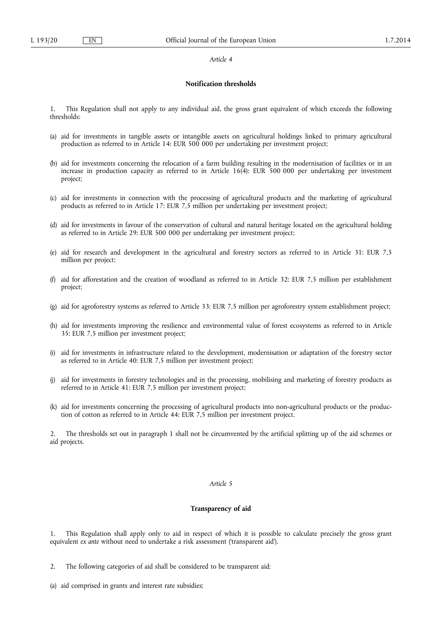## **Notification thresholds**

1. This Regulation shall not apply to any individual aid, the gross grant equivalent of which exceeds the following thresholds:

- (a) aid for investments in tangible assets or intangible assets on agricultural holdings linked to primary agricultural production as referred to in Article 14: EUR 500 000 per undertaking per investment project;
- (b) aid for investments concerning the relocation of a farm building resulting in the modernisation of facilities or in an increase in production capacity as referred to in Article 16(4): EUR 500 000 per undertaking per investment project;
- (c) aid for investments in connection with the processing of agricultural products and the marketing of agricultural products as referred to in Article 17: EUR 7,5 million per undertaking per investment project;
- (d) aid for investments in favour of the conservation of cultural and natural heritage located on the agricultural holding as referred to in Article 29: EUR 500 000 per undertaking per investment project;
- (e) aid for research and development in the agricultural and forestry sectors as referred to in Article 31: EUR 7,5 million per project;
- (f) aid for afforestation and the creation of woodland as referred to in Article 32: EUR 7,5 million per establishment project;
- (g) aid for agroforestry systems as referred to Article 33: EUR 7,5 million per agroforestry system establishment project;
- (h) aid for investments improving the resilience and environmental value of forest ecosystems as referred to in Article 35: EUR 7,5 million per investment project;
- (i) aid for investments in infrastructure related to the development, modernisation or adaptation of the forestry sector as referred to in Article 40: EUR 7,5 million per investment project;
- (j) aid for investments in forestry technologies and in the processing, mobilising and marketing of forestry products as referred to in Article 41: EUR 7,5 million per investment project;
- (k) aid for investments concerning the processing of agricultural products into non-agricultural products or the production of cotton as referred to in Article 44: EUR 7,5 million per investment project.

2. The thresholds set out in paragraph 1 shall not be circumvented by the artificial splitting up of the aid schemes or aid projects.

## *Article 5*

### **Transparency of aid**

1. This Regulation shall apply only to aid in respect of which it is possible to calculate precisely the gross grant equivalent *ex ante* without need to undertake a risk assessment ('transparent aid').

<sup>2.</sup> The following categories of aid shall be considered to be transparent aid:

<sup>(</sup>a) aid comprised in grants and interest rate subsidies;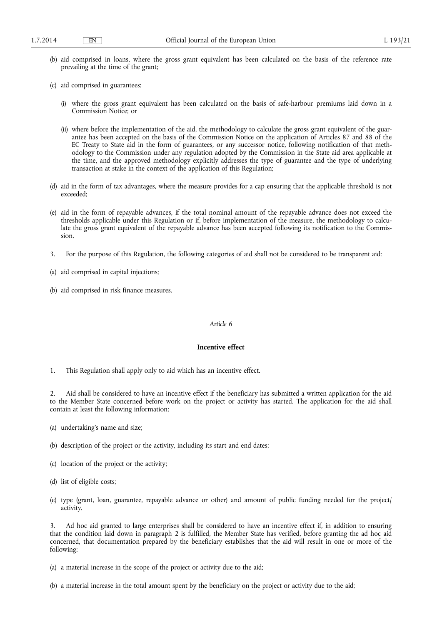- (b) aid comprised in loans, where the gross grant equivalent has been calculated on the basis of the reference rate prevailing at the time of the grant;
- (c) aid comprised in guarantees:
	- (i) where the gross grant equivalent has been calculated on the basis of safe-harbour premiums laid down in a Commission Notice; or
	- (ii) where before the implementation of the aid, the methodology to calculate the gross grant equivalent of the guarantee has been accepted on the basis of the Commission Notice on the application of Articles 87 and 88 of the EC Treaty to State aid in the form of guarantees, or any successor notice, following notification of that methodology to the Commission under any regulation adopted by the Commission in the State aid area applicable at the time, and the approved methodology explicitly addresses the type of guarantee and the type of underlying transaction at stake in the context of the application of this Regulation;
- (d) aid in the form of tax advantages, where the measure provides for a cap ensuring that the applicable threshold is not exceeded;
- (e) aid in the form of repayable advances, if the total nominal amount of the repayable advance does not exceed the thresholds applicable under this Regulation or if, before implementation of the measure, the methodology to calculate the gross grant equivalent of the repayable advance has been accepted following its notification to the Commission.
- 3. For the purpose of this Regulation, the following categories of aid shall not be considered to be transparent aid:
- (a) aid comprised in capital injections;
- (b) aid comprised in risk finance measures.

#### **Incentive effect**

1. This Regulation shall apply only to aid which has an incentive effect.

2. Aid shall be considered to have an incentive effect if the beneficiary has submitted a written application for the aid to the Member State concerned before work on the project or activity has started. The application for the aid shall contain at least the following information:

- (a) undertaking's name and size;
- (b) description of the project or the activity, including its start and end dates;
- (c) location of the project or the activity;
- (d) list of eligible costs;
- (e) type (grant, loan, guarantee, repayable advance or other) and amount of public funding needed for the project/ activity.

3. Ad hoc aid granted to large enterprises shall be considered to have an incentive effect if, in addition to ensuring that the condition laid down in paragraph 2 is fulfilled, the Member State has verified, before granting the ad hoc aid concerned, that documentation prepared by the beneficiary establishes that the aid will result in one or more of the following:

- (a) a material increase in the scope of the project or activity due to the aid;
- (b) a material increase in the total amount spent by the beneficiary on the project or activity due to the aid;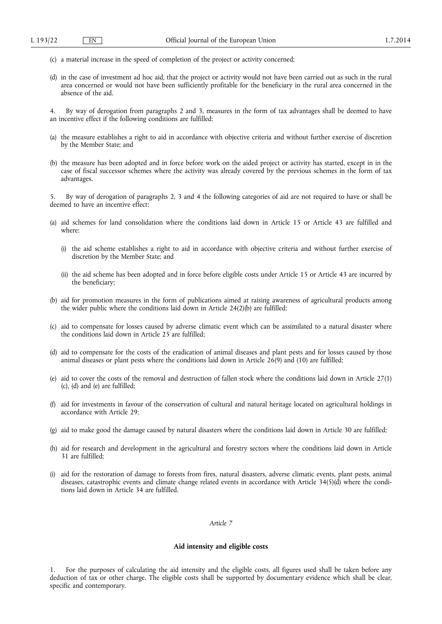- (c) a material increase in the speed of completion of the project or activity concerned;
- (d) in the case of investment ad hoc aid, that the project or activity would not have been carried out as such in the rural area concerned or would not have been sufficiently profitable for the beneficiary in the rural area concerned in the absence of the aid.

4. By way of derogation from paragraphs 2 and 3, measures in the form of tax advantages shall be deemed to have an incentive effect if the following conditions are fulfilled:

- (a) the measure establishes a right to aid in accordance with objective criteria and without further exercise of discretion by the Member State; and
- (b) the measure has been adopted and in force before work on the aided project or activity has started, except in in the case of fiscal successor schemes where the activity was already covered by the previous schemes in the form of tax advantages.

5. By way of derogation of paragraphs 2, 3 and 4 the following categories of aid are not required to have or shall be deemed to have an incentive effect:

- (a) aid schemes for land consolidation where the conditions laid down in Article 15 or Article 43 are fulfilled and where:
	- (i) the aid scheme establishes a right to aid in accordance with objective criteria and without further exercise of discretion by the Member State; and
	- (ii) the aid scheme has been adopted and in force before eligible costs under Article 15 or Article 43 are incurred by the beneficiary;
- (b) aid for promotion measures in the form of publications aimed at raising awareness of agricultural products among the wider public where the conditions laid down in Article 24(2)(b) are fulfilled;
- (c) aid to compensate for losses caused by adverse climatic event which can be assimilated to a natural disaster where the conditions laid down in Article 25 are fulfilled;
- (d) aid to compensate for the costs of the eradication of animal diseases and plant pests and for losses caused by those animal diseases or plant pests where the conditions laid down in Article  $2\dot{6}(9)$  and (10) are fulfilled;
- (e) aid to cover the costs of the removal and destruction of fallen stock where the conditions laid down in Article 27(1) (c), (d) and (e) are fulfilled;
- (f) aid for investments in favour of the conservation of cultural and natural heritage located on agricultural holdings in accordance with Article 29;
- (g) aid to make good the damage caused by natural disasters where the conditions laid down in Article 30 are fulfilled;
- (h) aid for research and development in the agricultural and forestry sectors where the conditions laid down in Article 31 are fulfilled;
- (i) aid for the restoration of damage to forests from fires, natural disasters, adverse climatic events, plant pests, animal diseases, catastrophic events and climate change related events in accordance with Article 34(5)(d) where the conditions laid down in Article 34 are fulfilled.

# *Article 7*

## **Aid intensity and eligible costs**

1. For the purposes of calculating the aid intensity and the eligible costs, all figures used shall be taken before any deduction of tax or other charge. The eligible costs shall be supported by documentary evidence which shall be clear, specific and contemporary.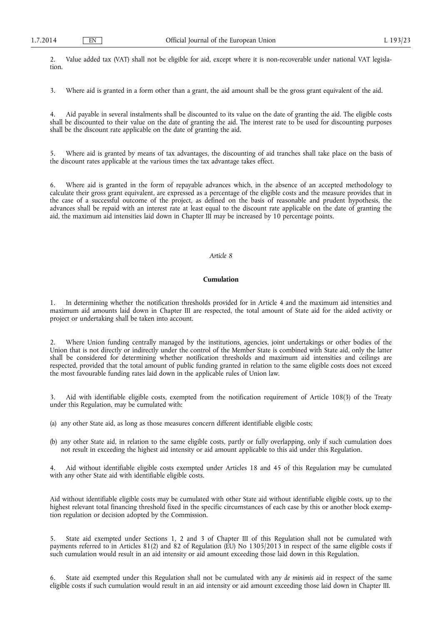2. Value added tax (VAT) shall not be eligible for aid, except where it is non-recoverable under national VAT legislation.

3. Where aid is granted in a form other than a grant, the aid amount shall be the gross grant equivalent of the aid.

4. Aid payable in several instalments shall be discounted to its value on the date of granting the aid. The eligible costs shall be discounted to their value on the date of granting the aid. The interest rate to be used for discounting purposes shall be the discount rate applicable on the date of granting the aid.

5. Where aid is granted by means of tax advantages, the discounting of aid tranches shall take place on the basis of the discount rates applicable at the various times the tax advantage takes effect.

6. Where aid is granted in the form of repayable advances which, in the absence of an accepted methodology to calculate their gross grant equivalent, are expressed as a percentage of the eligible costs and the measure provides that in the case of a successful outcome of the project, as defined on the basis of reasonable and prudent hypothesis, the advances shall be repaid with an interest rate at least equal to the discount rate applicable on the date of granting the aid, the maximum aid intensities laid down in Chapter III may be increased by 10 percentage points.

#### *Article 8*

# **Cumulation**

1. In determining whether the notification thresholds provided for in Article 4 and the maximum aid intensities and maximum aid amounts laid down in Chapter III are respected, the total amount of State aid for the aided activity or project or undertaking shall be taken into account.

2. Where Union funding centrally managed by the institutions, agencies, joint undertakings or other bodies of the Union that is not directly or indirectly under the control of the Member State is combined with State aid, only the latter shall be considered for determining whether notification thresholds and maximum aid intensities and ceilings are respected, provided that the total amount of public funding granted in relation to the same eligible costs does not exceed the most favourable funding rates laid down in the applicable rules of Union law.

3. Aid with identifiable eligible costs, exempted from the notification requirement of Article 108(3) of the Treaty under this Regulation, may be cumulated with:

(a) any other State aid, as long as those measures concern different identifiable eligible costs;

(b) any other State aid, in relation to the same eligible costs, partly or fully overlapping, only if such cumulation does not result in exceeding the highest aid intensity or aid amount applicable to this aid under this Regulation.

4. Aid without identifiable eligible costs exempted under Articles 18 and 45 of this Regulation may be cumulated with any other State aid with identifiable eligible costs.

Aid without identifiable eligible costs may be cumulated with other State aid without identifiable eligible costs, up to the highest relevant total financing threshold fixed in the specific circumstances of each case by this or another block exemption regulation or decision adopted by the Commission.

5. State aid exempted under Sections 1, 2 and 3 of Chapter III of this Regulation shall not be cumulated with payments referred to in Articles 81(2) and 82 of Regulation (EU) No 1305/2013 in respect of the same eligible costs if such cumulation would result in an aid intensity or aid amount exceeding those laid down in this Regulation.

6. State aid exempted under this Regulation shall not be cumulated with any *de minimis* aid in respect of the same eligible costs if such cumulation would result in an aid intensity or aid amount exceeding those laid down in Chapter III.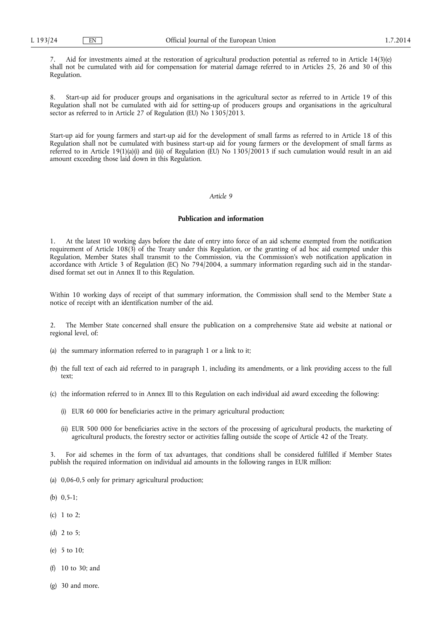7. Aid for investments aimed at the restoration of agricultural production potential as referred to in Article 14(3)(e) shall not be cumulated with aid for compensation for material damage referred to in Articles 25, 26 and 30 of this Regulation.

8. Start-up aid for producer groups and organisations in the agricultural sector as referred to in Article 19 of this Regulation shall not be cumulated with aid for setting-up of producers groups and organisations in the agricultural sector as referred to in Article 27 of Regulation (EU) No 1305/2013.

Start-up aid for young farmers and start-up aid for the development of small farms as referred to in Article 18 of this Regulation shall not be cumulated with business start-up aid for young farmers or the development of small farms as referred to in Article 19(1)(a)(i) and (iii) of Regulation (EU) No 1305/20013 if such cumulation would result in an aid amount exceeding those laid down in this Regulation.

#### *Article 9*

#### **Publication and information**

1. At the latest 10 working days before the date of entry into force of an aid scheme exempted from the notification requirement of Article 108(3) of the Treaty under this Regulation, or the granting of ad hoc aid exempted under this Regulation, Member States shall transmit to the Commission, via the Commission's web notification application in accordance with Article 3 of Regulation (EC) No 794/2004, a summary information regarding such aid in the standardised format set out in Annex II to this Regulation.

Within 10 working days of receipt of that summary information, the Commission shall send to the Member State a notice of receipt with an identification number of the aid.

2. The Member State concerned shall ensure the publication on a comprehensive State aid website at national or regional level, of:

(a) the summary information referred to in paragraph 1 or a link to it;

- (b) the full text of each aid referred to in paragraph 1, including its amendments, or a link providing access to the full text;
- (c) the information referred to in Annex III to this Regulation on each individual aid award exceeding the following:
	- (i) EUR 60 000 for beneficiaries active in the primary agricultural production;
	- (ii) EUR 500 000 for beneficiaries active in the sectors of the processing of agricultural products, the marketing of agricultural products, the forestry sector or activities falling outside the scope of Article 42 of the Treaty.

3. For aid schemes in the form of tax advantages, that conditions shall be considered fulfilled if Member States publish the required information on individual aid amounts in the following ranges in EUR million:

- (a) 0,06-0,5 only for primary agricultural production;
- (b) 0,5-1;
- (c) 1 to 2;
- (d) 2 to 5;
- (e) 5 to 10;
- (f) 10 to 30; and
- (g) 30 and more.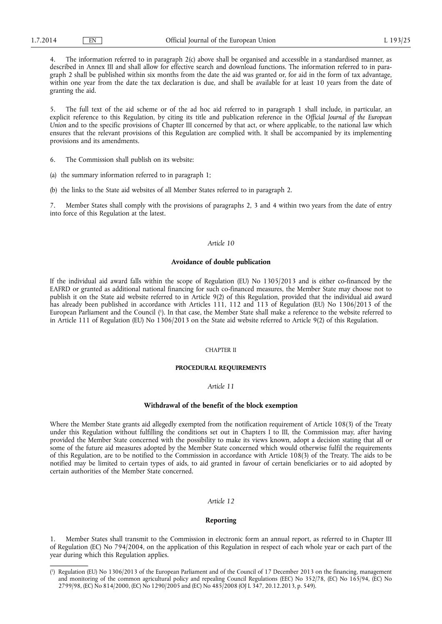4. The information referred to in paragraph 2(c) above shall be organised and accessible in a standardised manner, as described in Annex III and shall allow for effective search and download functions. The information referred to in paragraph 2 shall be published within six months from the date the aid was granted or, for aid in the form of tax advantage, within one year from the date the tax declaration is due, and shall be available for at least 10 years from the date of granting the aid.

5. The full text of the aid scheme or of the ad hoc aid referred to in paragraph 1 shall include, in particular, an explicit reference to this Regulation, by citing its title and publication reference in the *Official Journal of the European Union* and to the specific provisions of Chapter III concerned by that act, or where applicable, to the national law which ensures that the relevant provisions of this Regulation are complied with. It shall be accompanied by its implementing provisions and its amendments.

6. The Commission shall publish on its website:

(a) the summary information referred to in paragraph 1;

(b) the links to the State aid websites of all Member States referred to in paragraph 2.

7. Member States shall comply with the provisions of paragraphs 2, 3 and 4 within two years from the date of entry into force of this Regulation at the latest.

#### *Article 10*

#### **Avoidance of double publication**

If the individual aid award falls within the scope of Regulation (EU) No 1305/2013 and is either co-financed by the EAFRD or granted as additional national financing for such co-financed measures, the Member State may choose not to publish it on the State aid website referred to in Article 9(2) of this Regulation, provided that the individual aid award has already been published in accordance with Articles 111, 112 and 113 of Regulation (EU) No 1306/2013 of the European Parliament and the Council ( 1 ). In that case, the Member State shall make a reference to the website referred to in Article 111 of Regulation (EU) No 1306/2013 on the State aid website referred to Article 9(2) of this Regulation.

#### CHAPTER II

## **PROCEDURAL REQUIREMENTS**

# *Article 11*

## **Withdrawal of the benefit of the block exemption**

Where the Member State grants aid allegedly exempted from the notification requirement of Article 108(3) of the Treaty under this Regulation without fulfilling the conditions set out in Chapters I to III, the Commission may, after having provided the Member State concerned with the possibility to make its views known, adopt a decision stating that all or some of the future aid measures adopted by the Member State concerned which would otherwise fulfil the requirements of this Regulation, are to be notified to the Commission in accordance with Article 108(3) of the Treaty. The aids to be notified may be limited to certain types of aids, to aid granted in favour of certain beneficiaries or to aid adopted by certain authorities of the Member State concerned.

## *Article 12*

#### **Reporting**

1. Member States shall transmit to the Commission in electronic form an annual report, as referred to in Chapter III of Regulation (EC) No 794/2004, on the application of this Regulation in respect of each whole year or each part of the year during which this Regulation applies.

<sup>(</sup> 1 ) Regulation (EU) No 1306/2013 of the European Parliament and of the Council of 17 December 2013 on the financing, management and monitoring of the common agricultural policy and repealing Council Regulations (EEC) No 352/78, (EC) No 165/94, (EC) No 2799/98, (EC) No 814/2000, (EC) No 1290/2005 and (EC) No 485/2008 (OJ L 347, 20.12.2013, p. 549).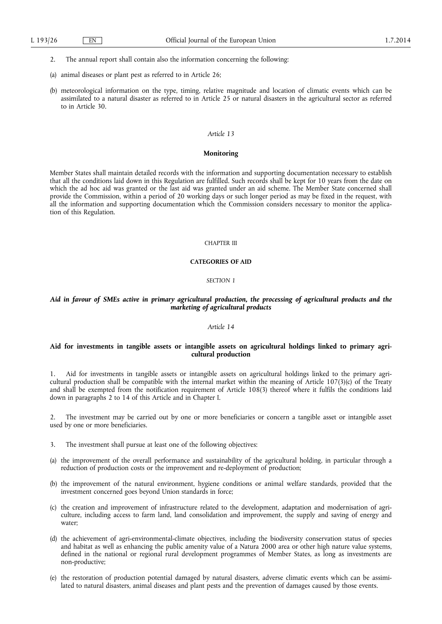- 2. The annual report shall contain also the information concerning the following:
- (a) animal diseases or plant pest as referred to in Article 26;
- (b) meteorological information on the type, timing, relative magnitude and location of climatic events which can be assimilated to a natural disaster as referred to in Article 25 or natural disasters in the agricultural sector as referred to in Article 30.

#### **Monitoring**

Member States shall maintain detailed records with the information and supporting documentation necessary to establish that all the conditions laid down in this Regulation are fulfilled. Such records shall be kept for 10 years from the date on which the ad hoc aid was granted or the last aid was granted under an aid scheme. The Member State concerned shall provide the Commission, within a period of 20 working days or such longer period as may be fixed in the request, with all the information and supporting documentation which the Commission considers necessary to monitor the application of this Regulation.

#### CHAPTER III

#### **CATEGORIES OF AID**

## *SECTION 1*

## *Aid in favour of SMEs active in primary agricultural production, the processing of agricultural products and the marketing of agricultural products*

#### *Article 14*

## **Aid for investments in tangible assets or intangible assets on agricultural holdings linked to primary agricultural production**

1. Aid for investments in tangible assets or intangible assets on agricultural holdings linked to the primary agricultural production shall be compatible with the internal market within the meaning of Article 107(3)(c) of the Treaty and shall be exempted from the notification requirement of Article 108(3) thereof where it fulfils the conditions laid down in paragraphs 2 to 14 of this Article and in Chapter I.

2. The investment may be carried out by one or more beneficiaries or concern a tangible asset or intangible asset used by one or more beneficiaries.

- 3. The investment shall pursue at least one of the following objectives:
- (a) the improvement of the overall performance and sustainability of the agricultural holding, in particular through a reduction of production costs or the improvement and re-deployment of production;
- (b) the improvement of the natural environment, hygiene conditions or animal welfare standards, provided that the investment concerned goes beyond Union standards in force;
- (c) the creation and improvement of infrastructure related to the development, adaptation and modernisation of agriculture, including access to farm land, land consolidation and improvement, the supply and saving of energy and water;
- (d) the achievement of agri-environmental-climate objectives, including the biodiversity conservation status of species and habitat as well as enhancing the public amenity value of a Natura 2000 area or other high nature value systems, defined in the national or regional rural development programmes of Member States, as long as investments are non-productive;
- (e) the restoration of production potential damaged by natural disasters, adverse climatic events which can be assimilated to natural disasters, animal diseases and plant pests and the prevention of damages caused by those events.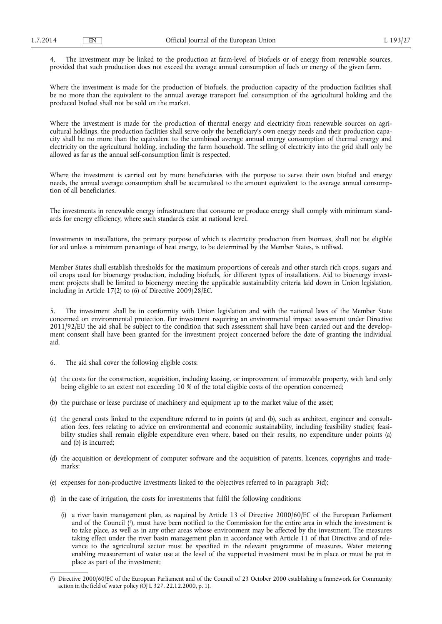4. The investment may be linked to the production at farm-level of biofuels or of energy from renewable sources, provided that such production does not exceed the average annual consumption of fuels or energy of the given farm.

Where the investment is made for the production of biofuels, the production capacity of the production facilities shall be no more than the equivalent to the annual average transport fuel consumption of the agricultural holding and the produced biofuel shall not be sold on the market.

Where the investment is made for the production of thermal energy and electricity from renewable sources on agricultural holdings, the production facilities shall serve only the beneficiary's own energy needs and their production capacity shall be no more than the equivalent to the combined average annual energy consumption of thermal energy and electricity on the agricultural holding, including the farm household. The selling of electricity into the grid shall only be allowed as far as the annual self-consumption limit is respected.

Where the investment is carried out by more beneficiaries with the purpose to serve their own biofuel and energy needs, the annual average consumption shall be accumulated to the amount equivalent to the average annual consumption of all beneficiaries.

The investments in renewable energy infrastructure that consume or produce energy shall comply with minimum standards for energy efficiency, where such standards exist at national level.

Investments in installations, the primary purpose of which is electricity production from biomass, shall not be eligible for aid unless a minimum percentage of heat energy, to be determined by the Member States, is utilised.

Member States shall establish thresholds for the maximum proportions of cereals and other starch rich crops, sugars and oil crops used for bioenergy production, including biofuels, for different types of installations. Aid to bioenergy investment projects shall be limited to bioenergy meeting the applicable sustainability criteria laid down in Union legislation, including in Article 17(2) to (6) of Directive 2009/28/EC.

5. The investment shall be in conformity with Union legislation and with the national laws of the Member State concerned on environmental protection. For investment requiring an environmental impact assessment under Directive 2011/92/EU the aid shall be subject to the condition that such assessment shall have been carried out and the development consent shall have been granted for the investment project concerned before the date of granting the individual aid.

- 6. The aid shall cover the following eligible costs:
- (a) the costs for the construction, acquisition, including leasing, or improvement of immovable property, with land only being eligible to an extent not exceeding 10 % of the total eligible costs of the operation concerned;
- (b) the purchase or lease purchase of machinery and equipment up to the market value of the asset;
- (c) the general costs linked to the expenditure referred to in points (a) and (b), such as architect, engineer and consultation fees, fees relating to advice on environmental and economic sustainability, including feasibility studies; feasibility studies shall remain eligible expenditure even where, based on their results, no expenditure under points (a) and (b) is incurred;
- (d) the acquisition or development of computer software and the acquisition of patents, licences, copyrights and trademarks;
- (e) expenses for non-productive investments linked to the objectives referred to in paragraph 3(d);
- (f) in the case of irrigation, the costs for investments that fulfil the following conditions:
	- (i) a river basin management plan, as required by Article 13 of Directive 2000/60/EC of the European Parliament and of the Council ( 1 ), must have been notified to the Commission for the entire area in which the investment is to take place, as well as in any other areas whose environment may be affected by the investment. The measures taking effect under the river basin management plan in accordance with Article 11 of that Directive and of relevance to the agricultural sector must be specified in the relevant programme of measures. Water metering enabling measurement of water use at the level of the supported investment must be in place or must be put in place as part of the investment;

<sup>(</sup> 1 ) Directive 2000/60/EC of the European Parliament and of the Council of 23 October 2000 establishing a framework for Community action in the field of water policy (OJ L 327, 22.12.2000, p. 1).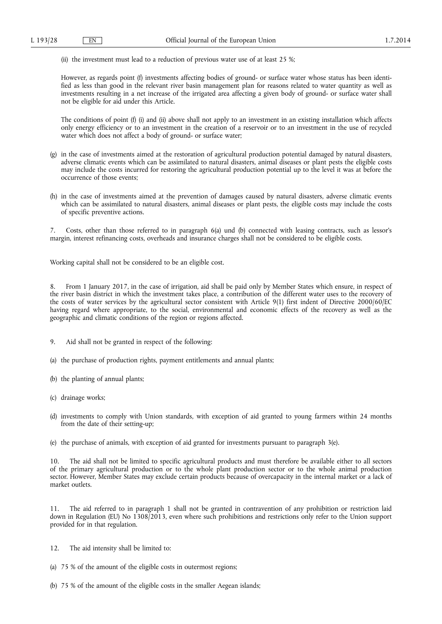(ii) the investment must lead to a reduction of previous water use of at least 25 %;

However, as regards point (f) investments affecting bodies of ground- or surface water whose status has been identified as less than good in the relevant river basin management plan for reasons related to water quantity as well as investments resulting in a net increase of the irrigated area affecting a given body of ground- or surface water shall not be eligible for aid under this Article.

The conditions of point  $(f)$  (i) and (ii) above shall not apply to an investment in an existing installation which affects only energy efficiency or to an investment in the creation of a reservoir or to an investment in the use of recycled water which does not affect a body of ground- or surface water;

- (g) in the case of investments aimed at the restoration of agricultural production potential damaged by natural disasters, adverse climatic events which can be assimilated to natural disasters, animal diseases or plant pests the eligible costs may include the costs incurred for restoring the agricultural production potential up to the level it was at before the occurrence of those events;
- (h) in the case of investments aimed at the prevention of damages caused by natural disasters, adverse climatic events which can be assimilated to natural disasters, animal diseases or plant pests, the eligible costs may include the costs of specific preventive actions.

7. Costs, other than those referred to in paragraph 6(a) und (b) connected with leasing contracts, such as lessor's margin, interest refinancing costs, overheads and insurance charges shall not be considered to be eligible costs.

Working capital shall not be considered to be an eligible cost.

8. From 1 January 2017, in the case of irrigation, aid shall be paid only by Member States which ensure, in respect of the river basin district in which the investment takes place, a contribution of the different water uses to the recovery of the costs of water services by the agricultural sector consistent with Article 9(1) first indent of Directive 2000/60/EC having regard where appropriate, to the social, environmental and economic effects of the recovery as well as the geographic and climatic conditions of the region or regions affected.

- 9. Aid shall not be granted in respect of the following:
- (a) the purchase of production rights, payment entitlements and annual plants;
- (b) the planting of annual plants;
- (c) drainage works;
- (d) investments to comply with Union standards, with exception of aid granted to young farmers within 24 months from the date of their setting-up;
- (e) the purchase of animals, with exception of aid granted for investments pursuant to paragraph 3(e).

10. The aid shall not be limited to specific agricultural products and must therefore be available either to all sectors of the primary agricultural production or to the whole plant production sector or to the whole animal production sector. However, Member States may exclude certain products because of overcapacity in the internal market or a lack of market outlets.

11. The aid referred to in paragraph 1 shall not be granted in contravention of any prohibition or restriction laid down in Regulation (EU) No 1308/2013, even where such prohibitions and restrictions only refer to the Union support provided for in that regulation.

- 12. The aid intensity shall be limited to:
- (a) 75 % of the amount of the eligible costs in outermost regions;
- (b) 75 % of the amount of the eligible costs in the smaller Aegean islands;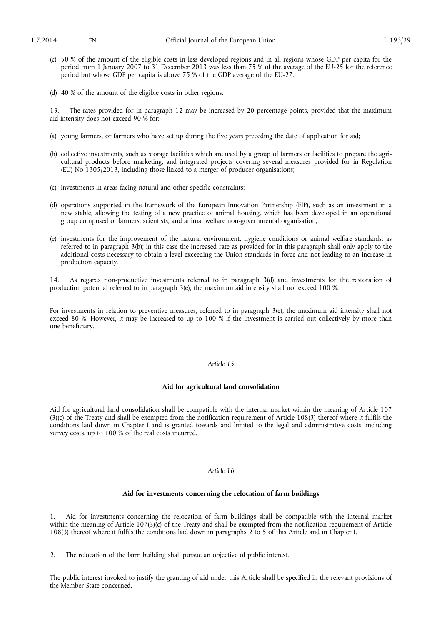- (c) 50 % of the amount of the eligible costs in less developed regions and in all regions whose GDP per capita for the period from 1 January 2007 to 31 December 2013 was less than 75 % of the average of the EU-25 for the reference period but whose GDP per capita is above 75 % of the GDP average of the EU-27;
- (d) 40 % of the amount of the eligible costs in other regions.

13. The rates provided for in paragraph 12 may be increased by 20 percentage points, provided that the maximum aid intensity does not exceed 90 % for:

- (a) young farmers, or farmers who have set up during the five years preceding the date of application for aid;
- (b) collective investments, such as storage facilities which are used by a group of farmers or facilities to prepare the agricultural products before marketing, and integrated projects covering several measures provided for in Regulation (EU) No 1305/2013, including those linked to a merger of producer organisations;
- (c) investments in areas facing natural and other specific constraints;
- (d) operations supported in the framework of the European Innovation Partnership (EIP), such as an investment in a new stable, allowing the testing of a new practice of animal housing, which has been developed in an operational group composed of farmers, scientists, and animal welfare non-governmental organisation;
- (e) investments for the improvement of the natural environment, hygiene conditions or animal welfare standards, as referred to in paragraph 3(b); in this case the increased rate as provided for in this paragraph shall only apply to the additional costs necessary to obtain a level exceeding the Union standards in force and not leading to an increase in production capacity.

14. As regards non-productive investments referred to in paragraph 3(d) and investments for the restoration of production potential referred to in paragraph 3(e), the maximum aid intensity shall not exceed 100 %.

For investments in relation to preventive measures, referred to in paragraph 3(e), the maximum aid intensity shall not exceed 80 %. However, it may be increased to up to 100 % if the investment is carried out collectively by more than one beneficiary.

### *Article 15*

## **Aid for agricultural land consolidation**

Aid for agricultural land consolidation shall be compatible with the internal market within the meaning of Article 107 (3)(c) of the Treaty and shall be exempted from the notification requirement of Article 108(3) thereof where it fulfils the conditions laid down in Chapter I and is granted towards and limited to the legal and administrative costs, including survey costs, up to 100 % of the real costs incurred.

## *Article 16*

## **Aid for investments concerning the relocation of farm buildings**

1. Aid for investments concerning the relocation of farm buildings shall be compatible with the internal market within the meaning of Article  $107(3)$ (c) of the Treaty and shall be exempted from the notification requirement of Article 108(3) thereof where it fulfils the conditions laid down in paragraphs 2 to 5 of this Article and in Chapter I.

2. The relocation of the farm building shall pursue an objective of public interest.

The public interest invoked to justify the granting of aid under this Article shall be specified in the relevant provisions of the Member State concerned.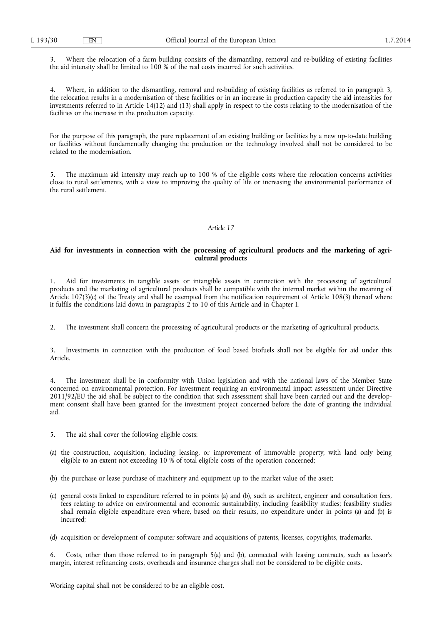3. Where the relocation of a farm building consists of the dismantling, removal and re-building of existing facilities the aid intensity shall be limited to 100 % of the real costs incurred for such activities.

4. Where, in addition to the dismantling, removal and re-building of existing facilities as referred to in paragraph 3, the relocation results in a modernisation of these facilities or in an increase in production capacity the aid intensities for investments referred to in Article 14(12) and (13) shall apply in respect to the costs relating to the modernisation of the facilities or the increase in the production capacity.

For the purpose of this paragraph, the pure replacement of an existing building or facilities by a new up-to-date building or facilities without fundamentally changing the production or the technology involved shall not be considered to be related to the modernisation.

The maximum aid intensity may reach up to 100 % of the eligible costs where the relocation concerns activities close to rural settlements, with a view to improving the quality of life or increasing the environmental performance of the rural settlement.

## *Article 17*

## **Aid for investments in connection with the processing of agricultural products and the marketing of agricultural products**

1. Aid for investments in tangible assets or intangible assets in connection with the processing of agricultural products and the marketing of agricultural products shall be compatible with the internal market within the meaning of Article 107(3)(c) of the Treaty and shall be exempted from the notification requirement of Article 108(3) thereof where it fulfils the conditions laid down in paragraphs  $\frac{1}{2}$  to 10 of this Article and in Chapter I.

2. The investment shall concern the processing of agricultural products or the marketing of agricultural products.

3. Investments in connection with the production of food based biofuels shall not be eligible for aid under this Article.

4. The investment shall be in conformity with Union legislation and with the national laws of the Member State concerned on environmental protection. For investment requiring an environmental impact assessment under Directive 2011/92/EU the aid shall be subject to the condition that such assessment shall have been carried out and the development consent shall have been granted for the investment project concerned before the date of granting the individual aid.

- 5. The aid shall cover the following eligible costs:
- (a) the construction, acquisition, including leasing, or improvement of immovable property, with land only being eligible to an extent not exceeding 10 % of total eligible costs of the operation concerned;
- (b) the purchase or lease purchase of machinery and equipment up to the market value of the asset;
- (c) general costs linked to expenditure referred to in points (a) and (b), such as architect, engineer and consultation fees, fees relating to advice on environmental and economic sustainability, including feasibility studies; feasibility studies shall remain eligible expenditure even where, based on their results, no expenditure under in points (a) and (b) is incurred;
- (d) acquisition or development of computer software and acquisitions of patents, licenses, copyrights, trademarks.

6. Costs, other than those referred to in paragraph 5(a) and (b), connected with leasing contracts, such as lessor's margin, interest refinancing costs, overheads and insurance charges shall not be considered to be eligible costs.

Working capital shall not be considered to be an eligible cost.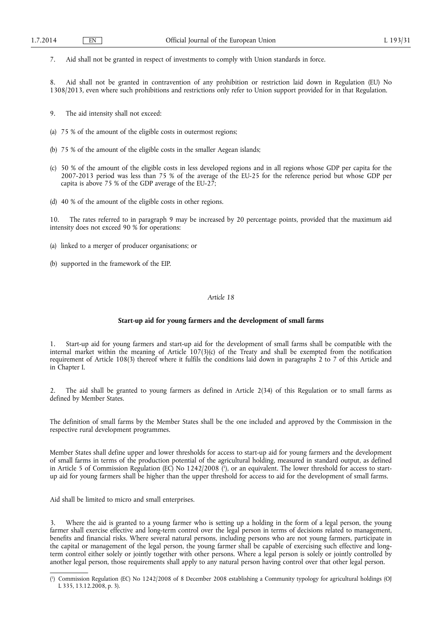7. Aid shall not be granted in respect of investments to comply with Union standards in force.

8. Aid shall not be granted in contravention of any prohibition or restriction laid down in Regulation (EU) No 1308/2013, even where such prohibitions and restrictions only refer to Union support provided for in that Regulation.

- 9. The aid intensity shall not exceed:
- (a) 75 % of the amount of the eligible costs in outermost regions;
- (b) 75 % of the amount of the eligible costs in the smaller Aegean islands;
- (c) 50 % of the amount of the eligible costs in less developed regions and in all regions whose GDP per capita for the 2007-2013 period was less than 75 % of the average of the EU-25 for the reference period but whose GDP per capita is above 75 % of the GDP average of the EU-27;
- (d) 40 % of the amount of the eligible costs in other regions.

The rates referred to in paragraph 9 may be increased by 20 percentage points, provided that the maximum aid intensity does not exceed 90 % for operations:

- (a) linked to a merger of producer organisations; or
- (b) supported in the framework of the EIP.

#### *Article 18*

# **Start-up aid for young farmers and the development of small farms**

Start-up aid for young farmers and start-up aid for the development of small farms shall be compatible with the internal market within the meaning of Article 107(3)(c) of the Treaty and shall be exempted from the notification requirement of Article 108(3) thereof where it fulfils the conditions laid down in paragraphs 2 to 7 of this Article and in Chapter I.

2. The aid shall be granted to young farmers as defined in Article 2(34) of this Regulation or to small farms as defined by Member States.

The definition of small farms by the Member States shall be the one included and approved by the Commission in the respective rural development programmes.

Member States shall define upper and lower thresholds for access to start-up aid for young farmers and the development of small farms in terms of the production potential of the agricultural holding, measured in standard output, as defined in Article 5 of Commission Regulation (EC) No 1242/2008 ( 1 ), or an equivalent. The lower threshold for access to startup aid for young farmers shall be higher than the upper threshold for access to aid for the development of small farms.

Aid shall be limited to micro and small enterprises.

Where the aid is granted to a young farmer who is setting up a holding in the form of a legal person, the young farmer shall exercise effective and long-term control over the legal person in terms of decisions related to management, benefits and financial risks. Where several natural persons, including persons who are not young farmers, participate in the capital or management of the legal person, the young farmer shall be capable of exercising such effective and longterm control either solely or jointly together with other persons. Where a legal person is solely or jointly controlled by another legal person, those requirements shall apply to any natural person having control over that other legal person.

<sup>(</sup> 1 ) Commission Regulation (EC) No 1242/2008 of 8 December 2008 establishing a Community typology for agricultural holdings (OJ L 335, 13.12.2008, p. 3).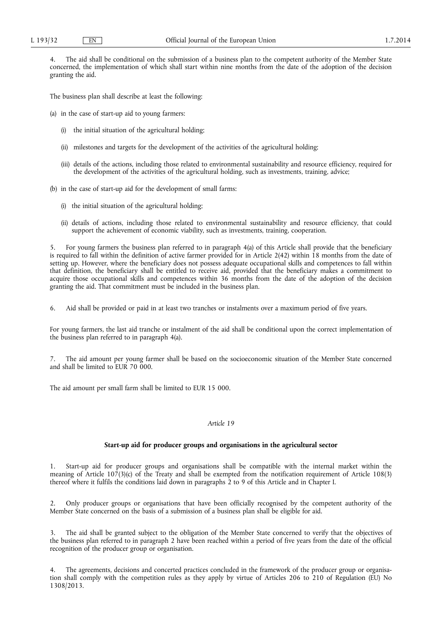4. The aid shall be conditional on the submission of a business plan to the competent authority of the Member State concerned, the implementation of which shall start within nine months from the date of the adoption of the decision granting the aid.

The business plan shall describe at least the following:

- (a) in the case of start-up aid to young farmers:
	- the initial situation of the agricultural holding;
	- (ii) milestones and targets for the development of the activities of the agricultural holding;
	- (iii) details of the actions, including those related to environmental sustainability and resource efficiency, required for the development of the activities of the agricultural holding, such as investments, training, advice;
- (b) in the case of start-up aid for the development of small farms:
	- (i) the initial situation of the agricultural holding;
	- (ii) details of actions, including those related to environmental sustainability and resource efficiency, that could support the achievement of economic viability, such as investments, training, cooperation.

5. For young farmers the business plan referred to in paragraph 4(a) of this Article shall provide that the beneficiary is required to fall within the definition of active farmer provided for in Article 2(42) within 18 months from the date of setting up. However, where the beneficiary does not possess adequate occupational skills and competences to fall within that definition, the beneficiary shall be entitled to receive aid, provided that the beneficiary makes a commitment to acquire those occupational skills and competences within 36 months from the date of the adoption of the decision granting the aid. That commitment must be included in the business plan.

6. Aid shall be provided or paid in at least two tranches or instalments over a maximum period of five years.

For young farmers, the last aid tranche or instalment of the aid shall be conditional upon the correct implementation of the business plan referred to in paragraph 4(a).

7. The aid amount per young farmer shall be based on the socioeconomic situation of the Member State concerned and shall be limited to EUR 70 000.

The aid amount per small farm shall be limited to EUR 15 000.

# *Article 19*

## **Start-up aid for producer groups and organisations in the agricultural sector**

1. Start-up aid for producer groups and organisations shall be compatible with the internal market within the meaning of Article 107(3)(c) of the Treaty and shall be exempted from the notification requirement of Article 108(3) thereof where it fulfils the conditions laid down in paragraphs 2 to 9 of this Article and in Chapter I.

2. Only producer groups or organisations that have been officially recognised by the competent authority of the Member State concerned on the basis of a submission of a business plan shall be eligible for aid.

3. The aid shall be granted subject to the obligation of the Member State concerned to verify that the objectives of the business plan referred to in paragraph 2 have been reached within a period of five years from the date of the official recognition of the producer group or organisation.

4. The agreements, decisions and concerted practices concluded in the framework of the producer group or organisation shall comply with the competition rules as they apply by virtue of Articles 206 to 210 of Regulation (EU) No 1308/2013.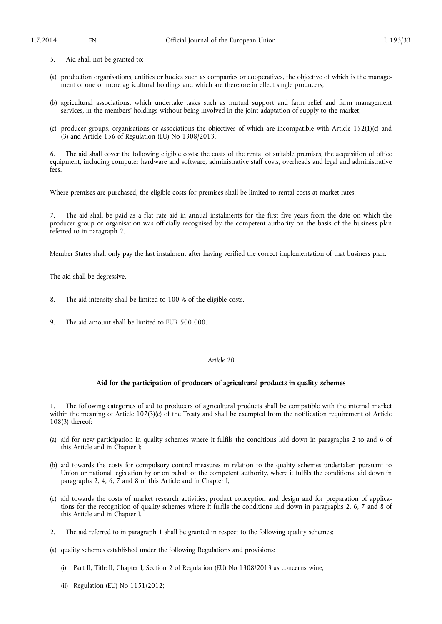- 5. Aid shall not be granted to:
- (a) production organisations, entities or bodies such as companies or cooperatives, the objective of which is the management of one or more agricultural holdings and which are therefore in effect single producers;
- (b) agricultural associations, which undertake tasks such as mutual support and farm relief and farm management services, in the members' holdings without being involved in the joint adaptation of supply to the market;
- (c) producer groups, organisations or associations the objectives of which are incompatible with Article 152(1)(c) and (3) and Article 156 of Regulation (EU) No 1308/2013.

6. The aid shall cover the following eligible costs: the costs of the rental of suitable premises, the acquisition of office equipment, including computer hardware and software, administrative staff costs, overheads and legal and administrative fees.

Where premises are purchased, the eligible costs for premises shall be limited to rental costs at market rates.

The aid shall be paid as a flat rate aid in annual instalments for the first five years from the date on which the producer group or organisation was officially recognised by the competent authority on the basis of the business plan referred to in paragraph 2.

Member States shall only pay the last instalment after having verified the correct implementation of that business plan.

The aid shall be degressive.

- 8. The aid intensity shall be limited to 100 % of the eligible costs.
- 9. The aid amount shall be limited to EUR 500 000.

# *Article 20*

## **Aid for the participation of producers of agricultural products in quality schemes**

The following categories of aid to producers of agricultural products shall be compatible with the internal market within the meaning of Article 107(3)(c) of the Treaty and shall be exempted from the notification requirement of Article 108(3) thereof:

- (a) aid for new participation in quality schemes where it fulfils the conditions laid down in paragraphs 2 to and 6 of this Article and in Chapter I;
- (b) aid towards the costs for compulsory control measures in relation to the quality schemes undertaken pursuant to Union or national legislation by or on behalf of the competent authority, where it fulfils the conditions laid down in paragraphs 2, 4, 6, 7 and 8 of this Article and in Chapter I;
- (c) aid towards the costs of market research activities, product conception and design and for preparation of applications for the recognition of quality schemes where it fulfils the conditions laid down in paragraphs 2, 6, 7 and 8 of this Article and in Chapter I.
- 2. The aid referred to in paragraph 1 shall be granted in respect to the following quality schemes:
- (a) quality schemes established under the following Regulations and provisions:
	- (i) Part II, Title II, Chapter I, Section 2 of Regulation (EU) No 1308/2013 as concerns wine;
	- (ii) Regulation (EU) No 1151/2012;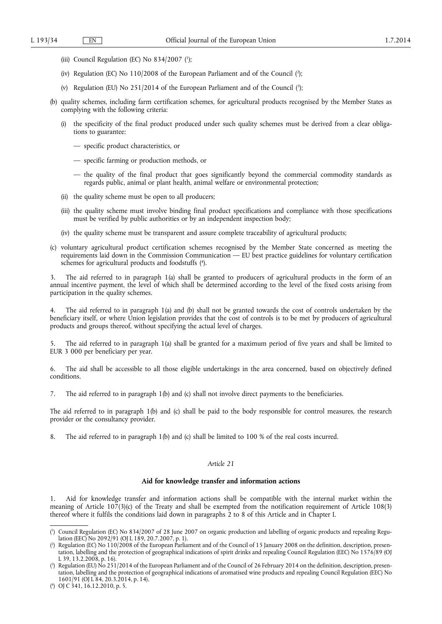- (iii) Council Regulation (EC) No 834/2007 (1);
- (iv) Regulation (EC) No  $110/2008$  of the European Parliament and of the Council  $(2)$ ;
- (v) Regulation (EU) No 251/2014 of the European Parliament and of the Council  $(3)$ ;
- (b) quality schemes, including farm certification schemes, for agricultural products recognised by the Member States as complying with the following criteria:
	- the specificity of the final product produced under such quality schemes must be derived from a clear obligations to guarantee:
		- specific product characteristics, or
		- specific farming or production methods, or
		- the quality of the final product that goes significantly beyond the commercial commodity standards as regards public, animal or plant health, animal welfare or environmental protection;
	- (ii) the quality scheme must be open to all producers;
	- (iii) the quality scheme must involve binding final product specifications and compliance with those specifications must be verified by public authorities or by an independent inspection body;
	- (iv) the quality scheme must be transparent and assure complete traceability of agricultural products;
- (c) voluntary agricultural product certification schemes recognised by the Member State concerned as meeting the requirements laid down in the Commission Communication — EU best practice guidelines for voluntary certification schemes for agricultural products and foodstuffs ( 4 ).

The aid referred to in paragraph 1(a) shall be granted to producers of agricultural products in the form of an annual incentive payment, the level of which shall be determined according to the level of the fixed costs arising from participation in the quality schemes.

The aid referred to in paragraph 1(a) and (b) shall not be granted towards the cost of controls undertaken by the beneficiary itself, or where Union legislation provides that the cost of controls is to be met by producers of agricultural products and groups thereof, without specifying the actual level of charges.

5. The aid referred to in paragraph 1(a) shall be granted for a maximum period of five years and shall be limited to EUR 3 000 per beneficiary per year.

6. The aid shall be accessible to all those eligible undertakings in the area concerned, based on objectively defined conditions.

7. The aid referred to in paragraph 1(b) and (c) shall not involve direct payments to the beneficiaries.

The aid referred to in paragraph 1(b) and (c) shall be paid to the body responsible for control measures, the research provider or the consultancy provider.

8. The aid referred to in paragraph 1(b) and (c) shall be limited to 100 % of the real costs incurred.

## *Article 21*

## **Aid for knowledge transfer and information actions**

1. Aid for knowledge transfer and information actions shall be compatible with the internal market within the meaning of Article 107(3)(c) of the Treaty and shall be exempted from the notification requirement of Article 108(3) thereof where it fulfils the conditions laid down in paragraphs 2 to 8 of this Article and in Chapter I.

<sup>(</sup> 1 ) Council Regulation (EC) No 834/2007 of 28 June 2007 on organic production and labelling of organic products and repealing Regulation (EEC) No 2092/91 (OJ L 189, 20.7.2007, p. 1).

<sup>(</sup> 2 ) Regulation (EC) No 110/2008 of the European Parliament and of the Council of 15 January 2008 on the definition, description, presentation, labelling and the protection of geographical indications of spirit drinks and repealing Council Regulation (EEC) No 1576/89 (OJ L 39, 13.2.2008, p. 16).

<sup>(</sup> 3 ) Regulation (EU) No 251/2014 of the European Parliament and of the Council of 26 February 2014 on the definition, description, presentation, labelling and the protection of geographical indications of aromatised wine products and repealing Council Regulation (EEC) No 1601/91 (OJ L 84, 20.3.2014, p. 14).

<sup>(</sup> 4 ) OJ C 341, 16.12.2010, p. 5.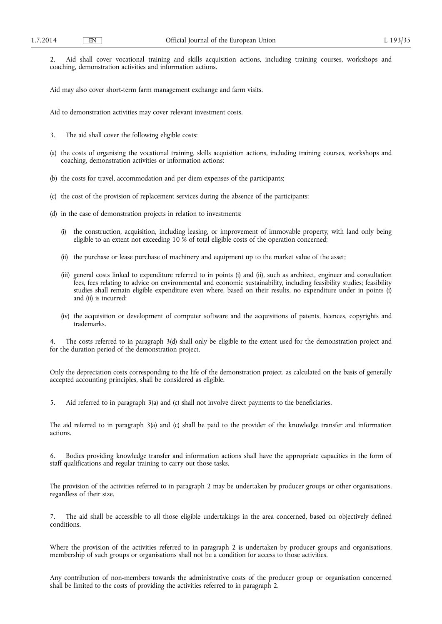2. Aid shall cover vocational training and skills acquisition actions, including training courses, workshops and coaching, demonstration activities and information actions.

Aid may also cover short-term farm management exchange and farm visits.

Aid to demonstration activities may cover relevant investment costs.

- 3. The aid shall cover the following eligible costs:
- (a) the costs of organising the vocational training, skills acquisition actions, including training courses, workshops and coaching, demonstration activities or information actions;
- (b) the costs for travel, accommodation and per diem expenses of the participants;
- (c) the cost of the provision of replacement services during the absence of the participants;
- (d) in the case of demonstration projects in relation to investments:
	- (i) the construction, acquisition, including leasing, or improvement of immovable property, with land only being eligible to an extent not exceeding 10 % of total eligible costs of the operation concerned;
	- (ii) the purchase or lease purchase of machinery and equipment up to the market value of the asset;
	- (iii) general costs linked to expenditure referred to in points (i) and (ii), such as architect, engineer and consultation fees, fees relating to advice on environmental and economic sustainability, including feasibility studies; feasibility studies shall remain eligible expenditure even where, based on their results, no expenditure under in points (i) and (ii) is incurred;
	- (iv) the acquisition or development of computer software and the acquisitions of patents, licences, copyrights and trademarks.

4. The costs referred to in paragraph 3(d) shall only be eligible to the extent used for the demonstration project and for the duration period of the demonstration project.

Only the depreciation costs corresponding to the life of the demonstration project, as calculated on the basis of generally accepted accounting principles, shall be considered as eligible.

5. Aid referred to in paragraph 3(a) and (c) shall not involve direct payments to the beneficiaries.

The aid referred to in paragraph 3(a) and (c) shall be paid to the provider of the knowledge transfer and information actions.

6. Bodies providing knowledge transfer and information actions shall have the appropriate capacities in the form of staff qualifications and regular training to carry out those tasks.

The provision of the activities referred to in paragraph 2 may be undertaken by producer groups or other organisations, regardless of their size.

7. The aid shall be accessible to all those eligible undertakings in the area concerned, based on objectively defined conditions.

Where the provision of the activities referred to in paragraph 2 is undertaken by producer groups and organisations, membership of such groups or organisations shall not be a condition for access to those activities.

Any contribution of non-members towards the administrative costs of the producer group or organisation concerned shall be limited to the costs of providing the activities referred to in paragraph 2.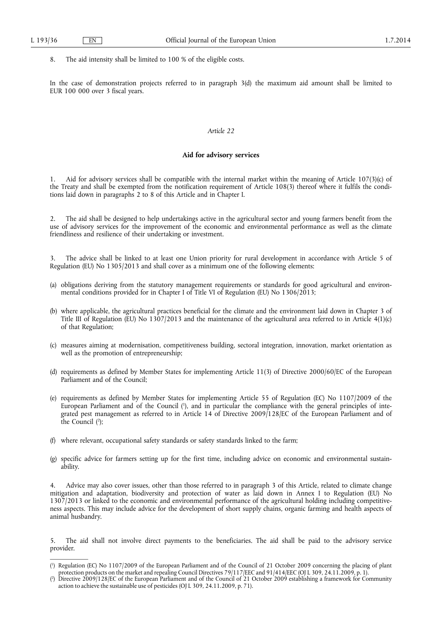8. The aid intensity shall be limited to 100 % of the eligible costs.

In the case of demonstration projects referred to in paragraph 3(d) the maximum aid amount shall be limited to EUR 100 000 over 3 fiscal years.

## *Article 22*

## **Aid for advisory services**

1. Aid for advisory services shall be compatible with the internal market within the meaning of Article 107(3)(c) of the Treaty and shall be exempted from the notification requirement of Article 108(3) thereof where it fulfils the conditions laid down in paragraphs 2 to 8 of this Article and in Chapter I.

2. The aid shall be designed to help undertakings active in the agricultural sector and young farmers benefit from the use of advisory services for the improvement of the economic and environmental performance as well as the climate friendliness and resilience of their undertaking or investment.

3. The advice shall be linked to at least one Union priority for rural development in accordance with Article 5 of Regulation (EU) No 1305/2013 and shall cover as a minimum one of the following elements:

- (a) obligations deriving from the statutory management requirements or standards for good agricultural and environmental conditions provided for in Chapter I of Title VI of Regulation (EU) No 1306/2013;
- (b) where applicable, the agricultural practices beneficial for the climate and the environment laid down in Chapter 3 of Title III of Regulation (EU) No 1307/2013 and the maintenance of the agricultural area referred to in Article 4(1)(c) of that Regulation;
- (c) measures aiming at modernisation, competitiveness building, sectoral integration, innovation, market orientation as well as the promotion of entrepreneurship;
- (d) requirements as defined by Member States for implementing Article 11(3) of Directive 2000/60/EC of the European Parliament and of the Council;
- (e) requirements as defined by Member States for implementing Article 55 of Regulation (EC) No 1107/2009 of the European Parliament and of the Council ( 1 ), and in particular the compliance with the general principles of integrated pest management as referred to in Article 14 of Directive 2009/128/EC of the European Parliament and of the Council ( 2 );
- (f) where relevant, occupational safety standards or safety standards linked to the farm;
- (g) specific advice for farmers setting up for the first time, including advice on economic and environmental sustainability.

Advice may also cover issues, other than those referred to in paragraph 3 of this Article, related to climate change mitigation and adaptation, biodiversity and protection of water as laid down in Annex I to Regulation (EU) No 1307/2013 or linked to the economic and environmental performance of the agricultural holding including competitiveness aspects. This may include advice for the development of short supply chains, organic farming and health aspects of animal husbandry.

5. The aid shall not involve direct payments to the beneficiaries. The aid shall be paid to the advisory service provider.

<sup>(</sup> 1 ) Regulation (EC) No 1107/2009 of the European Parliament and of the Council of 21 October 2009 concerning the placing of plant protection products on the market and repealing Council Directives 79/117/EEC and 91/414/EEC (OJ L 309, 24.11.2009, p. 1).

<sup>(</sup> 2 ) Directive 2009/128/EC of the European Parliament and of the Council of 21 October 2009 establishing a framework for Community action to achieve the sustainable use of pesticides (OJ L 309, 24.11.2009, p. 71).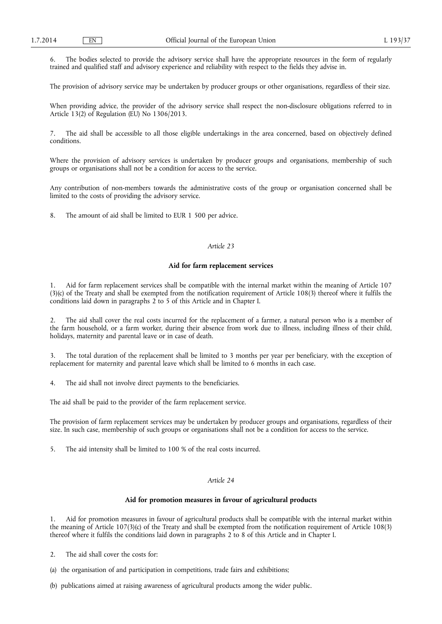6. The bodies selected to provide the advisory service shall have the appropriate resources in the form of regularly trained and qualified staff and advisory experience and reliability with respect to the fields they advise in.

The provision of advisory service may be undertaken by producer groups or other organisations, regardless of their size.

When providing advice, the provider of the advisory service shall respect the non-disclosure obligations referred to in Article 13(2) of Regulation (EU) No 1306/2013.

7. The aid shall be accessible to all those eligible undertakings in the area concerned, based on objectively defined conditions.

Where the provision of advisory services is undertaken by producer groups and organisations, membership of such groups or organisations shall not be a condition for access to the service.

Any contribution of non-members towards the administrative costs of the group or organisation concerned shall be limited to the costs of providing the advisory service.

8. The amount of aid shall be limited to EUR 1 500 per advice.

## *Article 23*

### **Aid for farm replacement services**

1. Aid for farm replacement services shall be compatible with the internal market within the meaning of Article 107 (3)(c) of the Treaty and shall be exempted from the notification requirement of Article 108(3) thereof where it fulfils the conditions laid down in paragraphs 2 to 5 of this Article and in Chapter I.

2. The aid shall cover the real costs incurred for the replacement of a farmer, a natural person who is a member of the farm household, or a farm worker, during their absence from work due to illness, including illness of their child, holidays, maternity and parental leave or in case of death.

3. The total duration of the replacement shall be limited to 3 months per year per beneficiary, with the exception of replacement for maternity and parental leave which shall be limited to 6 months in each case.

4. The aid shall not involve direct payments to the beneficiaries.

The aid shall be paid to the provider of the farm replacement service.

The provision of farm replacement services may be undertaken by producer groups and organisations, regardless of their size. In such case, membership of such groups or organisations shall not be a condition for access to the service.

5. The aid intensity shall be limited to 100 % of the real costs incurred.

## *Article 24*

#### **Aid for promotion measures in favour of agricultural products**

1. Aid for promotion measures in favour of agricultural products shall be compatible with the internal market within the meaning of Article 107(3)(c) of the Treaty and shall be exempted from the notification requirement of Article 108(3) thereof where it fulfils the conditions laid down in paragraphs 2 to 8 of this Article and in Chapter I.

2. The aid shall cover the costs for:

(a) the organisation of and participation in competitions, trade fairs and exhibitions;

(b) publications aimed at raising awareness of agricultural products among the wider public.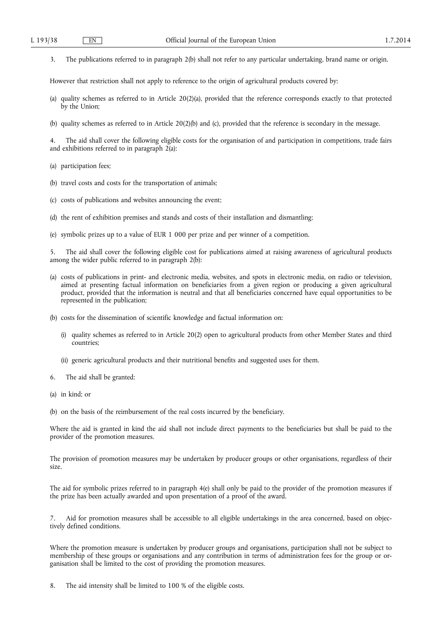3. The publications referred to in paragraph 2(b) shall not refer to any particular undertaking, brand name or origin.

However that restriction shall not apply to reference to the origin of agricultural products covered by:

- (a) quality schemes as referred to in Article 20(2)(a), provided that the reference corresponds exactly to that protected by the Union;
- (b) quality schemes as referred to in Article 20(2)(b) and (c), provided that the reference is secondary in the message.

4. The aid shall cover the following eligible costs for the organisation of and participation in competitions, trade fairs and exhibitions referred to in paragraph 2(a):

(a) participation fees;

- (b) travel costs and costs for the transportation of animals;
- (c) costs of publications and websites announcing the event;
- (d) the rent of exhibition premises and stands and costs of their installation and dismantling;

(e) symbolic prizes up to a value of EUR 1 000 per prize and per winner of a competition.

The aid shall cover the following eligible cost for publications aimed at raising awareness of agricultural products among the wider public referred to in paragraph 2(b):

- (a) costs of publications in print- and electronic media, websites, and spots in electronic media, on radio or television, aimed at presenting factual information on beneficiaries from a given region or producing a given agricultural product, provided that the information is neutral and that all beneficiaries concerned have equal opportunities to be represented in the publication;
- (b) costs for the dissemination of scientific knowledge and factual information on:
	- (i) quality schemes as referred to in Article 20(2) open to agricultural products from other Member States and third countries;
	- (ii) generic agricultural products and their nutritional benefits and suggested uses for them.
- 6. The aid shall be granted:
- (a) in kind; or
- (b) on the basis of the reimbursement of the real costs incurred by the beneficiary.

Where the aid is granted in kind the aid shall not include direct payments to the beneficiaries but shall be paid to the provider of the promotion measures.

The provision of promotion measures may be undertaken by producer groups or other organisations, regardless of their size.

The aid for symbolic prizes referred to in paragraph 4(e) shall only be paid to the provider of the promotion measures if the prize has been actually awarded and upon presentation of a proof of the award.

7. Aid for promotion measures shall be accessible to all eligible undertakings in the area concerned, based on objectively defined conditions.

Where the promotion measure is undertaken by producer groups and organisations, participation shall not be subject to membership of these groups or organisations and any contribution in terms of administration fees for the group or organisation shall be limited to the cost of providing the promotion measures.

8. The aid intensity shall be limited to 100 % of the eligible costs.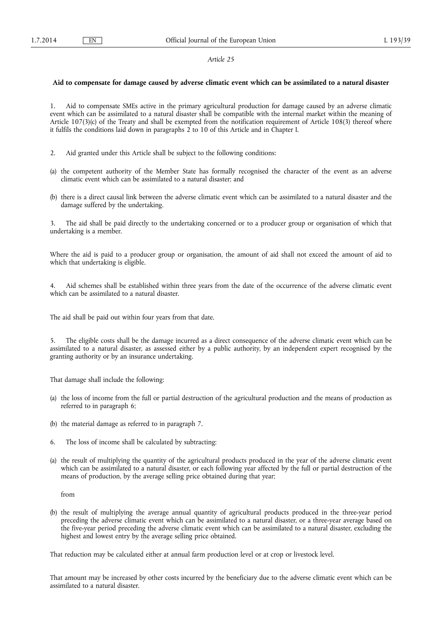### *Article 25*

### **Aid to compensate for damage caused by adverse climatic event which can be assimilated to a natural disaster**

1. Aid to compensate SMEs active in the primary agricultural production for damage caused by an adverse climatic event which can be assimilated to a natural disaster shall be compatible with the internal market within the meaning of Article 107(3)(c) of the Treaty and shall be exempted from the notification requirement of Article 108(3) thereof where it fulfils the conditions laid down in paragraphs 2 to 10 of this Article and in Chapter I.

- 2. Aid granted under this Article shall be subject to the following conditions:
- (a) the competent authority of the Member State has formally recognised the character of the event as an adverse climatic event which can be assimilated to a natural disaster; and
- (b) there is a direct causal link between the adverse climatic event which can be assimilated to a natural disaster and the damage suffered by the undertaking.

3. The aid shall be paid directly to the undertaking concerned or to a producer group or organisation of which that undertaking is a member.

Where the aid is paid to a producer group or organisation, the amount of aid shall not exceed the amount of aid to which that undertaking is eligible.

4. Aid schemes shall be established within three years from the date of the occurrence of the adverse climatic event which can be assimilated to a natural disaster.

The aid shall be paid out within four years from that date.

5. The eligible costs shall be the damage incurred as a direct consequence of the adverse climatic event which can be assimilated to a natural disaster, as assessed either by a public authority, by an independent expert recognised by the granting authority or by an insurance undertaking.

That damage shall include the following:

- (a) the loss of income from the full or partial destruction of the agricultural production and the means of production as referred to in paragraph 6;
- (b) the material damage as referred to in paragraph 7.
- 6. The loss of income shall be calculated by subtracting:
- (a) the result of multiplying the quantity of the agricultural products produced in the year of the adverse climatic event which can be assimilated to a natural disaster, or each following year affected by the full or partial destruction of the means of production, by the average selling price obtained during that year;

from

(b) the result of multiplying the average annual quantity of agricultural products produced in the three-year period preceding the adverse climatic event which can be assimilated to a natural disaster, or a three-year average based on the five-year period preceding the adverse climatic event which can be assimilated to a natural disaster, excluding the highest and lowest entry by the average selling price obtained.

That reduction may be calculated either at annual farm production level or at crop or livestock level.

That amount may be increased by other costs incurred by the beneficiary due to the adverse climatic event which can be assimilated to a natural disaster.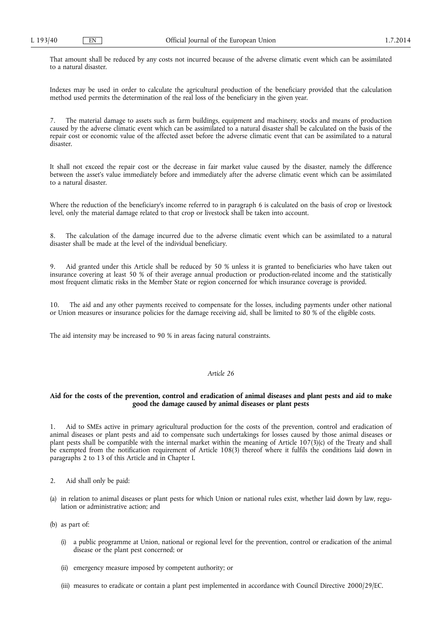That amount shall be reduced by any costs not incurred because of the adverse climatic event which can be assimilated to a natural disaster.

Indexes may be used in order to calculate the agricultural production of the beneficiary provided that the calculation method used permits the determination of the real loss of the beneficiary in the given year.

7. The material damage to assets such as farm buildings, equipment and machinery, stocks and means of production caused by the adverse climatic event which can be assimilated to a natural disaster shall be calculated on the basis of the repair cost or economic value of the affected asset before the adverse climatic event that can be assimilated to a natural disaster.

It shall not exceed the repair cost or the decrease in fair market value caused by the disaster, namely the difference between the asset's value immediately before and immediately after the adverse climatic event which can be assimilated to a natural disaster.

Where the reduction of the beneficiary's income referred to in paragraph 6 is calculated on the basis of crop or livestock level, only the material damage related to that crop or livestock shall be taken into account.

8. The calculation of the damage incurred due to the adverse climatic event which can be assimilated to a natural disaster shall be made at the level of the individual beneficiary.

9. Aid granted under this Article shall be reduced by 50 % unless it is granted to beneficiaries who have taken out insurance covering at least 50 % of their average annual production or production-related income and the statistically most frequent climatic risks in the Member State or region concerned for which insurance coverage is provided.

10. The aid and any other payments received to compensate for the losses, including payments under other national or Union measures or insurance policies for the damage receiving aid, shall be limited to 80 % of the eligible costs.

The aid intensity may be increased to 90 % in areas facing natural constraints.

## *Article 26*

## **Aid for the costs of the prevention, control and eradication of animal diseases and plant pests and aid to make good the damage caused by animal diseases or plant pests**

1. Aid to SMEs active in primary agricultural production for the costs of the prevention, control and eradication of animal diseases or plant pests and aid to compensate such undertakings for losses caused by those animal diseases or plant pests shall be compatible with the internal market within the meaning of Article 107(3)(c) of the Treaty and shall be exempted from the notification requirement of Article 108(3) thereof where it fulfils the conditions laid down in paragraphs 2 to 13 of this Article and in Chapter I.

- 2. Aid shall only be paid:
- (a) in relation to animal diseases or plant pests for which Union or national rules exist, whether laid down by law, regulation or administrative action; and
- (b) as part of:
	- (i) a public programme at Union, national or regional level for the prevention, control or eradication of the animal disease or the plant pest concerned; or
	- (ii) emergency measure imposed by competent authority; or
	- (iii) measures to eradicate or contain a plant pest implemented in accordance with Council Directive 2000/29/EC.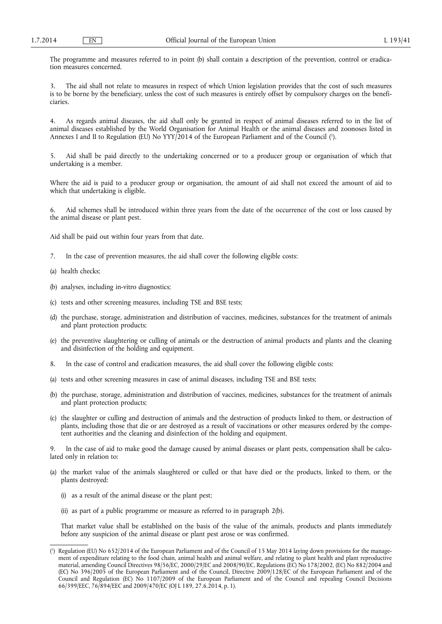The programme and measures referred to in point (b) shall contain a description of the prevention, control or eradication measures concerned.

3. The aid shall not relate to measures in respect of which Union legislation provides that the cost of such measures is to be borne by the beneficiary, unless the cost of such measures is entirely offset by compulsory charges on the beneficiaries.

4. As regards animal diseases, the aid shall only be granted in respect of animal diseases referred to in the list of animal diseases established by the World Organisation for Animal Health or the animal diseases and zoonoses listed in Annexes I and II to Regulation (EU) No YYY/2014 of the European Parliament and of the Council ( 1 ).

5. Aid shall be paid directly to the undertaking concerned or to a producer group or organisation of which that undertaking is a member.

Where the aid is paid to a producer group or organisation, the amount of aid shall not exceed the amount of aid to which that undertaking is eligible.

6. Aid schemes shall be introduced within three years from the date of the occurrence of the cost or loss caused by the animal disease or plant pest.

Aid shall be paid out within four years from that date.

- 7. In the case of prevention measures, the aid shall cover the following eligible costs:
- (a) health checks;
- (b) analyses, including in-vitro diagnostics;
- (c) tests and other screening measures, including TSE and BSE tests;
- (d) the purchase, storage, administration and distribution of vaccines, medicines, substances for the treatment of animals and plant protection products;
- (e) the preventive slaughtering or culling of animals or the destruction of animal products and plants and the cleaning and disinfection of the holding and equipment.
- 8. In the case of control and eradication measures, the aid shall cover the following eligible costs:
- (a) tests and other screening measures in case of animal diseases, including TSE and BSE tests;
- (b) the purchase, storage, administration and distribution of vaccines, medicines, substances for the treatment of animals and plant protection products;
- (c) the slaughter or culling and destruction of animals and the destruction of products linked to them, or destruction of plants, including those that die or are destroyed as a result of vaccinations or other measures ordered by the competent authorities and the cleaning and disinfection of the holding and equipment.

9. In the case of aid to make good the damage caused by animal diseases or plant pests, compensation shall be calculated only in relation to:

- (a) the market value of the animals slaughtered or culled or that have died or the products, linked to them, or the plants destroyed:
	- (i) as a result of the animal disease or the plant pest;
	- (ii) as part of a public programme or measure as referred to in paragraph 2(b).

That market value shall be established on the basis of the value of the animals, products and plants immediately before any suspicion of the animal disease or plant pest arose or was confirmed.

<sup>(</sup> 1 ) Regulation (EU) No 652/2014 of the European Parliament and of the Council of 15 May 2014 laying down provisions for the management of expenditure relating to the food chain, animal health and animal welfare, and relating to plant health and plant reproductive material, amending Council Directives 98/56/EC, 2000/29/EC and 2008/90/EC, Regulations (EC) No 178/2002, (EC) No 882/2004 and (EC) No 396/2005 of the European Parliament and of the Council, Directive 2009/128/EC of the European Parliament and of the Council and Regulation (EC) No 1107/2009 of the European Parliament and of the Council and repealing Council Decisions 66/399/EEC, 76/894/EEC and 2009/470/EC (OJ L 189, 27.6.2014, p. 1).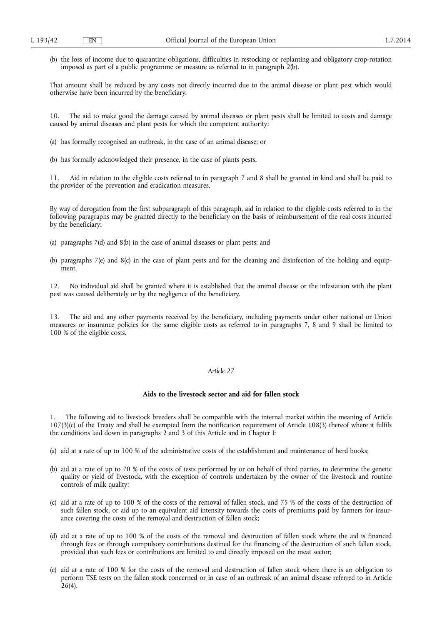(b) the loss of income due to quarantine obligations, difficulties in restocking or replanting and obligatory crop-rotation imposed as part of a public programme or measure as referred to in paragraph 2(b).

That amount shall be reduced by any costs not directly incurred due to the animal disease or plant pest which would otherwise have been incurred by the beneficiary.

The aid to make good the damage caused by animal diseases or plant pests shall be limited to costs and damage caused by animal diseases and plant pests for which the competent authority:

- (a) has formally recognised an outbreak, in the case of an animal disease; or
- (b) has formally acknowledged their presence, in the case of plants pests.

11. Aid in relation to the eligible costs referred to in paragraph 7 and 8 shall be granted in kind and shall be paid to the provider of the prevention and eradication measures.

By way of derogation from the first subparagraph of this paragraph, aid in relation to the eligible costs referred to in the following paragraphs may be granted directly to the beneficiary on the basis of reimbursement of the real costs incurred by the beneficiary:

- (a) paragraphs 7(d) and 8(b) in the case of animal diseases or plant pests; and
- (b) paragraphs 7(e) and 8(c) in the case of plant pests and for the cleaning and disinfection of the holding and equipment.

12. No individual aid shall be granted where it is established that the animal disease or the infestation with the plant pest was caused deliberately or by the negligence of the beneficiary.

13. The aid and any other payments received by the beneficiary, including payments under other national or Union measures or insurance policies for the same eligible costs as referred to in paragraphs 7, 8 and 9 shall be limited to 100 % of the eligible costs.

## *Article 27*

## **Aids to the livestock sector and aid for fallen stock**

1. The following aid to livestock breeders shall be compatible with the internal market within the meaning of Article 107(3)(c) of the Treaty and shall be exempted from the notification requirement of Article 108(3) thereof where it fulfils the conditions laid down in paragraphs 2 and 3 of this Article and in Chapter I:

- (a) aid at a rate of up to 100 % of the administrative costs of the establishment and maintenance of herd books;
- (b) aid at a rate of up to 70 % of the costs of tests performed by or on behalf of third parties, to determine the genetic quality or yield of livestock, with the exception of controls undertaken by the owner of the livestock and routine controls of milk quality;
- (c) aid at a rate of up to 100 % of the costs of the removal of fallen stock, and 75 % of the costs of the destruction of such fallen stock, or aid up to an equivalent aid intensity towards the costs of premiums paid by farmers for insurance covering the costs of the removal and destruction of fallen stock;
- (d) aid at a rate of up to 100 % of the costs of the removal and destruction of fallen stock where the aid is financed through fees or through compulsory contributions destined for the financing of the destruction of such fallen stock, provided that such fees or contributions are limited to and directly imposed on the meat sector;
- (e) aid at a rate of 100 % for the costs of the removal and destruction of fallen stock where there is an obligation to perform TSE tests on the fallen stock concerned or in case of an outbreak of an animal disease referred to in Article  $26(4)$ .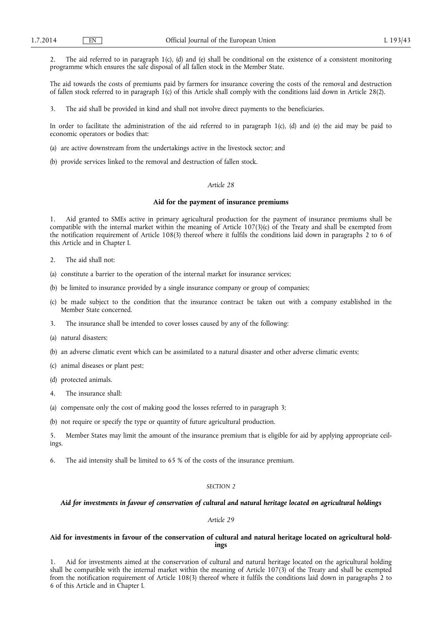2. The aid referred to in paragraph 1(c), (d) and (e) shall be conditional on the existence of a consistent monitoring programme which ensures the safe disposal of all fallen stock in the Member State.

The aid towards the costs of premiums paid by farmers for insurance covering the costs of the removal and destruction of fallen stock referred to in paragraph 1(c) of this Article shall comply with the conditions laid down in Article 28(2).

3. The aid shall be provided in kind and shall not involve direct payments to the beneficiaries.

In order to facilitate the administration of the aid referred to in paragraph  $1(c)$ , (d) and (e) the aid may be paid to economic operators or bodies that:

(a) are active downstream from the undertakings active in the livestock sector; and

(b) provide services linked to the removal and destruction of fallen stock.

## *Article 28*

## **Aid for the payment of insurance premiums**

1. Aid granted to SMEs active in primary agricultural production for the payment of insurance premiums shall be compatible with the internal market within the meaning of Article 107(3)(c) of the Treaty and shall be exempted from the notification requirement of Article 108(3) thereof where it fulfils the conditions laid down in paragraphs 2 to 6 of this Article and in Chapter I.

- 2. The aid shall not:
- (a) constitute a barrier to the operation of the internal market for insurance services;
- (b) be limited to insurance provided by a single insurance company or group of companies;
- (c) be made subject to the condition that the insurance contract be taken out with a company established in the Member State concerned.
- 3. The insurance shall be intended to cover losses caused by any of the following:
- (a) natural disasters;
- (b) an adverse climatic event which can be assimilated to a natural disaster and other adverse climatic events;
- (c) animal diseases or plant pest;
- (d) protected animals.
- 4. The insurance shall:
- (a) compensate only the cost of making good the losses referred to in paragraph 3;
- (b) not require or specify the type or quantity of future agricultural production.

5. Member States may limit the amount of the insurance premium that is eligible for aid by applying appropriate ceilings.

6. The aid intensity shall be limited to 65 % of the costs of the insurance premium.

#### *SECTION 2*

#### *Aid for investments in favour of conservation of cultural and natural heritage located on agricultural holdings*

## *Article 29*

## **Aid for investments in favour of the conservation of cultural and natural heritage located on agricultural holdings**

1. Aid for investments aimed at the conservation of cultural and natural heritage located on the agricultural holding shall be compatible with the internal market within the meaning of Article 107(3) of the Treaty and shall be exempted from the notification requirement of Article 108(3) thereof where it fulfils the conditions laid down in paragraphs 2 to 6 of this Article and in Chapter I.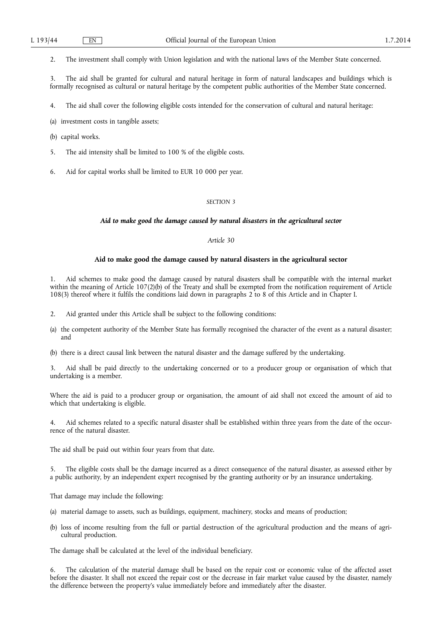2. The investment shall comply with Union legislation and with the national laws of the Member State concerned.

3. The aid shall be granted for cultural and natural heritage in form of natural landscapes and buildings which is formally recognised as cultural or natural heritage by the competent public authorities of the Member State concerned.

- 4. The aid shall cover the following eligible costs intended for the conservation of cultural and natural heritage:
- (a) investment costs in tangible assets;
- (b) capital works.
- 5. The aid intensity shall be limited to 100 % of the eligible costs.
- 6. Aid for capital works shall be limited to EUR 10 000 per year.

### *SECTION 3*

#### *Aid to make good the damage caused by natural disasters in the agricultural sector*

## *Article 30*

#### **Aid to make good the damage caused by natural disasters in the agricultural sector**

1. Aid schemes to make good the damage caused by natural disasters shall be compatible with the internal market within the meaning of Article 107(2)(b) of the Treaty and shall be exempted from the notification requirement of Article 108(3) thereof where it fulfils the conditions laid down in paragraphs 2 to 8 of this Article and in Chapter I.

- 2. Aid granted under this Article shall be subject to the following conditions:
- (a) the competent authority of the Member State has formally recognised the character of the event as a natural disaster; and
- (b) there is a direct causal link between the natural disaster and the damage suffered by the undertaking.

3. Aid shall be paid directly to the undertaking concerned or to a producer group or organisation of which that undertaking is a member.

Where the aid is paid to a producer group or organisation, the amount of aid shall not exceed the amount of aid to which that undertaking is eligible.

4. Aid schemes related to a specific natural disaster shall be established within three years from the date of the occurrence of the natural disaster.

The aid shall be paid out within four years from that date.

The eligible costs shall be the damage incurred as a direct consequence of the natural disaster, as assessed either by a public authority, by an independent expert recognised by the granting authority or by an insurance undertaking.

That damage may include the following:

- (a) material damage to assets, such as buildings, equipment, machinery, stocks and means of production;
- (b) loss of income resulting from the full or partial destruction of the agricultural production and the means of agricultural production.

The damage shall be calculated at the level of the individual beneficiary.

6. The calculation of the material damage shall be based on the repair cost or economic value of the affected asset before the disaster. It shall not exceed the repair cost or the decrease in fair market value caused by the disaster, namely the difference between the property's value immediately before and immediately after the disaster.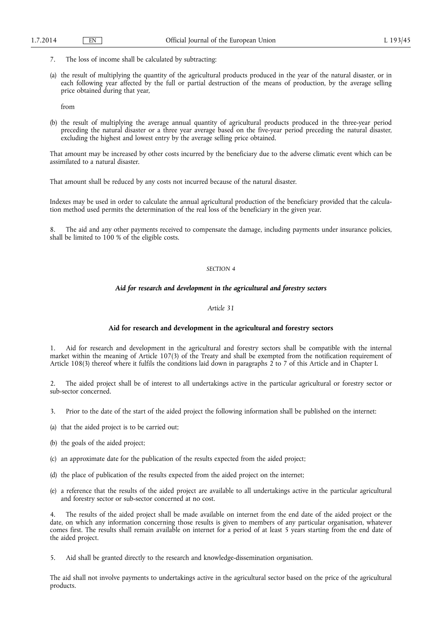- 7. The loss of income shall be calculated by subtracting:
- (a) the result of multiplying the quantity of the agricultural products produced in the year of the natural disaster, or in each following year affected by the full or partial destruction of the means of production, by the average selling price obtained during that year,

from

(b) the result of multiplying the average annual quantity of agricultural products produced in the three-year period preceding the natural disaster or a three year average based on the five-year period preceding the natural disaster, excluding the highest and lowest entry by the average selling price obtained.

That amount may be increased by other costs incurred by the beneficiary due to the adverse climatic event which can be assimilated to a natural disaster.

That amount shall be reduced by any costs not incurred because of the natural disaster.

Indexes may be used in order to calculate the annual agricultural production of the beneficiary provided that the calculation method used permits the determination of the real loss of the beneficiary in the given year.

8. The aid and any other payments received to compensate the damage, including payments under insurance policies, shall be limited to 100 % of the eligible costs.

### *SECTION 4*

### *Aid for research and development in the agricultural and forestry sectors*

## *Article 31*

### **Aid for research and development in the agricultural and forestry sectors**

1. Aid for research and development in the agricultural and forestry sectors shall be compatible with the internal market within the meaning of Article 107(3) of the Treaty and shall be exempted from the notification requirement of Article 108(3) thereof where it fulfils the conditions laid down in paragraphs 2 to 7 of this Article and in Chapter I.

2. The aided project shall be of interest to all undertakings active in the particular agricultural or forestry sector or sub-sector concerned.

- 3. Prior to the date of the start of the aided project the following information shall be published on the internet:
- (a) that the aided project is to be carried out;
- (b) the goals of the aided project;
- (c) an approximate date for the publication of the results expected from the aided project;
- (d) the place of publication of the results expected from the aided project on the internet;
- (e) a reference that the results of the aided project are available to all undertakings active in the particular agricultural and forestry sector or sub-sector concerned at no cost.

The results of the aided project shall be made available on internet from the end date of the aided project or the date, on which any information concerning those results is given to members of any particular organisation, whatever comes first. The results shall remain available on internet for a period of at least 5 years starting from the end date of the aided project.

5. Aid shall be granted directly to the research and knowledge-dissemination organisation.

The aid shall not involve payments to undertakings active in the agricultural sector based on the price of the agricultural products.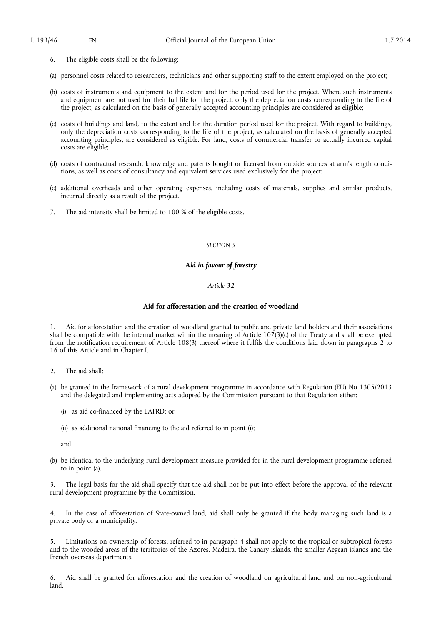- 6. The eligible costs shall be the following:
- (a) personnel costs related to researchers, technicians and other supporting staff to the extent employed on the project;
- (b) costs of instruments and equipment to the extent and for the period used for the project. Where such instruments and equipment are not used for their full life for the project, only the depreciation costs corresponding to the life of the project, as calculated on the basis of generally accepted accounting principles are considered as eligible;
- (c) costs of buildings and land, to the extent and for the duration period used for the project. With regard to buildings, only the depreciation costs corresponding to the life of the project, as calculated on the basis of generally accepted accounting principles, are considered as eligible. For land, costs of commercial transfer or actually incurred capital costs are eligible;
- (d) costs of contractual research, knowledge and patents bought or licensed from outside sources at arm's length conditions, as well as costs of consultancy and equivalent services used exclusively for the project;
- (e) additional overheads and other operating expenses, including costs of materials, supplies and similar products, incurred directly as a result of the project.
- 7. The aid intensity shall be limited to 100 % of the eligible costs.

#### *SECTION 5*

## *Aid in favour of forestry*

## *Article 32*

## **Aid for afforestation and the creation of woodland**

1. Aid for afforestation and the creation of woodland granted to public and private land holders and their associations shall be compatible with the internal market within the meaning of Article  $107(3)$ (c) of the Treaty and shall be exempted from the notification requirement of Article 108(3) thereof where it fulfils the conditions laid down in paragraphs 2 to 16 of this Article and in Chapter I.

- 2. The aid shall:
- (a) be granted in the framework of a rural development programme in accordance with Regulation (EU) No 1305/2013 and the delegated and implementing acts adopted by the Commission pursuant to that Regulation either:
	- (i) as aid co-financed by the EAFRD; or
	- (ii) as additional national financing to the aid referred to in point (i);

and

(b) be identical to the underlying rural development measure provided for in the rural development programme referred to in point (a).

The legal basis for the aid shall specify that the aid shall not be put into effect before the approval of the relevant rural development programme by the Commission.

In the case of afforestation of State-owned land, aid shall only be granted if the body managing such land is a private body or a municipality.

5. Limitations on ownership of forests, referred to in paragraph 4 shall not apply to the tropical or subtropical forests and to the wooded areas of the territories of the Azores, Madeira, the Canary islands, the smaller Aegean islands and the French overseas departments.

6. Aid shall be granted for afforestation and the creation of woodland on agricultural land and on non-agricultural land.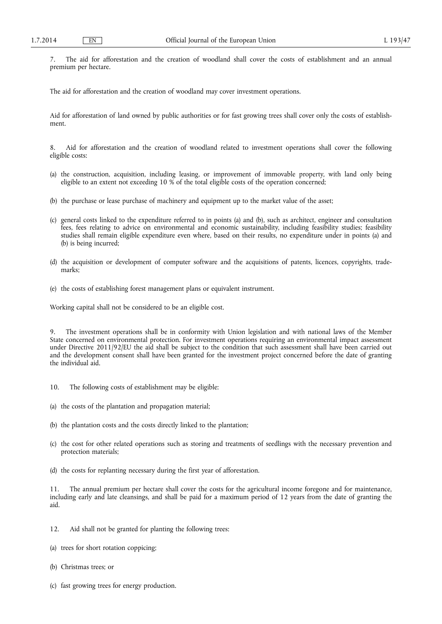7. The aid for afforestation and the creation of woodland shall cover the costs of establishment and an annual premium per hectare.

The aid for afforestation and the creation of woodland may cover investment operations.

Aid for afforestation of land owned by public authorities or for fast growing trees shall cover only the costs of establishment.

8. Aid for afforestation and the creation of woodland related to investment operations shall cover the following eligible costs:

- (a) the construction, acquisition, including leasing, or improvement of immovable property, with land only being eligible to an extent not exceeding 10 % of the total eligible costs of the operation concerned;
- (b) the purchase or lease purchase of machinery and equipment up to the market value of the asset;
- (c) general costs linked to the expenditure referred to in points (a) and (b), such as architect, engineer and consultation fees, fees relating to advice on environmental and economic sustainability, including feasibility studies; feasibility studies shall remain eligible expenditure even where, based on their results, no expenditure under in points (a) and (b) is being incurred;
- (d) the acquisition or development of computer software and the acquisitions of patents, licences, copyrights, trademarks;
- (e) the costs of establishing forest management plans or equivalent instrument.

Working capital shall not be considered to be an eligible cost.

9. The investment operations shall be in conformity with Union legislation and with national laws of the Member State concerned on environmental protection. For investment operations requiring an environmental impact assessment under Directive 2011/92/EU the aid shall be subject to the condition that such assessment shall have been carried out and the development consent shall have been granted for the investment project concerned before the date of granting the individual aid.

- 10. The following costs of establishment may be eligible:
- (a) the costs of the plantation and propagation material;
- (b) the plantation costs and the costs directly linked to the plantation;
- (c) the cost for other related operations such as storing and treatments of seedlings with the necessary prevention and protection materials;
- (d) the costs for replanting necessary during the first year of afforestation.

11. The annual premium per hectare shall cover the costs for the agricultural income foregone and for maintenance, including early and late cleansings, and shall be paid for a maximum period of 12 years from the date of granting the aid.

- 12. Aid shall not be granted for planting the following trees:
- (a) trees for short rotation coppicing;
- (b) Christmas trees; or
- (c) fast growing trees for energy production.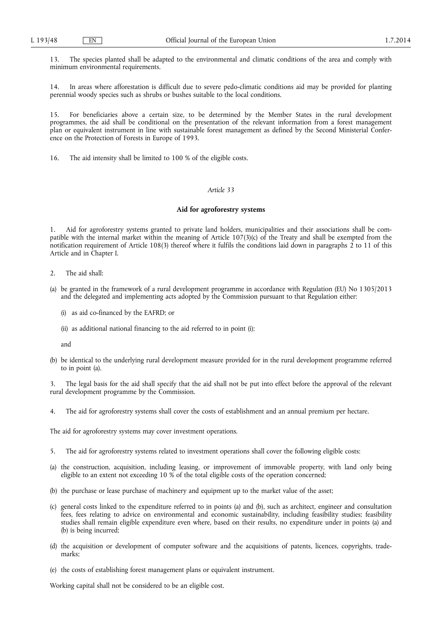13. The species planted shall be adapted to the environmental and climatic conditions of the area and comply with minimum environmental requirements.

14. In areas where afforestation is difficult due to severe pedo-climatic conditions aid may be provided for planting perennial woody species such as shrubs or bushes suitable to the local conditions.

15. For beneficiaries above a certain size, to be determined by the Member States in the rural development programmes, the aid shall be conditional on the presentation of the relevant information from a forest management plan or equivalent instrument in line with sustainable forest management as defined by the Second Ministerial Conference on the Protection of Forests in Europe of 1993.

16. The aid intensity shall be limited to 100 % of the eligible costs.

## *Article 33*

#### **Aid for agroforestry systems**

1. Aid for agroforestry systems granted to private land holders, municipalities and their associations shall be compatible with the internal market within the meaning of Article 107(3)(c) of the Treaty and shall be exempted from the notification requirement of Article 108(3) thereof where it fulfils the conditions laid down in paragraphs 2 to 11 of this Article and in Chapter I.

- 2. The aid shall:
- (a) be granted in the framework of a rural development programme in accordance with Regulation (EU) No 1305/2013 and the delegated and implementing acts adopted by the Commission pursuant to that Regulation either:
	- (i) as aid co-financed by the EAFRD; or
	- (ii) as additional national financing to the aid referred to in point (i);

and

(b) be identical to the underlying rural development measure provided for in the rural development programme referred to in point (a).

3. The legal basis for the aid shall specify that the aid shall not be put into effect before the approval of the relevant rural development programme by the Commission.

4. The aid for agroforestry systems shall cover the costs of establishment and an annual premium per hectare.

The aid for agroforestry systems may cover investment operations.

- 5. The aid for agroforestry systems related to investment operations shall cover the following eligible costs:
- (a) the construction, acquisition, including leasing, or improvement of immovable property, with land only being eligible to an extent not exceeding 10 % of the total eligible costs of the operation concerned;
- (b) the purchase or lease purchase of machinery and equipment up to the market value of the asset;
- (c) general costs linked to the expenditure referred to in points (a) and (b), such as architect, engineer and consultation fees, fees relating to advice on environmental and economic sustainability, including feasibility studies; feasibility studies shall remain eligible expenditure even where, based on their results, no expenditure under in points (a) and (b) is being incurred;
- (d) the acquisition or development of computer software and the acquisitions of patents, licences, copyrights, trademarks;
- (e) the costs of establishing forest management plans or equivalent instrument.

Working capital shall not be considered to be an eligible cost.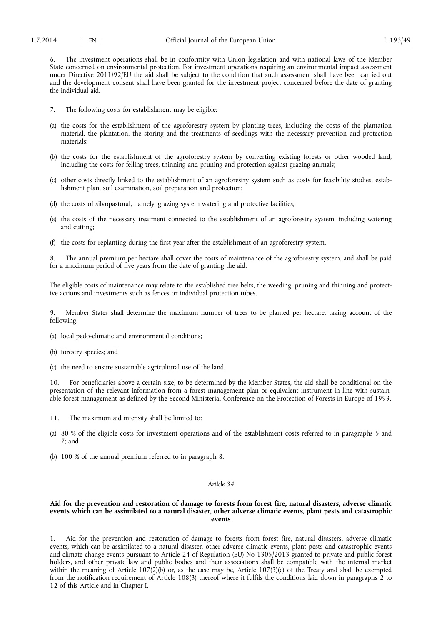6. The investment operations shall be in conformity with Union legislation and with national laws of the Member State concerned on environmental protection. For investment operations requiring an environmental impact assessment under Directive 2011/92/EU the aid shall be subject to the condition that such assessment shall have been carried out and the development consent shall have been granted for the investment project concerned before the date of granting the individual aid.

- 7. The following costs for establishment may be eligible:
- (a) the costs for the establishment of the agroforestry system by planting trees, including the costs of the plantation material, the plantation, the storing and the treatments of seedlings with the necessary prevention and protection materials;
- (b) the costs for the establishment of the agroforestry system by converting existing forests or other wooded land, including the costs for felling trees, thinning and pruning and protection against grazing animals;
- (c) other costs directly linked to the establishment of an agroforestry system such as costs for feasibility studies, establishment plan, soil examination, soil preparation and protection;
- (d) the costs of silvopastoral, namely, grazing system watering and protective facilities;
- (e) the costs of the necessary treatment connected to the establishment of an agroforestry system, including watering and cutting;
- (f) the costs for replanting during the first year after the establishment of an agroforestry system.

8. The annual premium per hectare shall cover the costs of maintenance of the agroforestry system, and shall be paid for a maximum period of five years from the date of granting the aid.

The eligible costs of maintenance may relate to the established tree belts, the weeding, pruning and thinning and protective actions and investments such as fences or individual protection tubes.

9. Member States shall determine the maximum number of trees to be planted per hectare, taking account of the following:

- (a) local pedo-climatic and environmental conditions;
- (b) forestry species; and
- (c) the need to ensure sustainable agricultural use of the land.

10. For beneficiaries above a certain size, to be determined by the Member States, the aid shall be conditional on the presentation of the relevant information from a forest management plan or equivalent instrument in line with sustainable forest management as defined by the Second Ministerial Conference on the Protection of Forests in Europe of 1993.

- 11. The maximum aid intensity shall be limited to:
- (a) 80 % of the eligible costs for investment operations and of the establishment costs referred to in paragraphs 5 and 7; and
- (b) 100 % of the annual premium referred to in paragraph 8.

## *Article 34*

## **Aid for the prevention and restoration of damage to forests from forest fire, natural disasters, adverse climatic events which can be assimilated to a natural disaster, other adverse climatic events, plant pests and catastrophic events**

1. Aid for the prevention and restoration of damage to forests from forest fire, natural disasters, adverse climatic events, which can be assimilated to a natural disaster, other adverse climatic events, plant pests and catastrophic events and climate change events pursuant to Article 24 of Regulation (EU) No 1305/2013 granted to private and public forest holders, and other private law and public bodies and their associations shall be compatible with the internal market within the meaning of Article  $107(2)(b)$  or, as the case may be, Article  $107(3)(c)$  of the Treaty and shall be exempted from the notification requirement of Article 108(3) thereof where it fulfils the conditions laid down in paragraphs 2 to 12 of this Article and in Chapter I.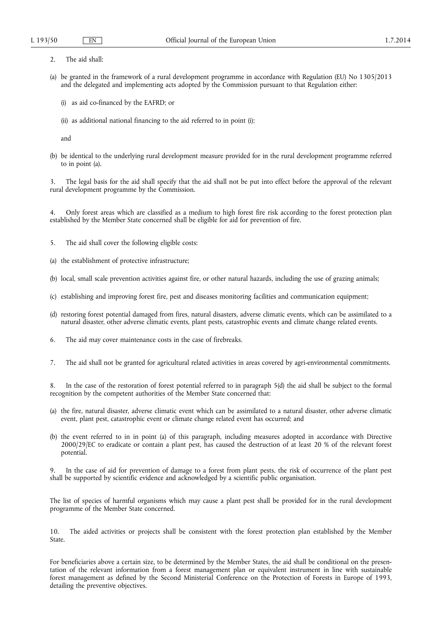2. The aid shall:

- (a) be granted in the framework of a rural development programme in accordance with Regulation (EU) No 1305/2013 and the delegated and implementing acts adopted by the Commission pursuant to that Regulation either:
	- (i) as aid co-financed by the EAFRD; or
	- (ii) as additional national financing to the aid referred to in point (i);

and

(b) be identical to the underlying rural development measure provided for in the rural development programme referred to in point (a).

The legal basis for the aid shall specify that the aid shall not be put into effect before the approval of the relevant rural development programme by the Commission.

4. Only forest areas which are classified as a medium to high forest fire risk according to the forest protection plan established by the Member State concerned shall be eligible for aid for prevention of fire.

- 5. The aid shall cover the following eligible costs:
- (a) the establishment of protective infrastructure;
- (b) local, small scale prevention activities against fire, or other natural hazards, including the use of grazing animals;
- (c) establishing and improving forest fire, pest and diseases monitoring facilities and communication equipment;
- (d) restoring forest potential damaged from fires, natural disasters, adverse climatic events, which can be assimilated to a natural disaster, other adverse climatic events, plant pests, catastrophic events and climate change related events.
- 6. The aid may cover maintenance costs in the case of firebreaks.
- 7. The aid shall not be granted for agricultural related activities in areas covered by agri-environmental commitments.

8. In the case of the restoration of forest potential referred to in paragraph 5(d) the aid shall be subject to the formal recognition by the competent authorities of the Member State concerned that:

- (a) the fire, natural disaster, adverse climatic event which can be assimilated to a natural disaster, other adverse climatic event, plant pest, catastrophic event or climate change related event has occurred; and
- (b) the event referred to in in point (a) of this paragraph, including measures adopted in accordance with Directive 2000/29/EC to eradicate or contain a plant pest, has caused the destruction of at least 20 % of the relevant forest potential.

9. In the case of aid for prevention of damage to a forest from plant pests, the risk of occurrence of the plant pest shall be supported by scientific evidence and acknowledged by a scientific public organisation.

The list of species of harmful organisms which may cause a plant pest shall be provided for in the rural development programme of the Member State concerned.

10. The aided activities or projects shall be consistent with the forest protection plan established by the Member State.

For beneficiaries above a certain size, to be determined by the Member States, the aid shall be conditional on the presentation of the relevant information from a forest management plan or equivalent instrument in line with sustainable forest management as defined by the Second Ministerial Conference on the Protection of Forests in Europe of 1993, detailing the preventive objectives.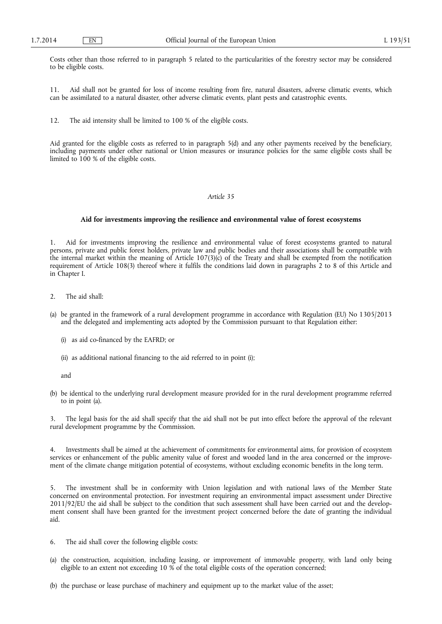Costs other than those referred to in paragraph 5 related to the particularities of the forestry sector may be considered to be eligible costs.

11. Aid shall not be granted for loss of income resulting from fire, natural disasters, adverse climatic events, which can be assimilated to a natural disaster, other adverse climatic events, plant pests and catastrophic events.

12. The aid intensity shall be limited to 100 % of the eligible costs.

Aid granted for the eligible costs as referred to in paragraph 5(d) and any other payments received by the beneficiary, including payments under other national or Union measures or insurance policies for the same eligible costs shall be limited to 100 % of the eligible costs.

#### *Article 35*

### **Aid for investments improving the resilience and environmental value of forest ecosystems**

1. Aid for investments improving the resilience and environmental value of forest ecosystems granted to natural persons, private and public forest holders, private law and public bodies and their associations shall be compatible with the internal market within the meaning of Article  $107(3)(c)$  of the Treaty and shall be exempted from the notification requirement of Article 108(3) thereof where it fulfils the conditions laid down in paragraphs 2 to 8 of this Article and in Chapter I.

- 2. The aid shall:
- (a) be granted in the framework of a rural development programme in accordance with Regulation (EU) No 1305/2013 and the delegated and implementing acts adopted by the Commission pursuant to that Regulation either:
	- (i) as aid co-financed by the EAFRD; or
	- (ii) as additional national financing to the aid referred to in point (i);

and

(b) be identical to the underlying rural development measure provided for in the rural development programme referred to in point (a).

The legal basis for the aid shall specify that the aid shall not be put into effect before the approval of the relevant rural development programme by the Commission.

4. Investments shall be aimed at the achievement of commitments for environmental aims, for provision of ecosystem services or enhancement of the public amenity value of forest and wooded land in the area concerned or the improvement of the climate change mitigation potential of ecosystems, without excluding economic benefits in the long term.

5. The investment shall be in conformity with Union legislation and with national laws of the Member State concerned on environmental protection. For investment requiring an environmental impact assessment under Directive 2011/92/EU the aid shall be subject to the condition that such assessment shall have been carried out and the development consent shall have been granted for the investment project concerned before the date of granting the individual aid.

- 6. The aid shall cover the following eligible costs:
- (a) the construction, acquisition, including leasing, or improvement of immovable property, with land only being eligible to an extent not exceeding 10 % of the total eligible costs of the operation concerned;
- (b) the purchase or lease purchase of machinery and equipment up to the market value of the asset;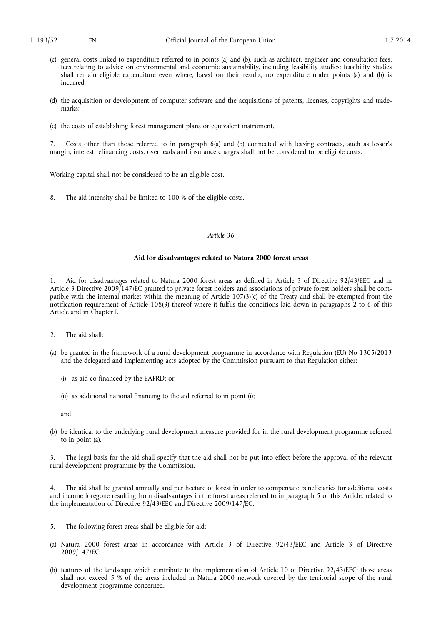- (c) general costs linked to expenditure referred to in points (a) and (b), such as architect, engineer and consultation fees, fees relating to advice on environmental and economic sustainability, including feasibility studies; feasibility studies shall remain eligible expenditure even where, based on their results, no expenditure under points (a) and (b) is incurred;
- (d) the acquisition or development of computer software and the acquisitions of patents, licenses, copyrights and trademarks;
- (e) the costs of establishing forest management plans or equivalent instrument.

7. Costs other than those referred to in paragraph 6(a) and (b) connected with leasing contracts, such as lessor's margin, interest refinancing costs, overheads and insurance charges shall not be considered to be eligible costs.

Working capital shall not be considered to be an eligible cost.

8. The aid intensity shall be limited to 100 % of the eligible costs.

## *Article 36*

### **Aid for disadvantages related to Natura 2000 forest areas**

1. Aid for disadvantages related to Natura 2000 forest areas as defined in Article 3 of Directive 92/43/EEC and in Article 3 Directive 2009/147/EC granted to private forest holders and associations of private forest holders shall be compatible with the internal market within the meaning of Article 107(3)(c) of the Treaty and shall be exempted from the notification requirement of Article 108(3) thereof where it fulfils the conditions laid down in paragraphs 2 to 6 of this Article and in Chapter I.

- 2. The aid shall:
- (a) be granted in the framework of a rural development programme in accordance with Regulation (EU) No 1305/2013 and the delegated and implementing acts adopted by the Commission pursuant to that Regulation either:
	- (i) as aid co-financed by the EAFRD; or
	- (ii) as additional national financing to the aid referred to in point (i);

and

(b) be identical to the underlying rural development measure provided for in the rural development programme referred to in point (a).

The legal basis for the aid shall specify that the aid shall not be put into effect before the approval of the relevant rural development programme by the Commission.

4. The aid shall be granted annually and per hectare of forest in order to compensate beneficiaries for additional costs and income foregone resulting from disadvantages in the forest areas referred to in paragraph 5 of this Article, related to the implementation of Directive 92/43/EEC and Directive 2009/147/EC.

- 5. The following forest areas shall be eligible for aid:
- (a) Natura 2000 forest areas in accordance with Article 3 of Directive 92/43/EEC and Article 3 of Directive 2009/147/EC;
- (b) features of the landscape which contribute to the implementation of Article 10 of Directive 92/43/EEC; those areas shall not exceed 5 % of the areas included in Natura 2000 network covered by the territorial scope of the rural development programme concerned.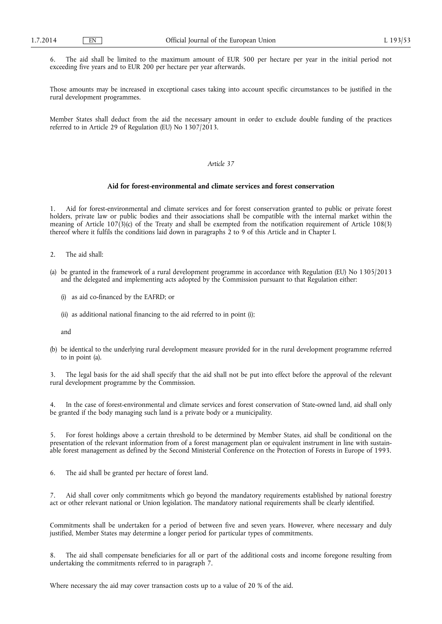6. The aid shall be limited to the maximum amount of EUR 500 per hectare per year in the initial period not exceeding five years and to EUR 200 per hectare per year afterwards.

Those amounts may be increased in exceptional cases taking into account specific circumstances to be justified in the rural development programmes.

Member States shall deduct from the aid the necessary amount in order to exclude double funding of the practices referred to in Article 29 of Regulation (EU) No 1307/2013.

#### *Article 37*

## **Aid for forest-environmental and climate services and forest conservation**

1. Aid for forest-environmental and climate services and for forest conservation granted to public or private forest holders, private law or public bodies and their associations shall be compatible with the internal market within the meaning of Article 107(3)(c) of the Treaty and shall be exempted from the notification requirement of Article 108(3) thereof where it fulfils the conditions laid down in paragraphs 2 to 9 of this Article and in Chapter I.

- 2. The aid shall:
- (a) be granted in the framework of a rural development programme in accordance with Regulation (EU) No 1305/2013 and the delegated and implementing acts adopted by the Commission pursuant to that Regulation either:
	- (i) as aid co-financed by the EAFRD; or
	- (ii) as additional national financing to the aid referred to in point (i);

and

(b) be identical to the underlying rural development measure provided for in the rural development programme referred to in point (a).

3. The legal basis for the aid shall specify that the aid shall not be put into effect before the approval of the relevant rural development programme by the Commission.

4. In the case of forest-environmental and climate services and forest conservation of State-owned land, aid shall only be granted if the body managing such land is a private body or a municipality.

5. For forest holdings above a certain threshold to be determined by Member States, aid shall be conditional on the presentation of the relevant information from of a forest management plan or equivalent instrument in line with sustainable forest management as defined by the Second Ministerial Conference on the Protection of Forests in Europe of 1993.

6. The aid shall be granted per hectare of forest land.

7. Aid shall cover only commitments which go beyond the mandatory requirements established by national forestry act or other relevant national or Union legislation. The mandatory national requirements shall be clearly identified.

Commitments shall be undertaken for a period of between five and seven years. However, where necessary and duly justified, Member States may determine a longer period for particular types of commitments.

8. The aid shall compensate beneficiaries for all or part of the additional costs and income foregone resulting from undertaking the commitments referred to in paragraph 7.

Where necessary the aid may cover transaction costs up to a value of 20 % of the aid.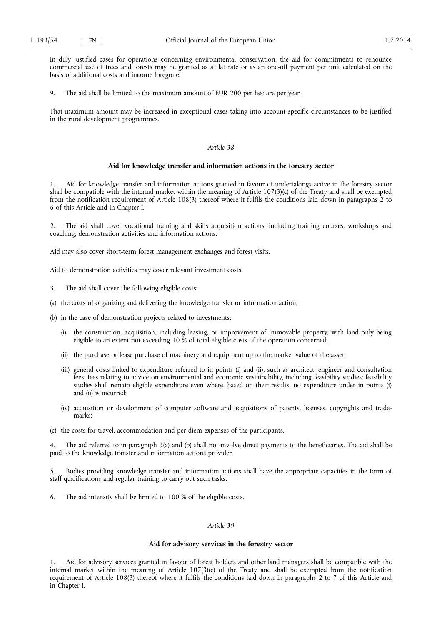In duly justified cases for operations concerning environmental conservation, the aid for commitments to renounce commercial use of trees and forests may be granted as a flat rate or as an one-off payment per unit calculated on the basis of additional costs and income foregone.

9. The aid shall be limited to the maximum amount of EUR 200 per hectare per year.

That maximum amount may be increased in exceptional cases taking into account specific circumstances to be justified in the rural development programmes.

#### *Article 38*

#### **Aid for knowledge transfer and information actions in the forestry sector**

1. Aid for knowledge transfer and information actions granted in favour of undertakings active in the forestry sector shall be compatible with the internal market within the meaning of Article 107(3)(c) of the Treaty and shall be exempted from the notification requirement of Article 108(3) thereof where it fulfils the conditions laid down in paragraphs 2 to 6 of this Article and in Chapter I.

2. The aid shall cover vocational training and skills acquisition actions, including training courses, workshops and coaching, demonstration activities and information actions.

Aid may also cover short-term forest management exchanges and forest visits.

Aid to demonstration activities may cover relevant investment costs.

- 3. The aid shall cover the following eligible costs:
- (a) the costs of organising and delivering the knowledge transfer or information action;
- (b) in the case of demonstration projects related to investments:
	- the construction, acquisition, including leasing, or improvement of immovable property, with land only being eligible to an extent not exceeding 10 % of total eligible costs of the operation concerned;
	- (ii) the purchase or lease purchase of machinery and equipment up to the market value of the asset;
	- (iii) general costs linked to expenditure referred to in points (i) and (ii), such as architect, engineer and consultation fees, fees relating to advice on environmental and economic sustainability, including feasibility studies; feasibility studies shall remain eligible expenditure even where, based on their results, no expenditure under in points (i) and (ii) is incurred;
	- (iv) acquisition or development of computer software and acquisitions of patents, licenses, copyrights and trademarks;
- (c) the costs for travel, accommodation and per diem expenses of the participants.

4. The aid referred to in paragraph 3(a) and (b) shall not involve direct payments to the beneficiaries. The aid shall be paid to the knowledge transfer and information actions provider.

5. Bodies providing knowledge transfer and information actions shall have the appropriate capacities in the form of staff qualifications and regular training to carry out such tasks.

6. The aid intensity shall be limited to 100 % of the eligible costs.

## *Article 39*

#### **Aid for advisory services in the forestry sector**

1. Aid for advisory services granted in favour of forest holders and other land managers shall be compatible with the internal market within the meaning of Article 107(3)(c) of the Treaty and shall be exempted from the notification requirement of Article 108(3) thereof where it fulfils the conditions laid down in paragraphs 2 to 7 of this Article and in Chapter I.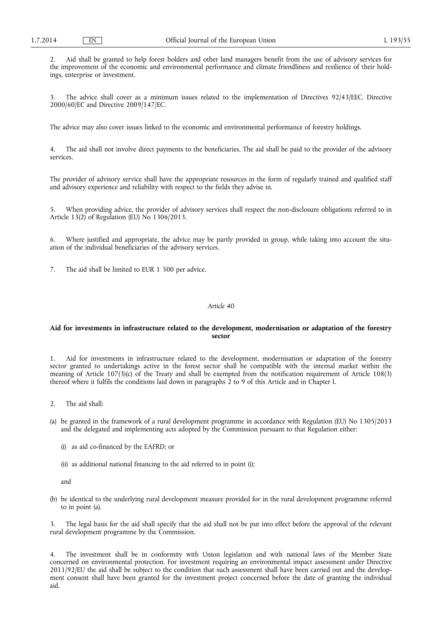2. Aid shall be granted to help forest holders and other land managers benefit from the use of advisory services for the improvement of the economic and environmental performance and climate friendliness and resilience of their holdings, enterprise or investment.

3. The advice shall cover as a minimum issues related to the implementation of Directives 92/43/EEC, Directive 2000/60/EC and Directive 2009/147/EC.

The advice may also cover issues linked to the economic and environmental performance of forestry holdings.

4. The aid shall not involve direct payments to the beneficiaries. The aid shall be paid to the provider of the advisory services.

The provider of advisory service shall have the appropriate resources in the form of regularly trained and qualified staff and advisory experience and reliability with respect to the fields they advise in.

5. When providing advice, the provider of advisory services shall respect the non-disclosure obligations referred to in Article 13(2) of Regulation (EU) No  $1306/2013$ .

6. Where justified and appropriate, the advice may be partly provided in group, while taking into account the situation of the individual beneficiaries of the advisory services.

7. The aid shall be limited to EUR 1 500 per advice.

## *Article 40*

## **Aid for investments in infrastructure related to the development, modernisation or adaptation of the forestry sector**

1. Aid for investments in infrastructure related to the development, modernisation or adaptation of the forestry sector granted to undertakings active in the forest sector shall be compatible with the internal market within the meaning of Article 107(3)(c) of the Treaty and shall be exempted from the notification requirement of Article 108(3) thereof where it fulfils the conditions laid down in paragraphs 2 to 9 of this Article and in Chapter I.

- 2. The aid shall:
- (a) be granted in the framework of a rural development programme in accordance with Regulation (EU) No 1305/2013 and the delegated and implementing acts adopted by the Commission pursuant to that Regulation either:
	- (i) as aid co-financed by the EAFRD; or
	- (ii) as additional national financing to the aid referred to in point (i);

and

(b) be identical to the underlying rural development measure provided for in the rural development programme referred to in point (a).

3. The legal basis for the aid shall specify that the aid shall not be put into effect before the approval of the relevant rural development programme by the Commission.

4. The investment shall be in conformity with Union legislation and with national laws of the Member State concerned on environmental protection. For investment requiring an environmental impact assessment under Directive 2011/92/EU the aid shall be subject to the condition that such assessment shall have been carried out and the development consent shall have been granted for the investment project concerned before the date of granting the individual aid.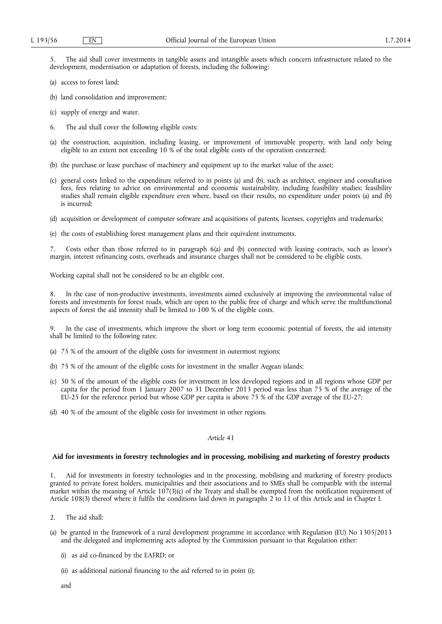5. The aid shall cover investments in tangible assets and intangible assets which concern infrastructure related to the development, modernisation or adaptation of forests, including the following:

- (a) access to forest land;
- (b) land consolidation and improvement;
- (c) supply of energy and water.
- 6. The aid shall cover the following eligible costs:
- (a) the construction, acquisition, including leasing, or improvement of immovable property, with land only being eligible to an extent not exceeding 10 % of the total eligible costs of the operation concerned;
- (b) the purchase or lease purchase of machinery and equipment up to the market value of the asset;
- (c) general costs linked to the expenditure referred to in points (a) and (b), such as architect, engineer and consultation fees, fees relating to advice on environmental and economic sustainability, including feasibility studies; feasibility studies shall remain eligible expenditure even where, based on their results, no expenditure under points (a) and (b) is incurred;
- (d) acquisition or development of computer software and acquisitions of patents, licenses, copyrights and trademarks;
- (e) the costs of establishing forest management plans and their equivalent instruments.

7. Costs other than those referred to in paragraph 6(a) and (b) connected with leasing contracts, such as lessor's margin, interest refinancing costs, overheads and insurance charges shall not be considered to be eligible costs.

Working capital shall not be considered to be an eligible cost.

In the case of non-productive investments, investments aimed exclusively at improving the environmental value of forests and investments for forest roads, which are open to the public free of charge and which serve the multifunctional aspects of forest the aid intensity shall be limited to 100 % of the eligible costs.

In the case of investments, which improve the short or long term economic potential of forests, the aid intensity shall be limited to the following rates:

- (a) 75 % of the amount of the eligible costs for investment in outermost regions;
- (b) 75 % of the amount of the eligible costs for investment in the smaller Aegean islands;
- (c) 50 % of the amount of the eligible costs for investment in less developed regions and in all regions whose GDP per capita for the period from 1 January 2007 to 31 December 2013 period was less than 75 % of the average of the EU-25 for the reference period but whose GDP per capita is above 75 % of the GDP average of the EU-27;
- (d) 40 % of the amount of the eligible costs for investment in other regions.

### *Article 41*

## **Aid for investments in forestry technologies and in processing, mobilising and marketing of forestry products**

1. Aid for investments in forestry technologies and in the processing, mobilising and marketing of forestry products granted to private forest holders, municipalities and their associations and to SMEs shall be compatible with the internal market within the meaning of Article 107(3)(c) of the Treaty and shall be exempted from the notification requirement of Article 108(3) thereof where it fulfils the conditions laid down in paragraphs 2 to 11 of this Article and in Chapter I.

- 2. The aid shall:
- (a) be granted in the framework of a rural development programme in accordance with Regulation (EU) No 1305/2013 and the delegated and implementing acts adopted by the Commission pursuant to that Regulation either:
	- (i) as aid co-financed by the EAFRD; or
	- (ii) as additional national financing to the aid referred to in point (i);
	- and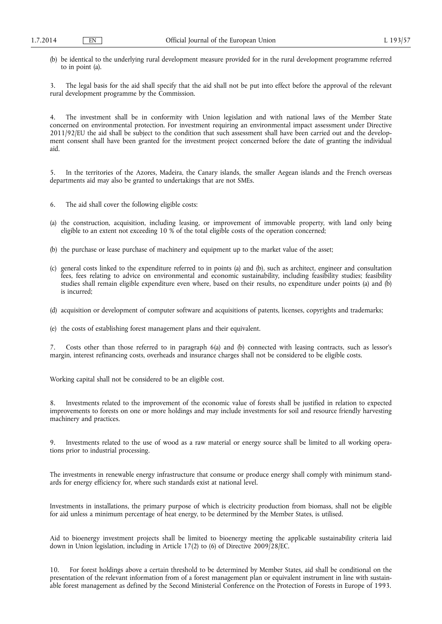The legal basis for the aid shall specify that the aid shall not be put into effect before the approval of the relevant rural development programme by the Commission.

4. The investment shall be in conformity with Union legislation and with national laws of the Member State concerned on environmental protection. For investment requiring an environmental impact assessment under Directive 2011/92/EU the aid shall be subject to the condition that such assessment shall have been carried out and the development consent shall have been granted for the investment project concerned before the date of granting the individual aid.

5. In the territories of the Azores, Madeira, the Canary islands, the smaller Aegean islands and the French overseas departments aid may also be granted to undertakings that are not SMEs.

- 6. The aid shall cover the following eligible costs:
- (a) the construction, acquisition, including leasing, or improvement of immovable property, with land only being eligible to an extent not exceeding 10 % of the total eligible costs of the operation concerned;
- (b) the purchase or lease purchase of machinery and equipment up to the market value of the asset;
- (c) general costs linked to the expenditure referred to in points (a) and (b), such as architect, engineer and consultation fees, fees relating to advice on environmental and economic sustainability, including feasibility studies; feasibility studies shall remain eligible expenditure even where, based on their results, no expenditure under points (a) and (b) is incurred;
- (d) acquisition or development of computer software and acquisitions of patents, licenses, copyrights and trademarks;

(e) the costs of establishing forest management plans and their equivalent.

7. Costs other than those referred to in paragraph 6(a) and (b) connected with leasing contracts, such as lessor's margin, interest refinancing costs, overheads and insurance charges shall not be considered to be eligible costs.

Working capital shall not be considered to be an eligible cost.

8. Investments related to the improvement of the economic value of forests shall be justified in relation to expected improvements to forests on one or more holdings and may include investments for soil and resource friendly harvesting machinery and practices.

9. Investments related to the use of wood as a raw material or energy source shall be limited to all working operations prior to industrial processing.

The investments in renewable energy infrastructure that consume or produce energy shall comply with minimum standards for energy efficiency for, where such standards exist at national level.

Investments in installations, the primary purpose of which is electricity production from biomass, shall not be eligible for aid unless a minimum percentage of heat energy, to be determined by the Member States, is utilised.

Aid to bioenergy investment projects shall be limited to bioenergy meeting the applicable sustainability criteria laid down in Union legislation, including in Article 17(2) to (6) of Directive 2009/28/EC.

10. For forest holdings above a certain threshold to be determined by Member States, aid shall be conditional on the presentation of the relevant information from of a forest management plan or equivalent instrument in line with sustainable forest management as defined by the Second Ministerial Conference on the Protection of Forests in Europe of 1993.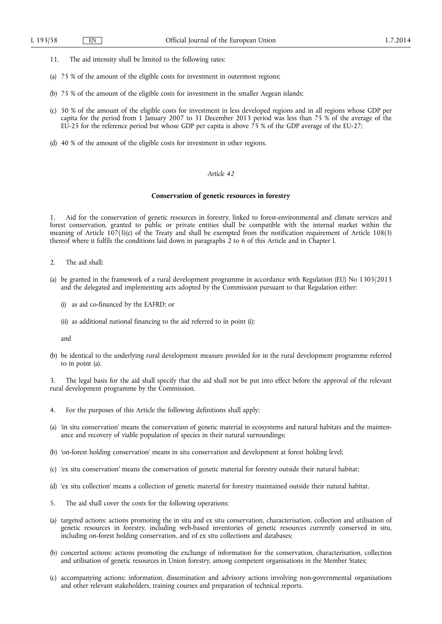- 11. The aid intensity shall be limited to the following rates:
- (a) 75 % of the amount of the eligible costs for investment in outermost regions;
- (b) 75 % of the amount of the eligible costs for investment in the smaller Aegean islands;
- (c) 50 % of the amount of the eligible costs for investment in less developed regions and in all regions whose GDP per capita for the period from 1 January 2007 to 31 December 2013 period was less than 75 % of the average of the EU-25 for the reference period but whose GDP per capita is above  $\overline{75}$  % of the GDP average of the EU-27;
- (d) 40 % of the amount of the eligible costs for investment in other regions.

## *Article 42*

#### **Conservation of genetic resources in forestry**

1. Aid for the conservation of genetic resources in forestry, linked to forest-environmental and climate services and forest conservation, granted to public or private entities shall be compatible with the internal market within the meaning of Article 107(3)(c) of the Treaty and shall be exempted from the notification requirement of Article 108(3) thereof where it fulfils the conditions laid down in paragraphs 2 to 6 of this Article and in Chapter I.

- 2. The aid shall:
- (a) be granted in the framework of a rural development programme in accordance with Regulation (EU) No 1305/2013 and the delegated and implementing acts adopted by the Commission pursuant to that Regulation either:
	- (i) as aid co-financed by the EAFRD; or
	- (ii) as additional national financing to the aid referred to in point (i);

and

(b) be identical to the underlying rural development measure provided for in the rural development programme referred to in point (a).

3. The legal basis for the aid shall specify that the aid shall not be put into effect before the approval of the relevant rural development programme by the Commission.

- 4. For the purposes of this Article the following definitions shall apply:
- (a) 'in situ conservation' means the conservation of genetic material in ecosystems and natural habitats and the maintenance and recovery of viable population of species in their natural surroundings;
- (b) 'on-forest holding conservation' means in situ conservation and development at forest holding level;
- (c) 'ex situ conservation' means the conservation of genetic material for forestry outside their natural habitat;
- (d) 'ex situ collection' means a collection of genetic material for forestry maintained outside their natural habitat.
- 5. The aid shall cover the costs for the following operations:
- (a) targeted actions: actions promoting the in situ and ex situ conservation, characterisation, collection and utilisation of genetic resources in forestry, including web-based inventories of genetic resources currently conserved in situ, including on-forest holding conservation, and of ex situ collections and databases;
- (b) concerted actions: actions promoting the exchange of information for the conservation, characterisation, collection and utilisation of genetic resources in Union forestry, among competent organisations in the Member States;
- (c) accompanying actions: information, dissemination and advisory actions involving non-governmental organisations and other relevant stakeholders, training courses and preparation of technical reports.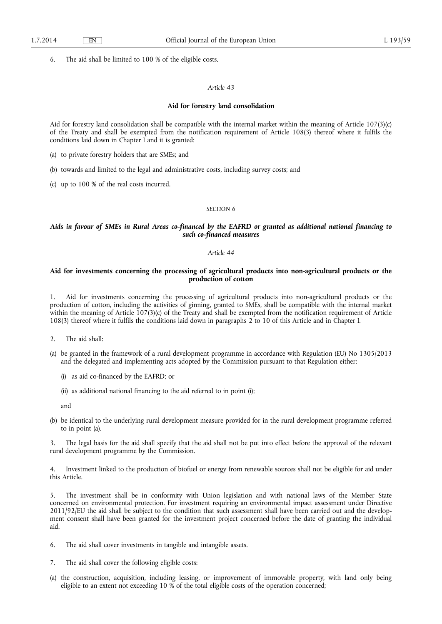6. The aid shall be limited to 100 % of the eligible costs.

## *Article 43*

#### **Aid for forestry land consolidation**

Aid for forestry land consolidation shall be compatible with the internal market within the meaning of Article 107(3)(c) of the Treaty and shall be exempted from the notification requirement of Article 108(3) thereof where it fulfils the conditions laid down in Chapter I and it is granted:

(a) to private forestry holders that are SMEs; and

(b) towards and limited to the legal and administrative costs, including survey costs; and

(c) up to 100 % of the real costs incurred.

### *SECTION 6*

## *Aids in favour of SMEs in Rural Areas co-financed by the EAFRD or granted as additional national financing to such co-financed measures*

#### *Article 44*

## **Aid for investments concerning the processing of agricultural products into non-agricultural products or the production of cotton**

1. Aid for investments concerning the processing of agricultural products into non-agricultural products or the production of cotton, including the activities of ginning, granted to SMEs, shall be compatible with the internal market within the meaning of Article 107(3)(c) of the Treaty and shall be exempted from the notification requirement of Article 108(3) thereof where it fulfils the conditions laid down in paragraphs 2 to 10 of this Article and in Chapter I.

2. The aid shall:

- (a) be granted in the framework of a rural development programme in accordance with Regulation (EU) No 1305/2013 and the delegated and implementing acts adopted by the Commission pursuant to that Regulation either:
	- (i) as aid co-financed by the EAFRD; or
	- (ii) as additional national financing to the aid referred to in point (i);

and

(b) be identical to the underlying rural development measure provided for in the rural development programme referred to in point (a).

The legal basis for the aid shall specify that the aid shall not be put into effect before the approval of the relevant rural development programme by the Commission.

4. Investment linked to the production of biofuel or energy from renewable sources shall not be eligible for aid under this Article.

5. The investment shall be in conformity with Union legislation and with national laws of the Member State concerned on environmental protection. For investment requiring an environmental impact assessment under Directive 2011/92/EU the aid shall be subject to the condition that such assessment shall have been carried out and the development consent shall have been granted for the investment project concerned before the date of granting the individual aid.

- 6. The aid shall cover investments in tangible and intangible assets.
- 7. The aid shall cover the following eligible costs:
- (a) the construction, acquisition, including leasing, or improvement of immovable property, with land only being eligible to an extent not exceeding 10 % of the total eligible costs of the operation concerned;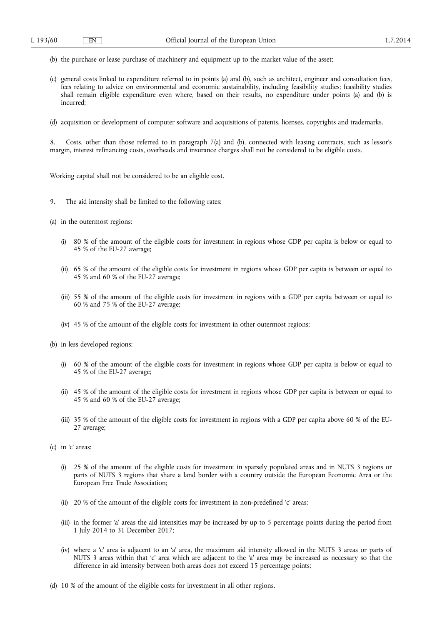- (b) the purchase or lease purchase of machinery and equipment up to the market value of the asset;
- (c) general costs linked to expenditure referred to in points (a) and (b), such as architect, engineer and consultation fees, fees relating to advice on environmental and economic sustainability, including feasibility studies; feasibility studies shall remain eligible expenditure even where, based on their results, no expenditure under points (a) and (b) is incurred;
- (d) acquisition or development of computer software and acquisitions of patents, licenses, copyrights and trademarks.

8. Costs, other than those referred to in paragraph 7(a) and (b), connected with leasing contracts, such as lessor's margin, interest refinancing costs, overheads and insurance charges shall not be considered to be eligible costs.

Working capital shall not be considered to be an eligible cost.

- 9. The aid intensity shall be limited to the following rates:
- (a) in the outermost regions:
	- (i) 80 % of the amount of the eligible costs for investment in regions whose GDP per capita is below or equal to 45 % of the EU-27 average;
	- (ii) 65 % of the amount of the eligible costs for investment in regions whose GDP per capita is between or equal to 45 % and 60 % of the EU-27 average;
	- (iii) 55 % of the amount of the eligible costs for investment in regions with a GDP per capita between or equal to 60 % and 75 % of the EU-27 average;
	- (iv) 45 % of the amount of the eligible costs for investment in other outermost regions;
- (b) in less developed regions:
	- (i) 60 % of the amount of the eligible costs for investment in regions whose GDP per capita is below or equal to 45 % of the EU-27 average;
	- (ii) 45 % of the amount of the eligible costs for investment in regions whose GDP per capita is between or equal to 45 % and 60 % of the EU-27 average;
	- (iii) 35 % of the amount of the eligible costs for investment in regions with a GDP per capita above 60 % of the EU-27 average;
- (c) in 'c' areas:
	- (i) 25 % of the amount of the eligible costs for investment in sparsely populated areas and in NUTS 3 regions or parts of NUTS 3 regions that share a land border with a country outside the European Economic Area or the European Free Trade Association;
	- (ii) 20 % of the amount of the eligible costs for investment in non-predefined 'c' areas;
	- (iii) in the former 'a' areas the aid intensities may be increased by up to 5 percentage points during the period from 1 July 2014 to 31 December 2017;
	- (iv) where a 'c' area is adjacent to an 'a' area, the maximum aid intensity allowed in the NUTS 3 areas or parts of NUTS 3 areas within that 'c' area which are adjacent to the 'a' area may be increased as necessary so that the difference in aid intensity between both areas does not exceed 15 percentage points;
- (d) 10 % of the amount of the eligible costs for investment in all other regions.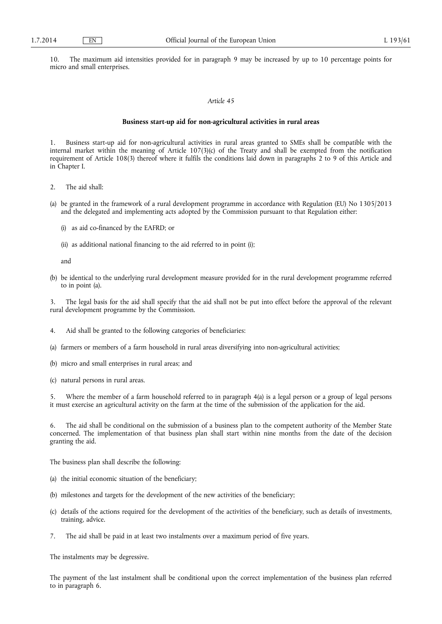10. The maximum aid intensities provided for in paragraph 9 may be increased by up to 10 percentage points for micro and small enterprises.

## *Article 45*

#### **Business start-up aid for non-agricultural activities in rural areas**

1. Business start-up aid for non-agricultural activities in rural areas granted to SMEs shall be compatible with the internal market within the meaning of Article 107(3)(c) of the Treaty and shall be exempted from the notification requirement of Article 108(3) thereof where it fulfils the conditions laid down in paragraphs 2 to 9 of this Article and in Chapter I.

- 2. The aid shall:
- (a) be granted in the framework of a rural development programme in accordance with Regulation (EU) No 1305/2013 and the delegated and implementing acts adopted by the Commission pursuant to that Regulation either:
	- (i) as aid co-financed by the EAFRD; or
	- (ii) as additional national financing to the aid referred to in point (i);

and

(b) be identical to the underlying rural development measure provided for in the rural development programme referred to in point (a).

3. The legal basis for the aid shall specify that the aid shall not be put into effect before the approval of the relevant rural development programme by the Commission.

- 4. Aid shall be granted to the following categories of beneficiaries:
- (a) farmers or members of a farm household in rural areas diversifying into non-agricultural activities;
- (b) micro and small enterprises in rural areas; and
- (c) natural persons in rural areas.

5. Where the member of a farm household referred to in paragraph 4(a) is a legal person or a group of legal persons it must exercise an agricultural activity on the farm at the time of the submission of the application for the aid.

6. The aid shall be conditional on the submission of a business plan to the competent authority of the Member State concerned. The implementation of that business plan shall start within nine months from the date of the decision granting the aid.

The business plan shall describe the following:

- (a) the initial economic situation of the beneficiary;
- (b) milestones and targets for the development of the new activities of the beneficiary;
- (c) details of the actions required for the development of the activities of the beneficiary, such as details of investments, training, advice.
- 7. The aid shall be paid in at least two instalments over a maximum period of five years.

The instalments may be degressive.

The payment of the last instalment shall be conditional upon the correct implementation of the business plan referred to in paragraph 6.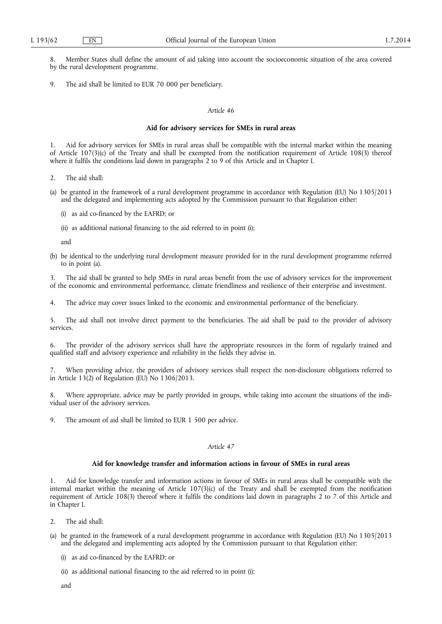8. Member States shall define the amount of aid taking into account the socioeconomic situation of the area covered by the rural development programme.

9. The aid shall be limited to EUR 70 000 per beneficiary.

## *Article 46*

## **Aid for advisory services for SMEs in rural areas**

1. Aid for advisory services for SMEs in rural areas shall be compatible with the internal market within the meaning of Article 107(3)(c) of the Treaty and shall be exempted from the notification requirement of Article 108(3) thereof where it fulfils the conditions laid down in paragraphs 2 to 9 of this Article and in Chapter I.

- 2. The aid shall:
- (a) be granted in the framework of a rural development programme in accordance with Regulation (EU) No 1305/2013 and the delegated and implementing acts adopted by the Commission pursuant to that Regulation either:
	- (i) as aid co-financed by the EAFRD; or
	- (ii) as additional national financing to the aid referred to in point (i);

and

(b) be identical to the underlying rural development measure provided for in the rural development programme referred to in point (a).

The aid shall be granted to help SMEs in rural areas benefit from the use of advisory services for the improvement of the economic and environmental performance, climate friendliness and resilience of their enterprise and investment.

4. The advice may cover issues linked to the economic and environmental performance of the beneficiary.

5. The aid shall not involve direct payment to the beneficiaries. The aid shall be paid to the provider of advisory services.

6. The provider of the advisory services shall have the appropriate resources in the form of regularly trained and qualified staff and advisory experience and reliability in the fields they advise in.

7. When providing advice, the providers of advisory services shall respect the non-disclosure obligations referred to in Article 13(2) of Regulation (EU) No  $1306/2013$ .

8. Where appropriate, advice may be partly provided in groups, while taking into account the situations of the individual user of the advisory services.

9. The amount of aid shall be limited to EUR 1 500 per advice.

## *Article 47*

#### **Aid for knowledge transfer and information actions in favour of SMEs in rural areas**

1. Aid for knowledge transfer and information actions in favour of SMEs in rural areas shall be compatible with the internal market within the meaning of Article 107(3)(c) of the Treaty and shall be exempted from the notification requirement of Article 108(3) thereof where it fulfils the conditions laid down in paragraphs 2 to 7 of this Article and in Chapter I.

- 2. The aid shall:
- (a) be granted in the framework of a rural development programme in accordance with Regulation (EU) No 1305/2013 and the delegated and implementing acts adopted by the Commission pursuant to that Regulation either:
	- (i) as aid co-financed by the EAFRD; or
	- (ii) as additional national financing to the aid referred to in point (i);
	- and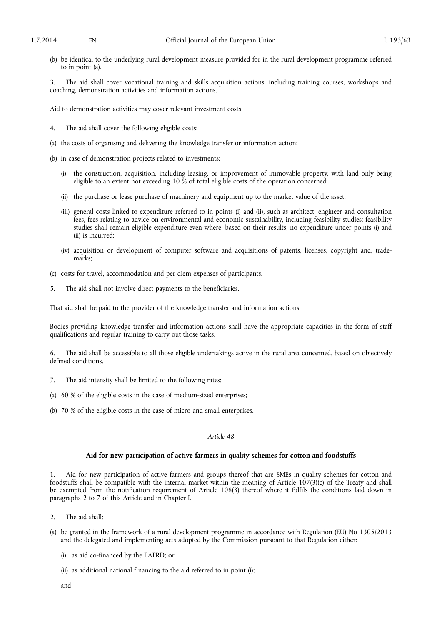3. The aid shall cover vocational training and skills acquisition actions, including training courses, workshops and coaching, demonstration activities and information actions.

Aid to demonstration activities may cover relevant investment costs

- 4. The aid shall cover the following eligible costs:
- (a) the costs of organising and delivering the knowledge transfer or information action;
- (b) in case of demonstration projects related to investments:
	- the construction, acquisition, including leasing, or improvement of immovable property, with land only being eligible to an extent not exceeding 10 % of total eligible costs of the operation concerned;
	- (ii) the purchase or lease purchase of machinery and equipment up to the market value of the asset;
	- (iii) general costs linked to expenditure referred to in points (i) and (ii), such as architect, engineer and consultation fees, fees relating to advice on environmental and economic sustainability, including feasibility studies; feasibility studies shall remain eligible expenditure even where, based on their results, no expenditure under points (i) and (ii) is incurred;
	- (iv) acquisition or development of computer software and acquisitions of patents, licenses, copyright and, trademarks;
- (c) costs for travel, accommodation and per diem expenses of participants.
- 5. The aid shall not involve direct payments to the beneficiaries.

That aid shall be paid to the provider of the knowledge transfer and information actions.

Bodies providing knowledge transfer and information actions shall have the appropriate capacities in the form of staff qualifications and regular training to carry out those tasks.

6. The aid shall be accessible to all those eligible undertakings active in the rural area concerned, based on objectively defined conditions.

- 7. The aid intensity shall be limited to the following rates:
- (a) 60 % of the eligible costs in the case of medium-sized enterprises;
- (b) 70 % of the eligible costs in the case of micro and small enterprises.

## *Article 48*

#### **Aid for new participation of active farmers in quality schemes for cotton and foodstuffs**

1. Aid for new participation of active farmers and groups thereof that are SMEs in quality schemes for cotton and foodstuffs shall be compatible with the internal market within the meaning of Article  $107(3)$ (c) of the Treaty and shall be exempted from the notification requirement of Article 108(3) thereof where it fulfils the conditions laid down in paragraphs 2 to 7 of this Article and in Chapter I.

- 2. The aid shall:
- (a) be granted in the framework of a rural development programme in accordance with Regulation (EU) No 1305/2013 and the delegated and implementing acts adopted by the Commission pursuant to that Regulation either:
	- (i) as aid co-financed by the EAFRD; or
	- (ii) as additional national financing to the aid referred to in point (i);
	- and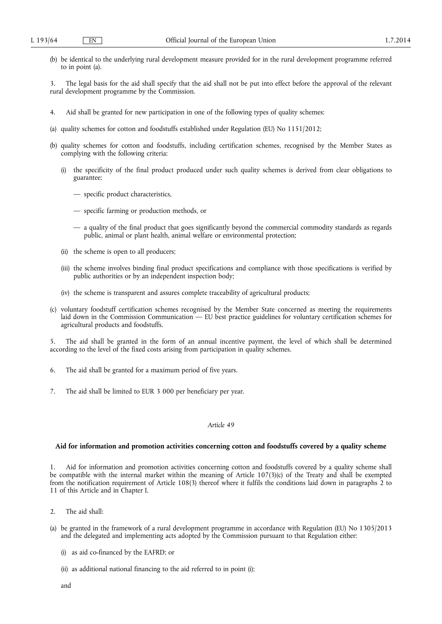3. The legal basis for the aid shall specify that the aid shall not be put into effect before the approval of the relevant rural development programme by the Commission.

- 4. Aid shall be granted for new participation in one of the following types of quality schemes:
- (a) quality schemes for cotton and foodstuffs established under Regulation (EU) No 1151/2012;
- (b) quality schemes for cotton and foodstuffs, including certification schemes, recognised by the Member States as complying with the following criteria:
	- (i) the specificity of the final product produced under such quality schemes is derived from clear obligations to guarantee:
		- specific product characteristics,
		- specific farming or production methods, or
		- a quality of the final product that goes significantly beyond the commercial commodity standards as regards public, animal or plant health, animal welfare or environmental protection;
	- (ii) the scheme is open to all producers;
	- (iii) the scheme involves binding final product specifications and compliance with those specifications is verified by public authorities or by an independent inspection body;
	- (iv) the scheme is transparent and assures complete traceability of agricultural products;
- (c) voluntary foodstuff certification schemes recognised by the Member State concerned as meeting the requirements laid down in the Commission Communication — EU best practice guidelines for voluntary certification schemes for agricultural products and foodstuffs.

5. The aid shall be granted in the form of an annual incentive payment, the level of which shall be determined according to the level of the fixed costs arising from participation in quality schemes.

- 6. The aid shall be granted for a maximum period of five years.
- 7. The aid shall be limited to EUR 3 000 per beneficiary per year.

## *Article 49*

#### **Aid for information and promotion activities concerning cotton and foodstuffs covered by a quality scheme**

1. Aid for information and promotion activities concerning cotton and foodstuffs covered by a quality scheme shall be compatible with the internal market within the meaning of Article 107(3)(c) of the Treaty and shall be exempted from the notification requirement of Article 108(3) thereof where it fulfils the conditions laid down in paragraphs 2 to 11 of this Article and in Chapter I.

- 2. The aid shall:
- (a) be granted in the framework of a rural development programme in accordance with Regulation (EU) No 1305/2013 and the delegated and implementing acts adopted by the Commission pursuant to that Regulation either:
	- (i) as aid co-financed by the EAFRD; or
	- (ii) as additional national financing to the aid referred to in point (i);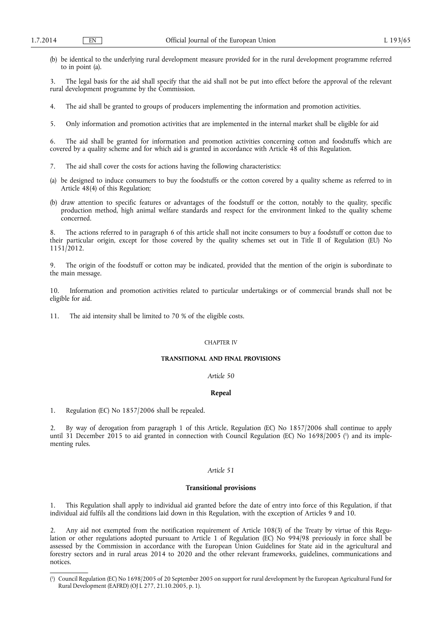3. The legal basis for the aid shall specify that the aid shall not be put into effect before the approval of the relevant rural development programme by the Commission.

- 4. The aid shall be granted to groups of producers implementing the information and promotion activities.
- 5. Only information and promotion activities that are implemented in the internal market shall be eligible for aid

6. The aid shall be granted for information and promotion activities concerning cotton and foodstuffs which are covered by a quality scheme and for which aid is granted in accordance with Article 48 of this Regulation.

- 7. The aid shall cover the costs for actions having the following characteristics:
- (a) be designed to induce consumers to buy the foodstuffs or the cotton covered by a quality scheme as referred to in Article 48(4) of this Regulation;
- (b) draw attention to specific features or advantages of the foodstuff or the cotton, notably to the quality, specific production method, high animal welfare standards and respect for the environment linked to the quality scheme concerned.

8. The actions referred to in paragraph 6 of this article shall not incite consumers to buy a foodstuff or cotton due to their particular origin, except for those covered by the quality schemes set out in Title II of Regulation (EU) No 1151/2012.

9. The origin of the foodstuff or cotton may be indicated, provided that the mention of the origin is subordinate to the main message.

10. Information and promotion activities related to particular undertakings or of commercial brands shall not be eligible for aid.

11. The aid intensity shall be limited to 70 % of the eligible costs.

#### CHAPTER IV

#### **TRANSITIONAL AND FINAL PROVISIONS**

## *Article 50*

#### **Repeal**

1. Regulation (EC) No 1857/2006 shall be repealed.

2. By way of derogation from paragraph 1 of this Article, Regulation (EC) No 1857/2006 shall continue to apply until 31 December 2015 to aid granted in connection with Council Regulation (EC) No 1698/2005 (<sup>1</sup>) and its implementing rules.

## *Article 51*

#### **Transitional provisions**

1. This Regulation shall apply to individual aid granted before the date of entry into force of this Regulation, if that individual aid fulfils all the conditions laid down in this Regulation, with the exception of Articles 9 and 10.

2. Any aid not exempted from the notification requirement of Article 108(3) of the Treaty by virtue of this Regulation or other regulations adopted pursuant to Article 1 of Regulation (EC) No 994/98 previously in force shall be assessed by the Commission in accordance with the European Union Guidelines for State aid in the agricultural and forestry sectors and in rural areas 2014 to 2020 and the other relevant frameworks, guidelines, communications and notices.

<sup>(</sup> 1 ) Council Regulation (EC) No 1698/2005 of 20 September 2005 on support for rural development by the European Agricultural Fund for Rural Development (EAFRD) (OJ L 277, 21.10.2005, p. 1).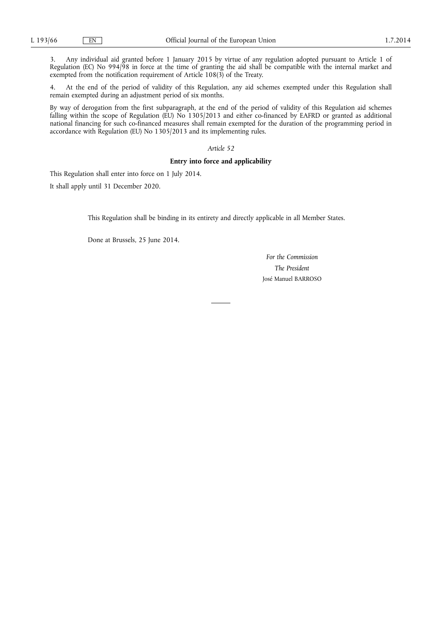3. Any individual aid granted before 1 January 2015 by virtue of any regulation adopted pursuant to Article 1 of Regulation (EC) No 994/98 in force at the time of granting the aid shall be compatible with the internal market and exempted from the notification requirement of Article 108(3) of the Treaty.

4. At the end of the period of validity of this Regulation, any aid schemes exempted under this Regulation shall remain exempted during an adjustment period of six months.

By way of derogation from the first subparagraph, at the end of the period of validity of this Regulation aid schemes falling within the scope of Regulation (EU) No 1305/2013 and either co-financed by EAFRD or granted as additional national financing for such co-financed measures shall remain exempted for the duration of the programming period in accordance with Regulation (EU) No 1305/2013 and its implementing rules.

*Article 52* 

## **Entry into force and applicability**

This Regulation shall enter into force on 1 July 2014.

It shall apply until 31 December 2020.

This Regulation shall be binding in its entirety and directly applicable in all Member States.

Done at Brussels, 25 June 2014.

*For the Commission The President*  José Manuel BARROSO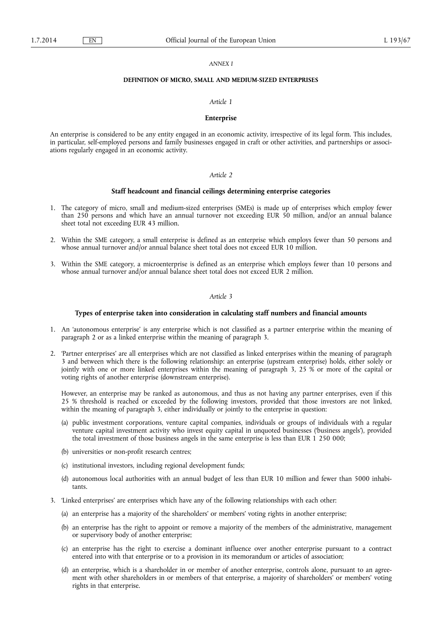### *ANNEX I*

#### **DEFINITION OF MICRO, SMALL AND MEDIUM-SIZED ENTERPRISES**

#### *Article 1*

#### **Enterprise**

An enterprise is considered to be any entity engaged in an economic activity, irrespective of its legal form. This includes, in particular, self-employed persons and family businesses engaged in craft or other activities, and partnerships or associations regularly engaged in an economic activity.

## *Article 2*

## **Staff headcount and financial ceilings determining enterprise categories**

- 1. The category of micro, small and medium-sized enterprises (SMEs) is made up of enterprises which employ fewer than 250 persons and which have an annual turnover not exceeding EUR 50 million, and/or an annual balance sheet total not exceeding EUR 43 million.
- 2. Within the SME category, a small enterprise is defined as an enterprise which employs fewer than 50 persons and whose annual turnover and/or annual balance sheet total does not exceed EUR 10 million.
- 3. Within the SME category, a microenterprise is defined as an enterprise which employs fewer than 10 persons and whose annual turnover and/or annual balance sheet total does not exceed EUR 2 million.

#### *Article 3*

#### **Types of enterprise taken into consideration in calculating staff numbers and financial amounts**

- 1. An 'autonomous enterprise' is any enterprise which is not classified as a partner enterprise within the meaning of paragraph 2 or as a linked enterprise within the meaning of paragraph 3.
- 2. 'Partner enterprises' are all enterprises which are not classified as linked enterprises within the meaning of paragraph 3 and between which there is the following relationship: an enterprise (upstream enterprise) holds, either solely or jointly with one or more linked enterprises within the meaning of paragraph 3, 25 % or more of the capital or voting rights of another enterprise (downstream enterprise).

However, an enterprise may be ranked as autonomous, and thus as not having any partner enterprises, even if this 25 % threshold is reached or exceeded by the following investors, provided that those investors are not linked, within the meaning of paragraph 3, either individually or jointly to the enterprise in question:

- (a) public investment corporations, venture capital companies, individuals or groups of individuals with a regular venture capital investment activity who invest equity capital in unquoted businesses ('business angels'), provided the total investment of those business angels in the same enterprise is less than EUR 1 250 000;
- (b) universities or non-profit research centres;
- (c) institutional investors, including regional development funds;
- (d) autonomous local authorities with an annual budget of less than EUR 10 million and fewer than 5000 inhabitants.
- 3. 'Linked enterprises' are enterprises which have any of the following relationships with each other:
	- (a) an enterprise has a majority of the shareholders' or members' voting rights in another enterprise;
	- (b) an enterprise has the right to appoint or remove a majority of the members of the administrative, management or supervisory body of another enterprise;
	- (c) an enterprise has the right to exercise a dominant influence over another enterprise pursuant to a contract entered into with that enterprise or to a provision in its memorandum or articles of association;
	- (d) an enterprise, which is a shareholder in or member of another enterprise, controls alone, pursuant to an agreement with other shareholders in or members of that enterprise, a majority of shareholders' or members' voting rights in that enterprise.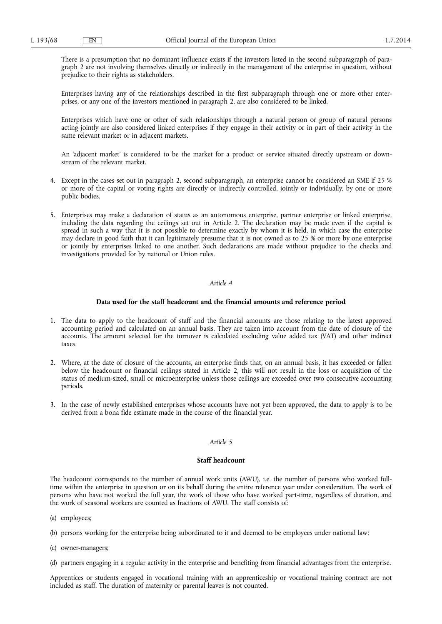There is a presumption that no dominant influence exists if the investors listed in the second subparagraph of paragraph 2 are not involving themselves directly or indirectly in the management of the enterprise in question, without prejudice to their rights as stakeholders.

Enterprises having any of the relationships described in the first subparagraph through one or more other enterprises, or any one of the investors mentioned in paragraph 2, are also considered to be linked.

Enterprises which have one or other of such relationships through a natural person or group of natural persons acting jointly are also considered linked enterprises if they engage in their activity or in part of their activity in the same relevant market or in adjacent markets.

An 'adjacent market' is considered to be the market for a product or service situated directly upstream or downstream of the relevant market.

- 4. Except in the cases set out in paragraph 2, second subparagraph, an enterprise cannot be considered an SME if 25 % or more of the capital or voting rights are directly or indirectly controlled, jointly or individually, by one or more public bodies.
- 5. Enterprises may make a declaration of status as an autonomous enterprise, partner enterprise or linked enterprise, including the data regarding the ceilings set out in Article 2. The declaration may be made even if the capital is spread in such a way that it is not possible to determine exactly by whom it is held, in which case the enterprise may declare in good faith that it can legitimately presume that it is not owned as to 25 % or more by one enterprise or jointly by enterprises linked to one another. Such declarations are made without prejudice to the checks and investigations provided for by national or Union rules.

#### *Article 4*

#### **Data used for the staff headcount and the financial amounts and reference period**

- 1. The data to apply to the headcount of staff and the financial amounts are those relating to the latest approved accounting period and calculated on an annual basis. They are taken into account from the date of closure of the accounts. The amount selected for the turnover is calculated excluding value added tax (VAT) and other indirect taxes.
- 2. Where, at the date of closure of the accounts, an enterprise finds that, on an annual basis, it has exceeded or fallen below the headcount or financial ceilings stated in Article 2, this will not result in the loss or acquisition of the status of medium-sized, small or microenterprise unless those ceilings are exceeded over two consecutive accounting periods.
- 3. In the case of newly established enterprises whose accounts have not yet been approved, the data to apply is to be derived from a bona fide estimate made in the course of the financial year.

## *Article 5*

## **Staff headcount**

The headcount corresponds to the number of annual work units (AWU), i.e. the number of persons who worked fulltime within the enterprise in question or on its behalf during the entire reference year under consideration. The work of persons who have not worked the full year, the work of those who have worked part-time, regardless of duration, and the work of seasonal workers are counted as fractions of AWU. The staff consists of:

- (a) employees;
- (b) persons working for the enterprise being subordinated to it and deemed to be employees under national law;
- (c) owner-managers;
- (d) partners engaging in a regular activity in the enterprise and benefiting from financial advantages from the enterprise.

Apprentices or students engaged in vocational training with an apprenticeship or vocational training contract are not included as staff. The duration of maternity or parental leaves is not counted.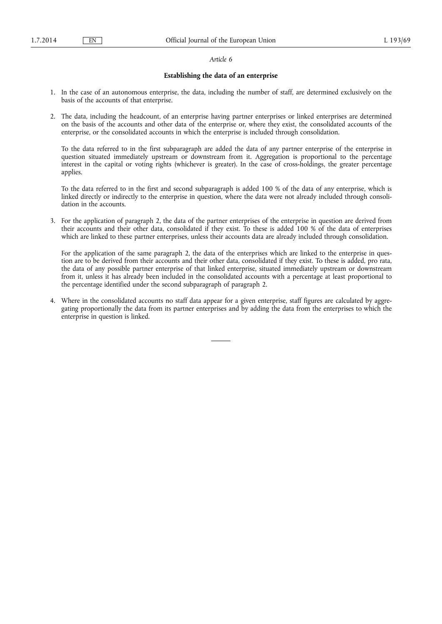### *Article 6*

### **Establishing the data of an enterprise**

- 1. In the case of an autonomous enterprise, the data, including the number of staff, are determined exclusively on the basis of the accounts of that enterprise.
- 2. The data, including the headcount, of an enterprise having partner enterprises or linked enterprises are determined on the basis of the accounts and other data of the enterprise or, where they exist, the consolidated accounts of the enterprise, or the consolidated accounts in which the enterprise is included through consolidation.

To the data referred to in the first subparagraph are added the data of any partner enterprise of the enterprise in question situated immediately upstream or downstream from it. Aggregation is proportional to the percentage interest in the capital or voting rights (whichever is greater). In the case of cross-holdings, the greater percentage applies.

To the data referred to in the first and second subparagraph is added 100 % of the data of any enterprise, which is linked directly or indirectly to the enterprise in question, where the data were not already included through consolidation in the accounts.

3. For the application of paragraph 2, the data of the partner enterprises of the enterprise in question are derived from their accounts and their other data, consolidated if they exist. To these is added 100 % of the data of enterprises which are linked to these partner enterprises, unless their accounts data are already included through consolidation.

For the application of the same paragraph 2, the data of the enterprises which are linked to the enterprise in question are to be derived from their accounts and their other data, consolidated if they exist. To these is added, pro rata, the data of any possible partner enterprise of that linked enterprise, situated immediately upstream or downstream from it, unless it has already been included in the consolidated accounts with a percentage at least proportional to the percentage identified under the second subparagraph of paragraph 2.

4. Where in the consolidated accounts no staff data appear for a given enterprise, staff figures are calculated by aggregating proportionally the data from its partner enterprises and by adding the data from the enterprises to which the enterprise in question is linked.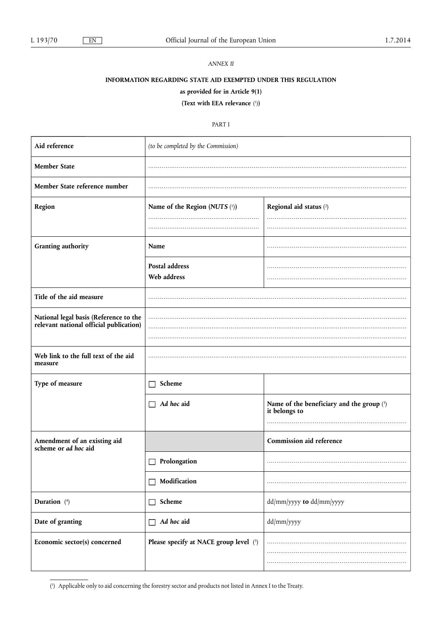EN

## ANNEX II

## INFORMATION REGARDING STATE AID EXEMPTED UNDER THIS REGULATION

## as provided for in Article 9(1)

(Text with EEA relevance (1))

## PART I

| Aid reference                                                                     | (to be completed by the Commission)    |                                                            |  |
|-----------------------------------------------------------------------------------|----------------------------------------|------------------------------------------------------------|--|
| <b>Member State</b>                                                               |                                        |                                                            |  |
| Member State reference number                                                     |                                        |                                                            |  |
| Region                                                                            | Name of the Region (NUTS (1))          | Regional aid status (2)                                    |  |
|                                                                                   |                                        |                                                            |  |
| Granting authority                                                                | Name                                   |                                                            |  |
|                                                                                   | Postal address<br>Web address          |                                                            |  |
| Title of the aid measure                                                          |                                        |                                                            |  |
| National legal basis (Reference to the<br>relevant national official publication) |                                        |                                                            |  |
| Web link to the full text of the aid<br>measure                                   |                                        |                                                            |  |
| Type of measure                                                                   | Scheme                                 |                                                            |  |
|                                                                                   | $\Box$ Ad hoc aid                      | Name of the beneficiary and the group (3)<br>it belongs to |  |
| Amendment of an existing aid<br>scheme or ad hoc aid                              |                                        | Commission aid reference                                   |  |
|                                                                                   | Prolongation                           |                                                            |  |
|                                                                                   | Modification                           |                                                            |  |
| Duration (4)                                                                      | Scheme                                 | dd/mm/yyyy to dd/mm/yyyy                                   |  |
| Date of granting                                                                  | Ad hoc aid                             | dd/mm/yyyy                                                 |  |
| Economic sector(s) concerned                                                      | Please specify at NACE group level (5) |                                                            |  |
|                                                                                   |                                        |                                                            |  |

(1) Applicable only to aid concerning the forestry sector and products not listed in Annex I to the Treaty.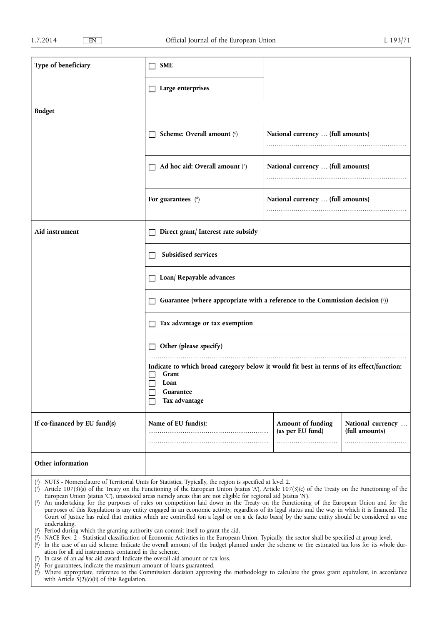| Type of beneficiary          | <b>SME</b>                                                                                                                                                                                                                                                                                                                                  |                                       |                                     |  |
|------------------------------|---------------------------------------------------------------------------------------------------------------------------------------------------------------------------------------------------------------------------------------------------------------------------------------------------------------------------------------------|---------------------------------------|-------------------------------------|--|
|                              | Large enterprises                                                                                                                                                                                                                                                                                                                           |                                       |                                     |  |
| <b>Budget</b>                |                                                                                                                                                                                                                                                                                                                                             |                                       |                                     |  |
|                              | Scheme: Overall amount (6)                                                                                                                                                                                                                                                                                                                  | National currency  (full amounts)     |                                     |  |
|                              | Ad hoc aid: Overall amount $(7)$                                                                                                                                                                                                                                                                                                            | National currency  (full amounts)     |                                     |  |
|                              | For guarantees $(8)$                                                                                                                                                                                                                                                                                                                        | National currency  (full amounts)     |                                     |  |
| Aid instrument               | Direct grant/ Interest rate subsidy                                                                                                                                                                                                                                                                                                         |                                       |                                     |  |
|                              | Subsidised services<br>Loan/ Repayable advances<br>Guarantee (where appropriate with a reference to the Commission decision $(9)$ )<br>Tax advantage or tax exemption<br>Other (please specify)<br>Indicate to which broad category below it would fit best in terms of its effect/function:<br>Grant<br>Loan<br>Guarantee<br>Tax advantage |                                       |                                     |  |
|                              |                                                                                                                                                                                                                                                                                                                                             |                                       |                                     |  |
|                              |                                                                                                                                                                                                                                                                                                                                             |                                       |                                     |  |
|                              |                                                                                                                                                                                                                                                                                                                                             |                                       |                                     |  |
|                              |                                                                                                                                                                                                                                                                                                                                             |                                       |                                     |  |
|                              |                                                                                                                                                                                                                                                                                                                                             |                                       |                                     |  |
| If co-financed by EU fund(s) | Name of EU fund(s):                                                                                                                                                                                                                                                                                                                         | Amount of funding<br>(as per EU fund) | National currency<br>(full amounts) |  |
| Other information            |                                                                                                                                                                                                                                                                                                                                             |                                       |                                     |  |
| $\binom{2}{ }$               | (1) NUTS - Nomenclature of Territorial Units for Statistics. Typically, the region is specified at level 2.<br>Article 107(3)(a) of the Treaty on the Functioning of the European Union (status 'A'), Article 107(3)(c) of the Treaty on the Functioning of the                                                                             |                                       |                                     |  |

European Union (status 'C'), unassisted areas namely areas that are not eligible for regional aid (status 'N').

- ( 3) An undertaking for the purposes of rules on competition laid down in the Treaty on the Functioning of the European Union and for the purposes of this Regulation is any entity engaged in an economic activity, regardless of its legal status and the way in which it is financed. The Court of Justice has ruled that entities which are controlled (on a legal or on a de facto basis) by the same entity should be considered as one undertaking.
- ( 4) Period during which the granting authority can commit itself to grant the aid.
- ( 5) NACE Rev. 2 Statistical classification of Economic Activities in the European Union. Typically, the sector shall be specified at group level.

( 6) In the case of an aid scheme: Indicate the overall amount of the budget planned under the scheme or the estimated tax loss for its whole duration for all aid instruments contained in the scheme.

- ( In case of an *ad hoc* aid award: Indicate the overall aid amount or tax loss.
- ( 8) For guarantees, indicate the maximum amount of loans guaranteed.
- ( 9) Where appropriate, reference to the Commission decision approving the methodology to calculate the gross grant equivalent, in accordance with Article  $\hat{5}(2)(c)(ii)$  of this Regulation.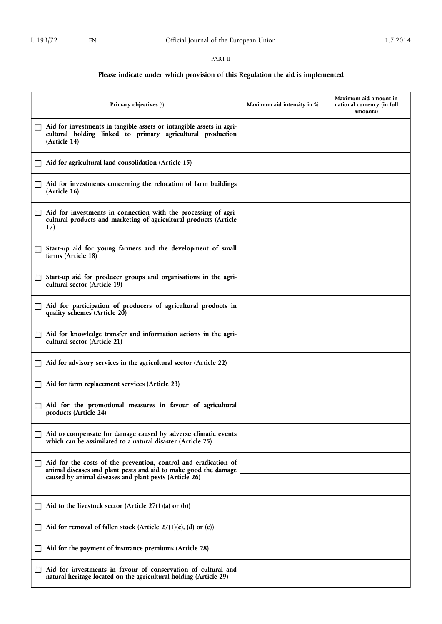## PART II

# **Please indicate under which provision of this Regulation the aid is implemented**

| Primary objectives (1)                                                                                                                                                                       | Maximum aid intensity in % | Maximum aid amount in<br>national currency (in full<br>amounts) |
|----------------------------------------------------------------------------------------------------------------------------------------------------------------------------------------------|----------------------------|-----------------------------------------------------------------|
| Aid for investments in tangible assets or intangible assets in agri-<br>cultural holding linked to primary agricultural production<br>(Article 14)                                           |                            |                                                                 |
| Aid for agricultural land consolidation (Article 15)                                                                                                                                         |                            |                                                                 |
| Aid for investments concerning the relocation of farm buildings<br>(Article 16)                                                                                                              |                            |                                                                 |
| Aid for investments in connection with the processing of agri-<br>cultural products and marketing of agricultural products (Article<br>17)                                                   |                            |                                                                 |
| Start-up aid for young farmers and the development of small<br>farms (Article 18)                                                                                                            |                            |                                                                 |
| Start-up aid for producer groups and organisations in the agri-<br>cultural sector (Article 19)                                                                                              |                            |                                                                 |
| Aid for participation of producers of agricultural products in<br>quality schemes (Article 20)                                                                                               |                            |                                                                 |
| Aid for knowledge transfer and information actions in the agri-<br>cultural sector (Article 21)                                                                                              |                            |                                                                 |
| Aid for advisory services in the agricultural sector (Article 22)                                                                                                                            |                            |                                                                 |
| Aid for farm replacement services (Article 23)                                                                                                                                               |                            |                                                                 |
| Aid for the promotional measures in favour of agricultural<br>products (Article 24)                                                                                                          |                            |                                                                 |
| Aid to compensate for damage caused by adverse climatic events<br>which can be assimilated to a natural disaster (Article 25)                                                                |                            |                                                                 |
| Aid for the costs of the prevention, control and eradication of<br>animal diseases and plant pests and aid to make good the damage<br>caused by animal diseases and plant pests (Article 26) |                            |                                                                 |
|                                                                                                                                                                                              |                            |                                                                 |
| Aid to the livestock sector (Article $27(1)(a)$ or (b))                                                                                                                                      |                            |                                                                 |
| Aid for removal of fallen stock (Article $27(1)(c)$ , (d) or (e))                                                                                                                            |                            |                                                                 |
| Aid for the payment of insurance premiums (Article 28)                                                                                                                                       |                            |                                                                 |
| Aid for investments in favour of conservation of cultural and<br>natural heritage located on the agricultural holding (Article 29)                                                           |                            |                                                                 |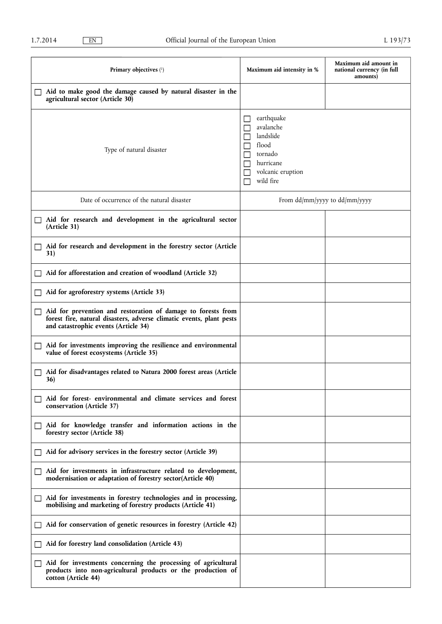| Primary objectives (1)                                                                                                                                                       | Maximum aid intensity in %                                                                              | Maximum aid amount in<br>national currency (in full<br>amounts) |
|------------------------------------------------------------------------------------------------------------------------------------------------------------------------------|---------------------------------------------------------------------------------------------------------|-----------------------------------------------------------------|
| Aid to make good the damage caused by natural disaster in the<br>agricultural sector (Article 30)                                                                            |                                                                                                         |                                                                 |
| Type of natural disaster                                                                                                                                                     | earthquake<br>avalanche<br>landslide<br>flood<br>tornado<br>hurricane<br>volcanic eruption<br>wild fire |                                                                 |
| Date of occurrence of the natural disaster                                                                                                                                   | From dd/mm/yyyy to dd/mm/yyyy                                                                           |                                                                 |
| Aid for research and development in the agricultural sector<br>(Article 31)                                                                                                  |                                                                                                         |                                                                 |
| Aid for research and development in the forestry sector (Article<br>31)                                                                                                      |                                                                                                         |                                                                 |
| Aid for afforestation and creation of woodland (Article 32)                                                                                                                  |                                                                                                         |                                                                 |
| Aid for agroforestry systems (Article 33)                                                                                                                                    |                                                                                                         |                                                                 |
| Aid for prevention and restoration of damage to forests from<br>forest fire, natural disasters, adverse climatic events, plant pests<br>and catastrophic events (Article 34) |                                                                                                         |                                                                 |
| Aid for investments improving the resilience and environmental<br>value of forest ecosystems (Article 35)                                                                    |                                                                                                         |                                                                 |
| Aid for disadvantages related to Natura 2000 forest areas (Article<br>36)                                                                                                    |                                                                                                         |                                                                 |
| Aid for forest- environmental and climate services and forest<br>conservation (Article 37)                                                                                   |                                                                                                         |                                                                 |
| Aid for knowledge transfer and information actions in the<br>forestry sector (Article 38)                                                                                    |                                                                                                         |                                                                 |
| Aid for advisory services in the forestry sector (Article 39)                                                                                                                |                                                                                                         |                                                                 |
| Aid for investments in infrastructure related to development,<br>modernisation or adaptation of forestry sector(Article 40)                                                  |                                                                                                         |                                                                 |
| Aid for investments in forestry technologies and in processing,<br>mobilising and marketing of forestry products (Article 41)                                                |                                                                                                         |                                                                 |
| Aid for conservation of genetic resources in forestry (Article 42)                                                                                                           |                                                                                                         |                                                                 |
| Aid for forestry land consolidation (Article 43)                                                                                                                             |                                                                                                         |                                                                 |
| Aid for investments concerning the processing of agricultural<br>products into non-agricultural products or the production of<br>cotton (Article 44)                         |                                                                                                         |                                                                 |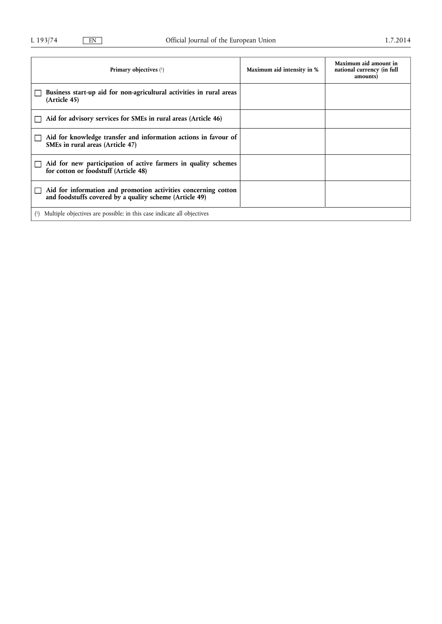| Primary objectives $(1)$                                                                                                  | Maximum aid intensity in % | Maximum aid amount in<br>national currency (in full<br>amounts) |  |
|---------------------------------------------------------------------------------------------------------------------------|----------------------------|-----------------------------------------------------------------|--|
| Business start-up aid for non-agricultural activities in rural areas<br>(Article 45)                                      |                            |                                                                 |  |
| Aid for advisory services for SMEs in rural areas (Article 46)                                                            |                            |                                                                 |  |
| Aid for knowledge transfer and information actions in favour of<br>SMEs in rural areas (Article 47)                       |                            |                                                                 |  |
| Aid for new participation of active farmers in quality schemes<br>for cotton or foodstuff (Article 48)                    |                            |                                                                 |  |
| Aid for information and promotion activities concerning cotton<br>and foodstuffs covered by a quality scheme (Article 49) |                            |                                                                 |  |
| Multiple objectives are possible; in this case indicate all objectives                                                    |                            |                                                                 |  |